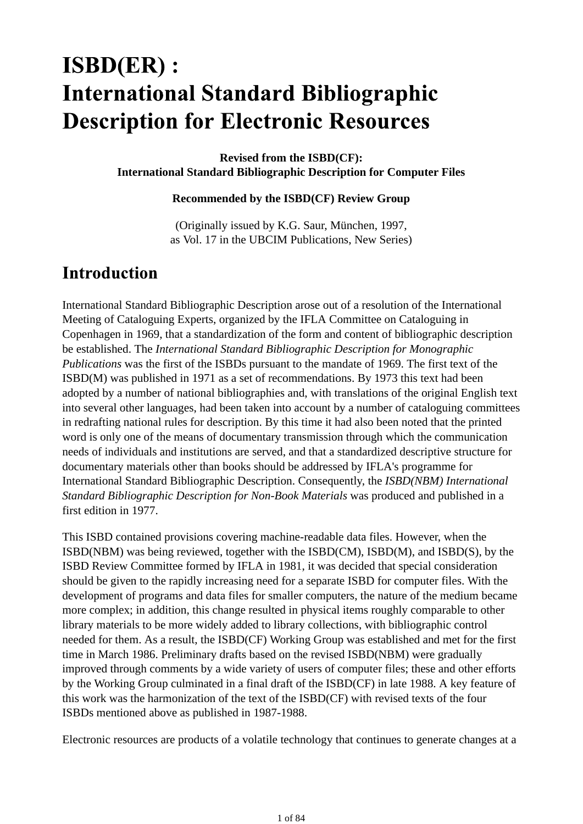# $ISBN(ER)$ : **International Standard Bibliographic Description for Electronic Resources**

**Revised from the ISBD(CF): International Standard Bibliographic Description for Computer Files**

#### **Recommended by the ISBD(CF) Review Group**

(Originally issued by K.G. Saur, München, 1997, as Vol. 17 in the UBCIM Publications, New Series)

# **Introduction**

International Standard Bibliographic Description arose out of a resolution of the International Meeting of Cataloguing Experts, organized by the IFLA Committee on Cataloguing in Copenhagen in 1969, that a standardization of the form and content of bibliographic description be established. The *International Standard Bibliographic Description for Monographic Publications* was the first of the ISBDs pursuant to the mandate of 1969. The first text of the ISBD(M) was published in 1971 as a set of recommendations. By 1973 this text had been adopted by a number of national bibliographies and, with translations of the original English text into several other languages, had been taken into account by a number of cataloguing committees in redrafting national rules for description. By this time it had also been noted that the printed word is only one of the means of documentary transmission through which the communication needs of individuals and institutions are served, and that a standardized descriptive structure for documentary materials other than books should be addressed by IFLA's programme for International Standard Bibliographic Description. Consequently, the *ISBD(NBM) International Standard Bibliographic Description for Non-Book Materials* was produced and published in a first edition in 1977.

This ISBD contained provisions covering machine-readable data files. However, when the ISBD(NBM) was being reviewed, together with the ISBD(CM), ISBD(M), and ISBD(S), by the ISBD Review Committee formed by IFLA in 1981, it was decided that special consideration should be given to the rapidly increasing need for a separate ISBD for computer files. With the development of programs and data files for smaller computers, the nature of the medium became more complex; in addition, this change resulted in physical items roughly comparable to other library materials to be more widely added to library collections, with bibliographic control needed for them. As a result, the ISBD(CF) Working Group was established and met for the first time in March 1986. Preliminary drafts based on the revised ISBD(NBM) were gradually improved through comments by a wide variety of users of computer files; these and other efforts by the Working Group culminated in a final draft of the ISBD(CF) in late 1988. A key feature of this work was the harmonization of the text of the ISBD(CF) with revised texts of the four ISBDs mentioned above as published in 1987-1988.

Electronic resources are products of a volatile technology that continues to generate changes at a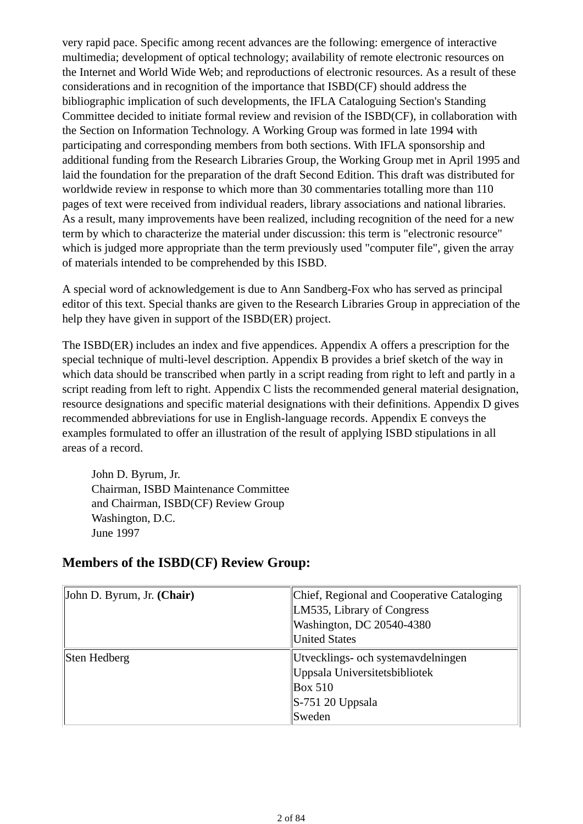very rapid pace. Specific among recent advances are the following: emergence of interactive multimedia; development of optical technology; availability of remote electronic resources on the Internet and World Wide Web; and reproductions of electronic resources. As a result of these considerations and in recognition of the importance that ISBD(CF) should address the bibliographic implication of such developments, the IFLA Cataloguing Section's Standing Committee decided to initiate formal review and revision of the ISBD(CF), in collaboration with the Section on Information Technology. A Working Group was formed in late 1994 with participating and corresponding members from both sections. With IFLA sponsorship and additional funding from the Research Libraries Group, the Working Group met in April 1995 and laid the foundation for the preparation of the draft Second Edition. This draft was distributed for worldwide review in response to which more than 30 commentaries totalling more than 110 pages of text were received from individual readers, library associations and national libraries. As a result, many improvements have been realized, including recognition of the need for a new term by which to characterize the material under discussion: this term is "electronic resource" which is judged more appropriate than the term previously used "computer file", given the array of materials intended to be comprehended by this ISBD.

A special word of acknowledgement is due to Ann Sandberg-Fox who has served as principal editor of this text. Special thanks are given to the Research Libraries Group in appreciation of the help they have given in support of the ISBD(ER) project.

The ISBD(ER) includes an index and five appendices. Appendix A offers a prescription for the special technique of multi-level description. Appendix B provides a brief sketch of the way in which data should be transcribed when partly in a script reading from right to left and partly in a script reading from left to right. Appendix C lists the recommended general material designation, resource designations and specific material designations with their definitions. Appendix D gives recommended abbreviations for use in English-language records. Appendix E conveys the examples formulated to offer an illustration of the result of applying ISBD stipulations in all areas of a record.

John D. Byrum, Jr. Chairman, ISBD Maintenance Committee and Chairman, ISBD(CF) Review Group Washington, D.C. June 1997

# John D. Byrum, Jr. **(Chair)** Chief, Regional and Cooperative Cataloging LM535, Library of Congress Washington, DC 20540-4380 United States Sten Hedberg Vulkar utvecklings- och systemavdelningen Uppsala Universitetsbibliotek Box 510 S-751 20 Uppsala Sweden

# **Members of the ISBD(CF) Review Group:**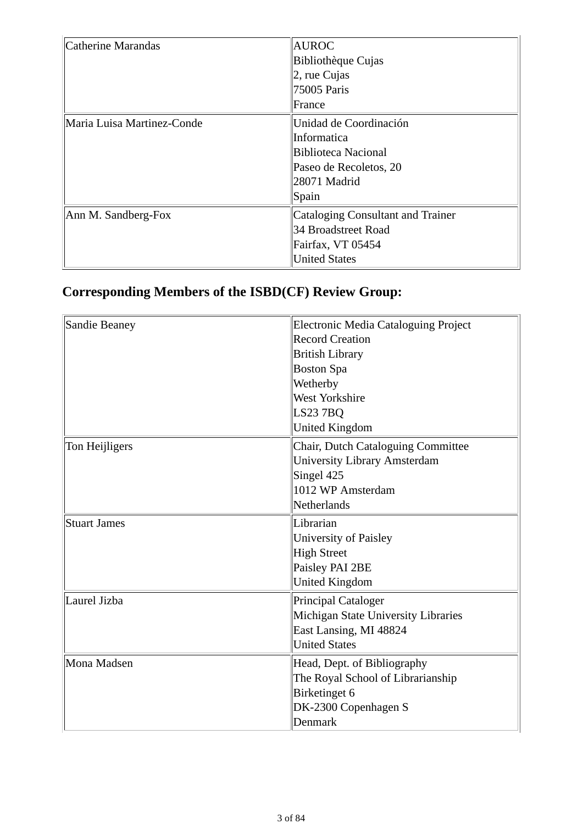| Catherine Marandas         | <b>AUROC</b>                      |
|----------------------------|-----------------------------------|
|                            | Bibliothèque Cujas                |
|                            | 2, rue Cujas                      |
|                            | 75005 Paris                       |
|                            | France                            |
| Maria Luisa Martinez-Conde | Unidad de Coordinación            |
|                            | Informatica                       |
|                            | <b>Biblioteca Nacional</b>        |
|                            | Paseo de Recoletos, 20            |
|                            | 28071 Madrid                      |
|                            | Spain                             |
| Ann M. Sandberg-Fox        | Cataloging Consultant and Trainer |
|                            | 34 Broadstreet Road               |
|                            | Fairfax, VT 05454                 |
|                            | <b>United States</b>              |

# **Corresponding Members of the ISBD(CF) Review Group:**

| Sandie Beaney       | Electronic Media Cataloguing Project |
|---------------------|--------------------------------------|
|                     | <b>Record Creation</b>               |
|                     | <b>British Library</b>               |
|                     | <b>Boston Spa</b>                    |
|                     | Wetherby                             |
|                     | West Yorkshire                       |
|                     | LS237BQ                              |
|                     | <b>United Kingdom</b>                |
| Ton Heijligers      | Chair, Dutch Cataloguing Committee   |
|                     | <b>University Library Amsterdam</b>  |
|                     | Singel 425                           |
|                     | 1012 WP Amsterdam                    |
|                     | Netherlands                          |
| <b>Stuart James</b> | Librarian                            |
|                     | University of Paisley                |
|                     | <b>High Street</b>                   |
|                     | Paisley PAI 2BE                      |
|                     | <b>United Kingdom</b>                |
| Laurel Jizba        | <b>Principal Cataloger</b>           |
|                     | Michigan State University Libraries  |
|                     | East Lansing, MI 48824               |
|                     | <b>United States</b>                 |
| Mona Madsen         | Head, Dept. of Bibliography          |
|                     | The Royal School of Librarianship    |
|                     | Birketinget 6                        |
|                     | DK-2300 Copenhagen S                 |
|                     | Denmark                              |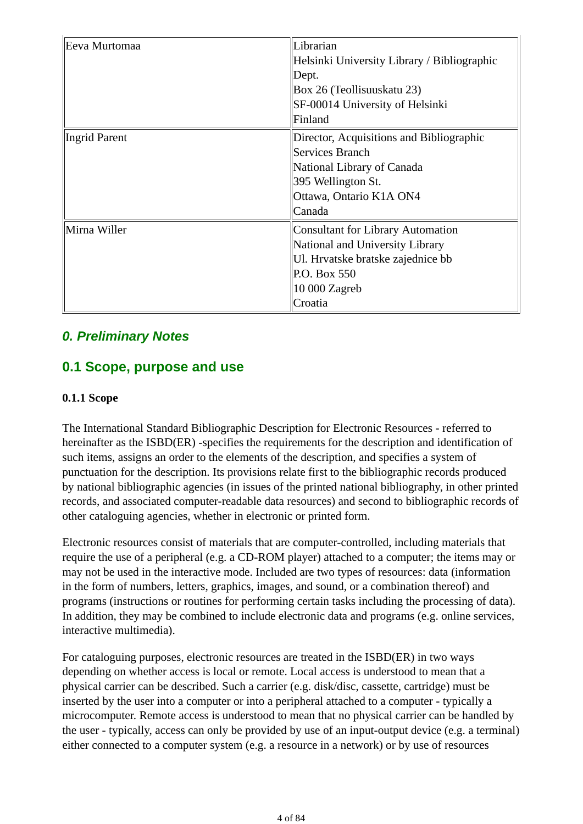| Eeva Murtomaa        | Librarian                                   |
|----------------------|---------------------------------------------|
|                      | Helsinki University Library / Bibliographic |
|                      | Dept.                                       |
|                      | Box 26 (Teollisuuskatu 23)                  |
|                      | SF-00014 University of Helsinki             |
|                      | Finland                                     |
| <b>Ingrid Parent</b> | Director, Acquisitions and Bibliographic    |
|                      | Services Branch                             |
|                      | National Library of Canada                  |
|                      | 395 Wellington St.                          |
|                      | Ottawa, Ontario K1A ON4                     |
|                      | Canada                                      |
| Mirna Willer         | <b>Consultant for Library Automation</b>    |
|                      | National and University Library             |
|                      | Ul. Hrvatske bratske zajednice bb           |
|                      | P.O. Box 550                                |
|                      | 10 000 Zagreb                               |
|                      | Croatia                                     |

### *0. Preliminary Notes*

# **0.1 Scope, purpose and use**

#### **0.1.1 Scope**

The International Standard Bibliographic Description for Electronic Resources - referred to hereinafter as the ISBD(ER) -specifies the requirements for the description and identification of such items, assigns an order to the elements of the description, and specifies a system of punctuation for the description. Its provisions relate first to the bibliographic records produced by national bibliographic agencies (in issues of the printed national bibliography, in other printed records, and associated computer-readable data resources) and second to bibliographic records of other cataloguing agencies, whether in electronic or printed form.

Electronic resources consist of materials that are computer-controlled, including materials that require the use of a peripheral (e.g. a CD-ROM player) attached to a computer; the items may or may not be used in the interactive mode. Included are two types of resources: data (information in the form of numbers, letters, graphics, images, and sound, or a combination thereof) and programs (instructions or routines for performing certain tasks including the processing of data). In addition, they may be combined to include electronic data and programs (e.g. online services, interactive multimedia).

For cataloguing purposes, electronic resources are treated in the ISBD(ER) in two ways depending on whether access is local or remote. Local access is understood to mean that a physical carrier can be described. Such a carrier (e.g. disk/disc, cassette, cartridge) must be inserted by the user into a computer or into a peripheral attached to a computer - typically a microcomputer. Remote access is understood to mean that no physical carrier can be handled by the user - typically, access can only be provided by use of an input-output device (e.g. a terminal) either connected to a computer system (e.g. a resource in a network) or by use of resources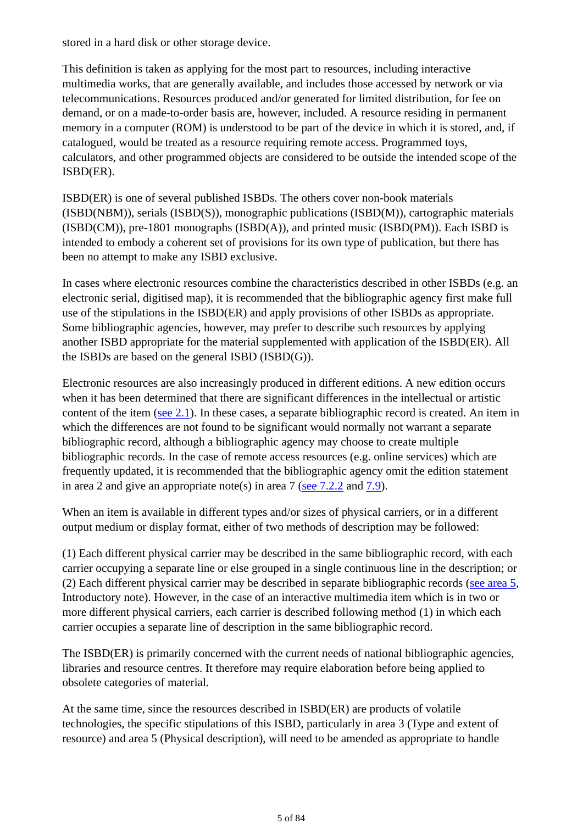stored in a hard disk or other storage device.

This definition is taken as applying for the most part to resources, including interactive multimedia works, that are generally available, and includes those accessed by network or via telecommunications. Resources produced and/or generated for limited distribution, for fee on demand, or on a made-to-order basis are, however, included. A resource residing in permanent memory in a computer (ROM) is understood to be part of the device in which it is stored, and, if catalogued, would be treated as a resource requiring remote access. Programmed toys, calculators, and other programmed objects are considered to be outside the intended scope of the ISBD(ER).

ISBD(ER) is one of several published ISBDs. The others cover non-book materials (ISBD(NBM)), serials (ISBD(S)), monographic publications (ISBD(M)), cartographic materials (ISBD(CM)), pre-1801 monographs (ISBD(A)), and printed music (ISBD(PM)). Each ISBD is intended to embody a coherent set of provisions for its own type of publication, but there has been no attempt to make any ISBD exclusive.

In cases where electronic resources combine the characteristics described in other ISBDs (e.g. an electronic serial, digitised map), it is recommended that the bibliographic agency first make full use of the stipulations in the ISBD(ER) and apply provisions of other ISBDs as appropriate. Some bibliographic agencies, however, may prefer to describe such resources by applying another ISBD appropriate for the material supplemented with application of the ISBD(ER). All the ISBDs are based on the general ISBD (ISBD(G)).

Electronic resources are also increasingly produced in different editions. A new edition occurs when it has been determined that there are significant differences in the intellectual or artistic content of the item (see 2.1). In these cases, a separate bibliographic record is created. An item in which the differences are not found to be significant would normally not warrant a separate bibliographic record, although a bibliographic agency may choose to create multiple bibliographic records. In the case of remote access resources (e.g. online services) which are frequently updated, it is recommended that the bibliographic agency omit the edition statement in area 2 and give an appropriate note(s) in area 7 (see  $7.2.2$  and  $7.9$ ).

When an item is available in different types and/or sizes of physical carriers, or in a different output medium or display format, either of two methods of description may be followed:

(1) Each different physical carrier may be described in the same bibliographic record, with each carrier occupying a separate line or else grouped in a single continuous line in the description; or (2) Each different physical carrier may be described in separate bibliographic records (see area 5, Introductory note). However, in the case of an interactive multimedia item which is in two or more different physical carriers, each carrier is described following method (1) in which each carrier occupies a separate line of description in the same bibliographic record.

The ISBD(ER) is primarily concerned with the current needs of national bibliographic agencies, libraries and resource centres. It therefore may require elaboration before being applied to obsolete categories of material.

At the same time, since the resources described in ISBD(ER) are products of volatile technologies, the specific stipulations of this ISBD, particularly in area 3 (Type and extent of resource) and area 5 (Physical description), will need to be amended as appropriate to handle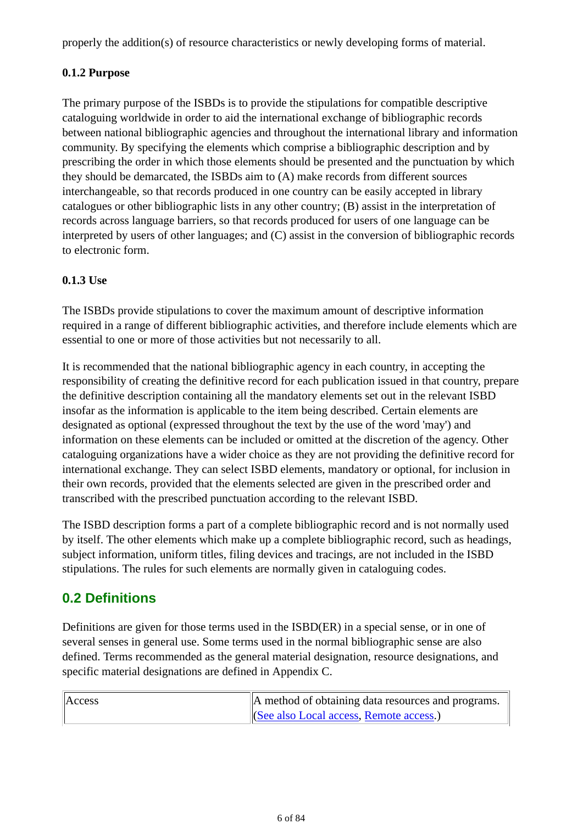properly the addition(s) of resource characteristics or newly developing forms of material.

### **0.1.2 Purpose**

The primary purpose of the ISBDs is to provide the stipulations for compatible descriptive cataloguing worldwide in order to aid the international exchange of bibliographic records between national bibliographic agencies and throughout the international library and information community. By specifying the elements which comprise a bibliographic description and by prescribing the order in which those elements should be presented and the punctuation by which they should be demarcated, the ISBDs aim to (A) make records from different sources interchangeable, so that records produced in one country can be easily accepted in library catalogues or other bibliographic lists in any other country; (B) assist in the interpretation of records across language barriers, so that records produced for users of one language can be interpreted by users of other languages; and (C) assist in the conversion of bibliographic records to electronic form.

### **0.1.3 Use**

The ISBDs provide stipulations to cover the maximum amount of descriptive information required in a range of different bibliographic activities, and therefore include elements which are essential to one or more of those activities but not necessarily to all.

It is recommended that the national bibliographic agency in each country, in accepting the responsibility of creating the definitive record for each publication issued in that country, prepare the definitive description containing all the mandatory elements set out in the relevant ISBD insofar as the information is applicable to the item being described. Certain elements are designated as optional (expressed throughout the text by the use of the word 'may') and information on these elements can be included or omitted at the discretion of the agency. Other cataloguing organizations have a wider choice as they are not providing the definitive record for international exchange. They can select ISBD elements, mandatory or optional, for inclusion in their own records, provided that the elements selected are given in the prescribed order and transcribed with the prescribed punctuation according to the relevant ISBD.

The ISBD description forms a part of a complete bibliographic record and is not normally used by itself. The other elements which make up a complete bibliographic record, such as headings, subject information, uniform titles, filing devices and tracings, are not included in the ISBD stipulations. The rules for such elements are normally given in cataloguing codes.

# **0.2 Definitions**

Definitions are given for those terms used in the ISBD(ER) in a special sense, or in one of several senses in general use. Some terms used in the normal bibliographic sense are also defined. Terms recommended as the general material designation, resource designations, and specific material designations are defined in Appendix C.

| Access | A method of obtaining data resources and programs. |
|--------|----------------------------------------------------|
|        | $\vert$ (See also Local access, Remote access.)    |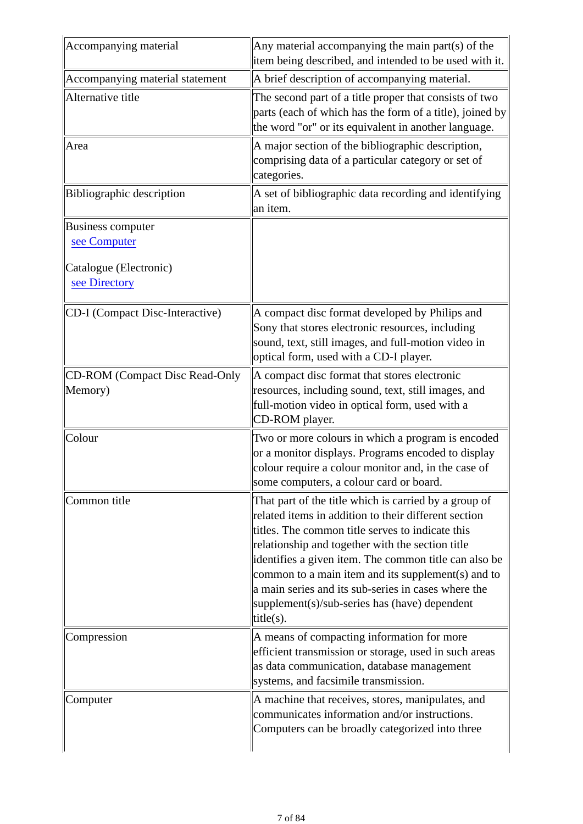| Accompanying material                            | Any material accompanying the main part(s) of the<br>item being described, and intended to be used with it.                                                                                                                                                                                                                                                                                                                                               |
|--------------------------------------------------|-----------------------------------------------------------------------------------------------------------------------------------------------------------------------------------------------------------------------------------------------------------------------------------------------------------------------------------------------------------------------------------------------------------------------------------------------------------|
| Accompanying material statement                  | A brief description of accompanying material.                                                                                                                                                                                                                                                                                                                                                                                                             |
| Alternative title                                | The second part of a title proper that consists of two<br>parts (each of which has the form of a title), joined by<br>the word "or" or its equivalent in another language.                                                                                                                                                                                                                                                                                |
| Area                                             | A major section of the bibliographic description,<br>comprising data of a particular category or set of<br>categories.                                                                                                                                                                                                                                                                                                                                    |
| <b>Bibliographic description</b>                 | A set of bibliographic data recording and identifying<br>an item.                                                                                                                                                                                                                                                                                                                                                                                         |
| <b>Business computer</b><br>see Computer         |                                                                                                                                                                                                                                                                                                                                                                                                                                                           |
| Catalogue (Electronic)<br>see Directory          |                                                                                                                                                                                                                                                                                                                                                                                                                                                           |
| CD-I (Compact Disc-Interactive)                  | A compact disc format developed by Philips and<br>Sony that stores electronic resources, including<br>sound, text, still images, and full-motion video in<br>optical form, used with a CD-I player.                                                                                                                                                                                                                                                       |
| <b>CD-ROM</b> (Compact Disc Read-Only<br>Memory) | A compact disc format that stores electronic<br>resources, including sound, text, still images, and<br>full-motion video in optical form, used with a<br>CD-ROM player.                                                                                                                                                                                                                                                                                   |
| Colour                                           | Two or more colours in which a program is encoded<br>or a monitor displays. Programs encoded to display<br>colour require a colour monitor and, in the case of<br>some computers, a colour card or board.                                                                                                                                                                                                                                                 |
| Common title                                     | That part of the title which is carried by a group of<br>related items in addition to their different section<br>titles. The common title serves to indicate this<br>relationship and together with the section title<br>identifies a given item. The common title can also be<br>common to a main item and its supplement(s) and to<br>a main series and its sub-series in cases where the<br>supplement(s)/sub-series has (have) dependent<br>title(s). |
| Compression                                      | A means of compacting information for more<br>efficient transmission or storage, used in such areas<br>as data communication, database management<br>systems, and facsimile transmission.                                                                                                                                                                                                                                                                 |
| Computer                                         | A machine that receives, stores, manipulates, and<br>communicates information and/or instructions.<br>Computers can be broadly categorized into three                                                                                                                                                                                                                                                                                                     |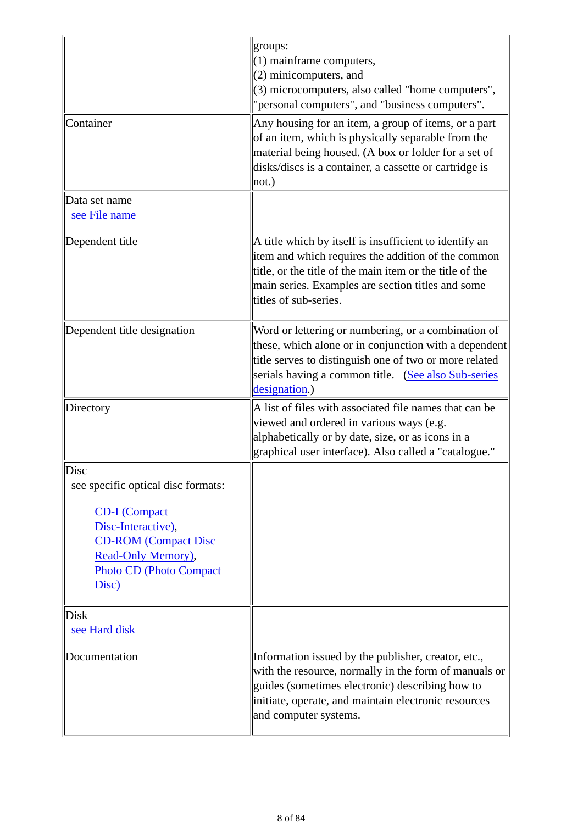|                                                                                                                                                                                           | groups:<br>$(1)$ mainframe computers,<br>(2) minicomputers, and<br>(3) microcomputers, also called "home computers",<br>"personal computers", and "business computers".                                                                                |
|-------------------------------------------------------------------------------------------------------------------------------------------------------------------------------------------|--------------------------------------------------------------------------------------------------------------------------------------------------------------------------------------------------------------------------------------------------------|
| Container                                                                                                                                                                                 | Any housing for an item, a group of items, or a part<br>of an item, which is physically separable from the<br>material being housed. (A box or folder for a set of<br>disks/discs is a container, a cassette or cartridge is<br>not.)                  |
| Data set name<br>see File name                                                                                                                                                            |                                                                                                                                                                                                                                                        |
| Dependent title                                                                                                                                                                           | A title which by itself is insufficient to identify an<br>item and which requires the addition of the common<br>title, or the title of the main item or the title of the<br>main series. Examples are section titles and some<br>titles of sub-series. |
| Dependent title designation                                                                                                                                                               | Word or lettering or numbering, or a combination of<br>these, which alone or in conjunction with a dependent<br>title serves to distinguish one of two or more related<br>serials having a common title. (See also Sub-series<br>designation.)         |
| Directory                                                                                                                                                                                 | A list of files with associated file names that can be<br>viewed and ordered in various ways (e.g.<br>alphabetically or by date, size, or as icons in a<br>graphical user interface). Also called a "catalogue."                                       |
| Disc<br>see specific optical disc formats:<br><b>CD-I</b> (Compact<br>Disc-Interactive),<br><b>CD-ROM</b> (Compact Disc<br>Read-Only Memory),<br><b>Photo CD (Photo Compact)</b><br>Disc) |                                                                                                                                                                                                                                                        |
| Disk<br>see Hard disk                                                                                                                                                                     |                                                                                                                                                                                                                                                        |
| Documentation                                                                                                                                                                             | Information issued by the publisher, creator, etc.,<br>with the resource, normally in the form of manuals or<br>guides (sometimes electronic) describing how to<br>initiate, operate, and maintain electronic resources<br>and computer systems.       |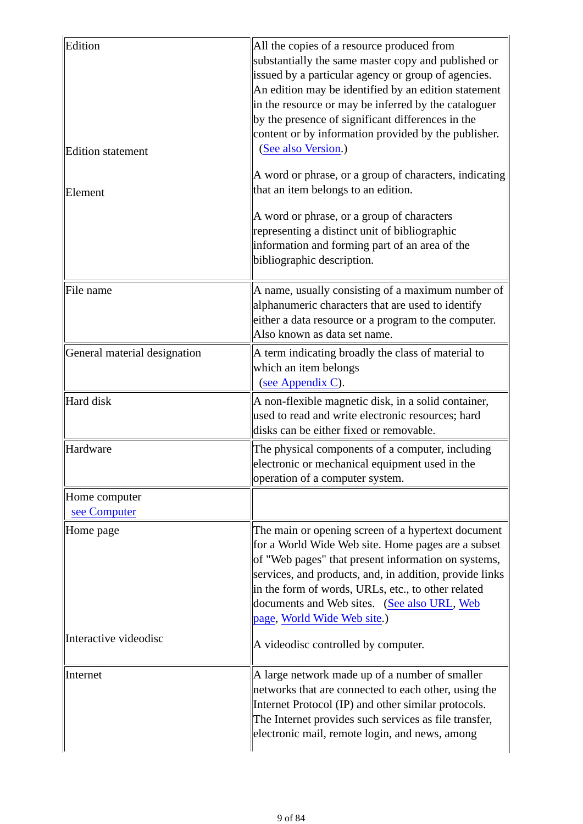| Edition                       | All the copies of a resource produced from<br>substantially the same master copy and published or<br>issued by a particular agency or group of agencies.<br>An edition may be identified by an edition statement<br>in the resource or may be inferred by the cataloguer<br>by the presence of significant differences in the                                  |
|-------------------------------|----------------------------------------------------------------------------------------------------------------------------------------------------------------------------------------------------------------------------------------------------------------------------------------------------------------------------------------------------------------|
| <b>Edition</b> statement      | content or by information provided by the publisher.<br>(See also Version.)                                                                                                                                                                                                                                                                                    |
| Element                       | A word or phrase, or a group of characters, indicating<br>that an item belongs to an edition.                                                                                                                                                                                                                                                                  |
|                               | A word or phrase, or a group of characters<br>representing a distinct unit of bibliographic<br>information and forming part of an area of the<br>bibliographic description.                                                                                                                                                                                    |
| File name                     | A name, usually consisting of a maximum number of<br>alphanumeric characters that are used to identify<br>either a data resource or a program to the computer.<br>Also known as data set name.                                                                                                                                                                 |
| General material designation  | A term indicating broadly the class of material to<br>which an item belongs<br>(see Appendix C).                                                                                                                                                                                                                                                               |
| Hard disk                     | A non-flexible magnetic disk, in a solid container,<br>used to read and write electronic resources; hard<br>disks can be either fixed or removable.                                                                                                                                                                                                            |
| Hardware                      | The physical components of a computer, including<br>electronic or mechanical equipment used in the<br>operation of a computer system.                                                                                                                                                                                                                          |
| Home computer<br>see Computer |                                                                                                                                                                                                                                                                                                                                                                |
| Home page                     | The main or opening screen of a hypertext document<br>for a World Wide Web site. Home pages are a subset<br>of "Web pages" that present information on systems,<br>services, and products, and, in addition, provide links<br>in the form of words, URLs, etc., to other related<br>documents and Web sites. (See also URL, Web<br>page, World Wide Web site.) |
| Interactive videodisc         | A videodisc controlled by computer.                                                                                                                                                                                                                                                                                                                            |
| Internet                      | A large network made up of a number of smaller<br>networks that are connected to each other, using the<br>Internet Protocol (IP) and other similar protocols.<br>The Internet provides such services as file transfer,<br>electronic mail, remote login, and news, among                                                                                       |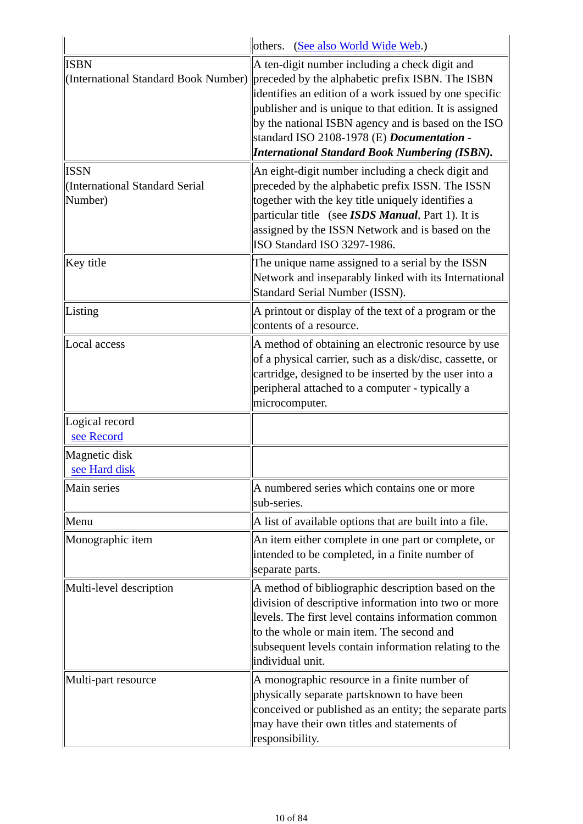|                                                          | others. (See also World Wide Web.)                                                                                                                                                                                                                                                                                                                                                   |
|----------------------------------------------------------|--------------------------------------------------------------------------------------------------------------------------------------------------------------------------------------------------------------------------------------------------------------------------------------------------------------------------------------------------------------------------------------|
| <b>ISBN</b><br>(International Standard Book Number)      | A ten-digit number including a check digit and<br>preceded by the alphabetic prefix ISBN. The ISBN<br>identifies an edition of a work issued by one specific<br>publisher and is unique to that edition. It is assigned<br>by the national ISBN agency and is based on the ISO<br>standard ISO 2108-1978 (E) Documentation -<br><b>International Standard Book Numbering (ISBN).</b> |
| <b>ISSN</b><br>(International Standard Serial<br>Number) | An eight-digit number including a check digit and<br>preceded by the alphabetic prefix ISSN. The ISSN<br>together with the key title uniquely identifies a<br>particular title (see <b>ISDS Manual</b> , Part 1). It is<br>assigned by the ISSN Network and is based on the<br>ISO Standard ISO 3297-1986.                                                                           |
| Key title                                                | The unique name assigned to a serial by the ISSN<br>Network and inseparably linked with its International<br>Standard Serial Number (ISSN).                                                                                                                                                                                                                                          |
| Listing                                                  | A printout or display of the text of a program or the<br>contents of a resource.                                                                                                                                                                                                                                                                                                     |
| Local access                                             | A method of obtaining an electronic resource by use<br>of a physical carrier, such as a disk/disc, cassette, or<br>cartridge, designed to be inserted by the user into a<br>peripheral attached to a computer - typically a<br>microcomputer.                                                                                                                                        |
| Logical record<br>see Record                             |                                                                                                                                                                                                                                                                                                                                                                                      |
| Magnetic disk<br>see Hard disk                           |                                                                                                                                                                                                                                                                                                                                                                                      |
| Main series                                              | A numbered series which contains one or more<br>sub-series.                                                                                                                                                                                                                                                                                                                          |
| Menu                                                     | A list of available options that are built into a file.                                                                                                                                                                                                                                                                                                                              |
| Monographic item                                         | An item either complete in one part or complete, or<br>intended to be completed, in a finite number of<br>separate parts.                                                                                                                                                                                                                                                            |
| Multi-level description                                  | A method of bibliographic description based on the<br>division of descriptive information into two or more<br>levels. The first level contains information common<br>to the whole or main item. The second and<br>subsequent levels contain information relating to the<br>individual unit.                                                                                          |
| Multi-part resource                                      | A monographic resource in a finite number of<br>physically separate partsknown to have been<br>conceived or published as an entity; the separate parts<br>may have their own titles and statements of<br>responsibility.                                                                                                                                                             |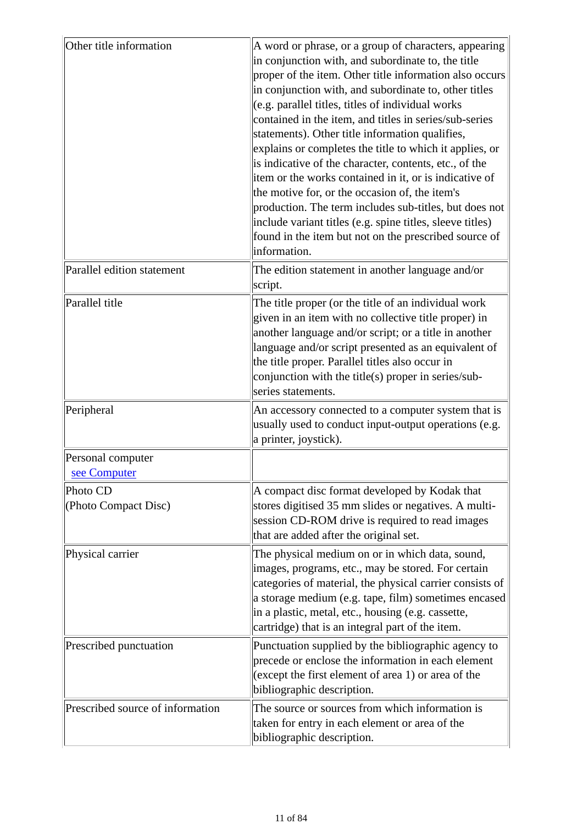| Other title information           | A word or phrase, or a group of characters, appearing<br>in conjunction with, and subordinate to, the title<br>proper of the item. Other title information also occurs<br>in conjunction with, and subordinate to, other titles<br>(e.g. parallel titles, titles of individual works<br>contained in the item, and titles in series/sub-series<br>statements). Other title information qualifies,<br>explains or completes the title to which it applies, or<br>is indicative of the character, contents, etc., of the<br>item or the works contained in it, or is indicative of<br>the motive for, or the occasion of, the item's<br>production. The term includes sub-titles, but does not<br>include variant titles (e.g. spine titles, sleeve titles)<br>found in the item but not on the prescribed source of<br>information. |
|-----------------------------------|------------------------------------------------------------------------------------------------------------------------------------------------------------------------------------------------------------------------------------------------------------------------------------------------------------------------------------------------------------------------------------------------------------------------------------------------------------------------------------------------------------------------------------------------------------------------------------------------------------------------------------------------------------------------------------------------------------------------------------------------------------------------------------------------------------------------------------|
| Parallel edition statement        | The edition statement in another language and/or<br>script.                                                                                                                                                                                                                                                                                                                                                                                                                                                                                                                                                                                                                                                                                                                                                                        |
| Parallel title                    | The title proper (or the title of an individual work<br>given in an item with no collective title proper) in<br>another language and/or script; or a title in another<br>language and/or script presented as an equivalent of<br>the title proper. Parallel titles also occur in<br>conjunction with the title(s) proper in series/sub-<br>series statements.                                                                                                                                                                                                                                                                                                                                                                                                                                                                      |
| Peripheral                        | An accessory connected to a computer system that is<br>usually used to conduct input-output operations (e.g.<br>a printer, joystick).                                                                                                                                                                                                                                                                                                                                                                                                                                                                                                                                                                                                                                                                                              |
| Personal computer<br>see Computer |                                                                                                                                                                                                                                                                                                                                                                                                                                                                                                                                                                                                                                                                                                                                                                                                                                    |
| Photo CD<br>(Photo Compact Disc)  | A compact disc format developed by Kodak that<br>stores digitised 35 mm slides or negatives. A multi-<br>session CD-ROM drive is required to read images<br>that are added after the original set.                                                                                                                                                                                                                                                                                                                                                                                                                                                                                                                                                                                                                                 |
| Physical carrier                  | The physical medium on or in which data, sound,<br>images, programs, etc., may be stored. For certain<br>categories of material, the physical carrier consists of<br>a storage medium (e.g. tape, film) sometimes encased<br>in a plastic, metal, etc., housing (e.g. cassette,<br>cartridge) that is an integral part of the item.                                                                                                                                                                                                                                                                                                                                                                                                                                                                                                |
| Prescribed punctuation            | Punctuation supplied by the bibliographic agency to<br>precede or enclose the information in each element<br>(except the first element of area 1) or area of the<br>bibliographic description.                                                                                                                                                                                                                                                                                                                                                                                                                                                                                                                                                                                                                                     |
| Prescribed source of information  | The source or sources from which information is<br>taken for entry in each element or area of the<br>bibliographic description.                                                                                                                                                                                                                                                                                                                                                                                                                                                                                                                                                                                                                                                                                                    |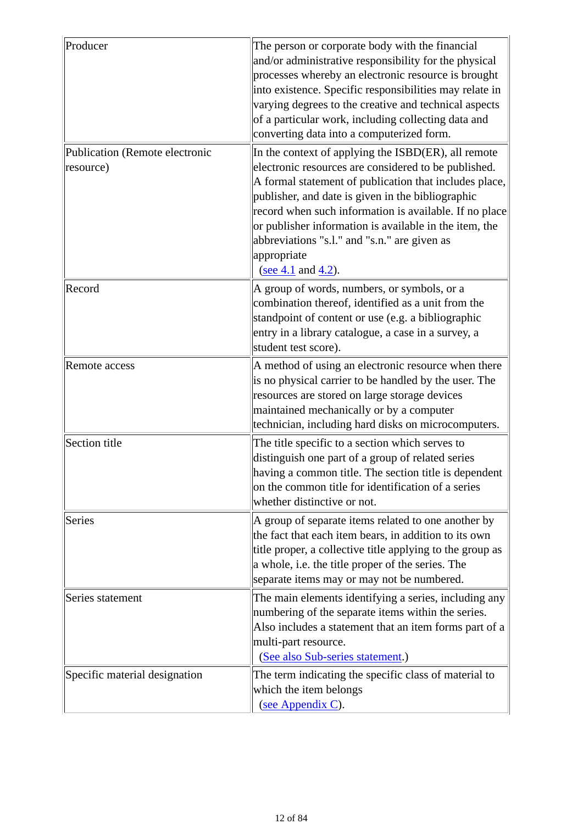| Producer                                    | The person or corporate body with the financial<br>and/or administrative responsibility for the physical<br>processes whereby an electronic resource is brought<br>into existence. Specific responsibilities may relate in<br>varying degrees to the creative and technical aspects<br>of a particular work, including collecting data and<br>converting data into a computerized form.                                                  |
|---------------------------------------------|------------------------------------------------------------------------------------------------------------------------------------------------------------------------------------------------------------------------------------------------------------------------------------------------------------------------------------------------------------------------------------------------------------------------------------------|
| Publication (Remote electronic<br>resource) | In the context of applying the ISBD(ER), all remote<br>electronic resources are considered to be published.<br>A formal statement of publication that includes place,<br>publisher, and date is given in the bibliographic<br>record when such information is available. If no place<br>or publisher information is available in the item, the<br>abbreviations "s.l." and "s.n." are given as<br>appropriate<br>(see $4.1$ and $4.2$ ). |
| Record                                      | A group of words, numbers, or symbols, or a<br>combination thereof, identified as a unit from the<br>standpoint of content or use (e.g. a bibliographic<br>entry in a library catalogue, a case in a survey, a<br>student test score).                                                                                                                                                                                                   |
| Remote access                               | A method of using an electronic resource when there<br>is no physical carrier to be handled by the user. The<br>resources are stored on large storage devices<br>maintained mechanically or by a computer<br>technician, including hard disks on microcomputers.                                                                                                                                                                         |
| Section title                               | The title specific to a section which serves to<br>distinguish one part of a group of related series<br>having a common title. The section title is dependent<br>on the common title for identification of a series<br>whether distinctive or not.                                                                                                                                                                                       |
| <b>Series</b>                               | A group of separate items related to one another by<br>the fact that each item bears, in addition to its own<br>title proper, a collective title applying to the group as<br>a whole, i.e. the title proper of the series. The<br>separate items may or may not be numbered.                                                                                                                                                             |
| Series statement                            | The main elements identifying a series, including any<br>numbering of the separate items within the series.<br>Also includes a statement that an item forms part of a<br>multi-part resource.<br>(See also Sub-series statement.)                                                                                                                                                                                                        |
| Specific material designation               | The term indicating the specific class of material to<br>which the item belongs<br>(see Appendix C).                                                                                                                                                                                                                                                                                                                                     |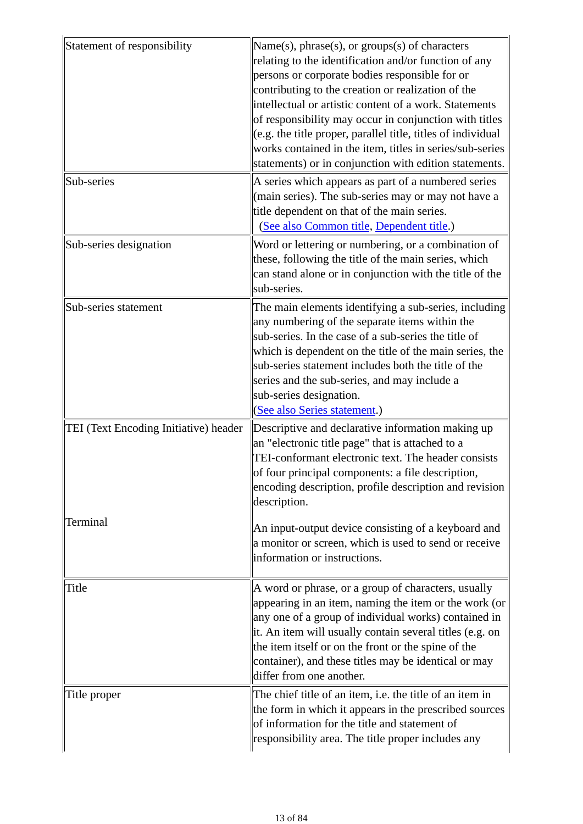| Statement of responsibility           | $Name(s)$ , phrase $(s)$ , or groups $(s)$ of characters<br>relating to the identification and/or function of any<br>persons or corporate bodies responsible for or<br>contributing to the creation or realization of the<br>intellectual or artistic content of a work. Statements<br>of responsibility may occur in conjunction with titles<br>(e.g. the title proper, parallel title, titles of individual<br>works contained in the item, titles in series/sub-series<br>statements) or in conjunction with edition statements. |
|---------------------------------------|-------------------------------------------------------------------------------------------------------------------------------------------------------------------------------------------------------------------------------------------------------------------------------------------------------------------------------------------------------------------------------------------------------------------------------------------------------------------------------------------------------------------------------------|
| Sub-series                            | A series which appears as part of a numbered series<br>(main series). The sub-series may or may not have a<br>title dependent on that of the main series.<br>(See also Common title, Dependent title.)                                                                                                                                                                                                                                                                                                                              |
| Sub-series designation                | Word or lettering or numbering, or a combination of<br>these, following the title of the main series, which<br>can stand alone or in conjunction with the title of the<br>sub-series.                                                                                                                                                                                                                                                                                                                                               |
| Sub-series statement                  | The main elements identifying a sub-series, including<br>any numbering of the separate items within the<br>sub-series. In the case of a sub-series the title of<br>which is dependent on the title of the main series, the<br>sub-series statement includes both the title of the<br>series and the sub-series, and may include a<br>sub-series designation.<br>(See also Series statement.)                                                                                                                                        |
| TEI (Text Encoding Initiative) header | Descriptive and declarative information making up<br>an "electronic title page" that is attached to a<br>TEI-conformant electronic text. The header consists<br>of four principal components: a file description,<br>encoding description, profile description and revision<br>description.                                                                                                                                                                                                                                         |
| Terminal                              | An input-output device consisting of a keyboard and<br>a monitor or screen, which is used to send or receive<br>information or instructions.                                                                                                                                                                                                                                                                                                                                                                                        |
| Title                                 | A word or phrase, or a group of characters, usually<br>appearing in an item, naming the item or the work (or<br>any one of a group of individual works) contained in<br>it. An item will usually contain several titles (e.g. on<br>the item itself or on the front or the spine of the<br>container), and these titles may be identical or may<br>differ from one another.                                                                                                                                                         |
| Title proper                          | The chief title of an item, i.e. the title of an item in<br>the form in which it appears in the prescribed sources<br>of information for the title and statement of<br>responsibility area. The title proper includes any                                                                                                                                                                                                                                                                                                           |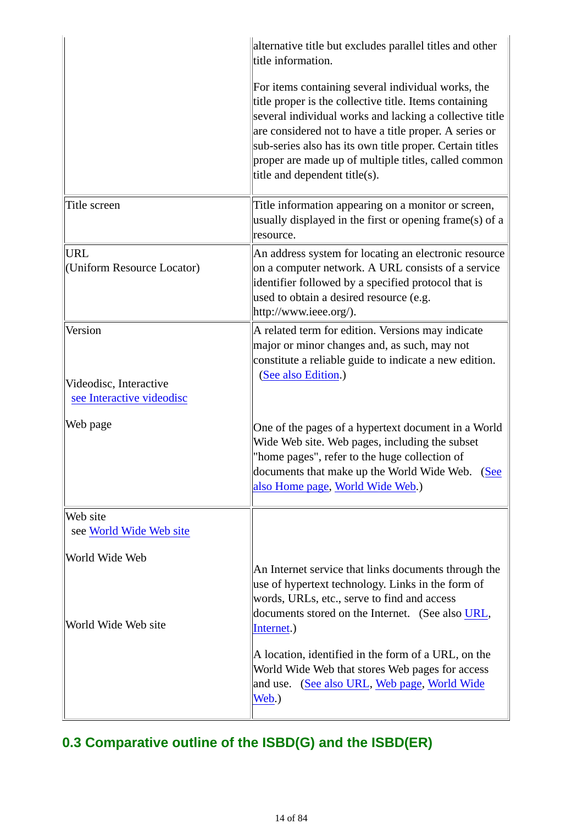|                                          | alternative title but excludes parallel titles and other<br>title information.                                                                                                                                                                                                                                                                                                         |
|------------------------------------------|----------------------------------------------------------------------------------------------------------------------------------------------------------------------------------------------------------------------------------------------------------------------------------------------------------------------------------------------------------------------------------------|
|                                          | For items containing several individual works, the<br>title proper is the collective title. Items containing<br>several individual works and lacking a collective title<br>are considered not to have a title proper. A series or<br>sub-series also has its own title proper. Certain titles<br>proper are made up of multiple titles, called common<br>title and dependent title(s). |
| Title screen                             | Title information appearing on a monitor or screen,<br>usually displayed in the first or opening frame(s) of a<br>resource.                                                                                                                                                                                                                                                            |
| <b>URL</b><br>(Uniform Resource Locator) | An address system for locating an electronic resource<br>on a computer network. A URL consists of a service<br>identifier followed by a specified protocol that is<br>used to obtain a desired resource (e.g.<br>http://www.ieee.org/).                                                                                                                                                |
| Version<br>Videodisc, Interactive        | A related term for edition. Versions may indicate<br>major or minor changes and, as such, may not<br>constitute a reliable guide to indicate a new edition.<br>(See also Edition.)                                                                                                                                                                                                     |
| see Interactive videodisc                |                                                                                                                                                                                                                                                                                                                                                                                        |
| Web page                                 | One of the pages of a hypertext document in a World<br>Wide Web site. Web pages, including the subset<br>"home pages", refer to the huge collection of<br>documents that make up the World Wide Web. (See<br>also Home page, World Wide Web.)                                                                                                                                          |
| Web site<br>see World Wide Web site      |                                                                                                                                                                                                                                                                                                                                                                                        |
| World Wide Web<br>World Wide Web site    | An Internet service that links documents through the<br>use of hypertext technology. Links in the form of<br>words, URLs, etc., serve to find and access<br>documents stored on the Internet. (See also URL,<br>Internet.)                                                                                                                                                             |
|                                          | A location, identified in the form of a URL, on the<br>World Wide Web that stores Web pages for access<br>and use. (See also URL, Web page, World Wide<br>Web.)                                                                                                                                                                                                                        |

# **0.3 Comparative outline of the ISBD(G) and the ISBD(ER)**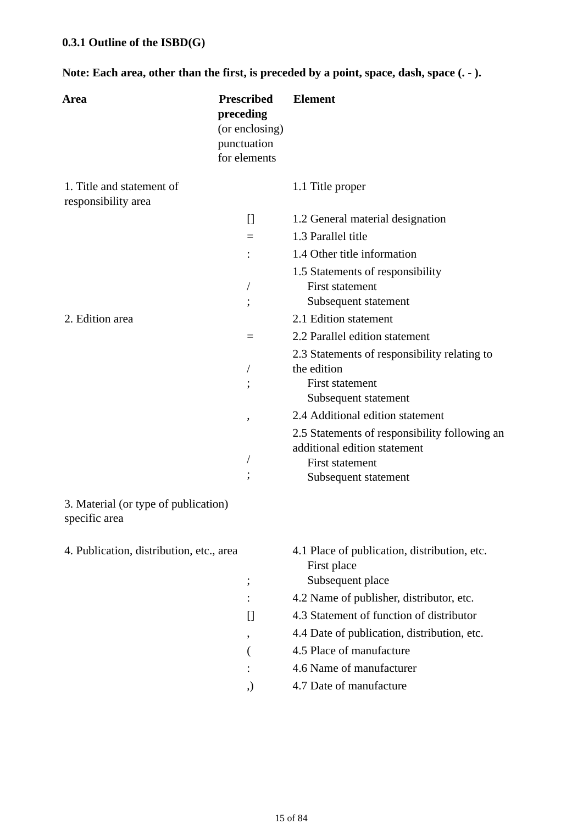# **0.3.1 Outline of the ISBD(G)**

**Note: Each area, other than the first, is preceded by a point, space, dash, space (. - ).**

| Area                                                  | <b>Prescribed</b><br>preceding<br>(or enclosing)<br>punctuation<br>for elements | <b>Element</b>                                                                                         |
|-------------------------------------------------------|---------------------------------------------------------------------------------|--------------------------------------------------------------------------------------------------------|
| 1. Title and statement of<br>responsibility area      |                                                                                 | 1.1 Title proper                                                                                       |
|                                                       | $\begin{bmatrix} 1 \end{bmatrix}$                                               | 1.2 General material designation                                                                       |
|                                                       | $=$                                                                             | 1.3 Parallel title                                                                                     |
|                                                       |                                                                                 | 1.4 Other title information                                                                            |
|                                                       |                                                                                 | 1.5 Statements of responsibility<br><b>First statement</b><br>Subsequent statement                     |
| 2. Edition area                                       |                                                                                 | 2.1 Edition statement                                                                                  |
|                                                       | $=$                                                                             | 2.2 Parallel edition statement                                                                         |
|                                                       |                                                                                 | 2.3 Statements of responsibility relating to<br>the edition<br>First statement<br>Subsequent statement |
|                                                       | ,                                                                               | 2.4 Additional edition statement                                                                       |
|                                                       |                                                                                 | 2.5 Statements of responsibility following an<br>additional edition statement<br>First statement       |
|                                                       |                                                                                 | Subsequent statement                                                                                   |
| 3. Material (or type of publication)<br>specific area |                                                                                 |                                                                                                        |
| 4. Publication, distribution, etc., area              |                                                                                 | 4.1 Place of publication, distribution, etc.<br>First place<br>Subsequent place                        |
|                                                       | ,                                                                               | 4.2 Name of publisher, distributor, etc.                                                               |
|                                                       | $\prod$                                                                         | 4.3 Statement of function of distributor                                                               |
|                                                       |                                                                                 | 4.4 Date of publication, distribution, etc.                                                            |
|                                                       | ,                                                                               | 4.5 Place of manufacture                                                                               |
|                                                       |                                                                                 | 4.6 Name of manufacturer                                                                               |
|                                                       | .)                                                                              | 4.7 Date of manufacture                                                                                |
|                                                       |                                                                                 |                                                                                                        |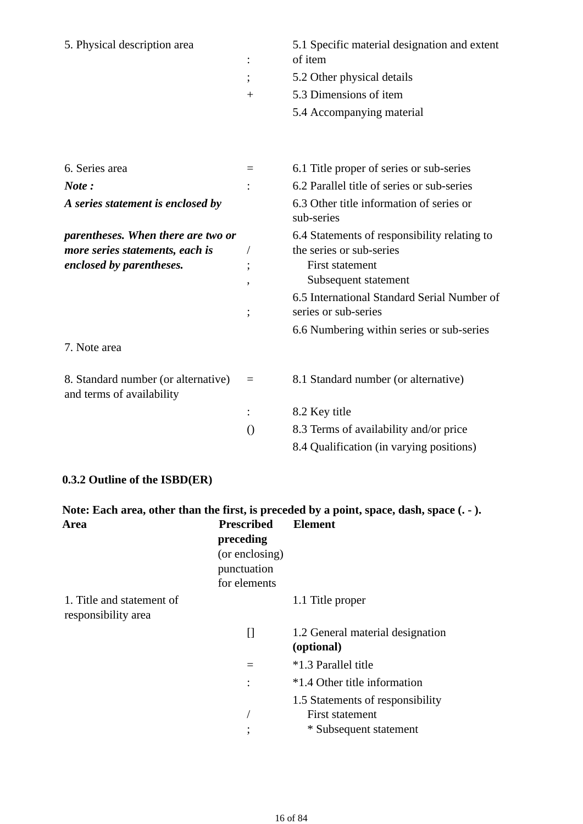| 5. Physical description area                                     |                         | 5.1 Specific material designation and extent<br>of item |
|------------------------------------------------------------------|-------------------------|---------------------------------------------------------|
|                                                                  |                         | 5.2 Other physical details                              |
|                                                                  | $^{+}$                  | 5.3 Dimensions of item                                  |
|                                                                  |                         | 5.4 Accompanying material                               |
| 6. Series area                                                   | $=$                     | 6.1 Title proper of series or sub-series                |
| Note:                                                            |                         | 6.2 Parallel title of series or sub-series              |
| A series statement is enclosed by                                |                         | 6.3 Other title information of series or<br>sub-series  |
| parentheses. When there are two or                               |                         | 6.4 Statements of responsibility relating to            |
| more series statements, each is                                  |                         | the series or sub-series                                |
| enclosed by parentheses.                                         | ,                       | First statement<br>Subsequent statement                 |
|                                                                  |                         | 6.5 International Standard Serial Number of             |
|                                                                  |                         | series or sub-series                                    |
|                                                                  |                         | 6.6 Numbering within series or sub-series               |
| 7. Note area                                                     |                         |                                                         |
| 8. Standard number (or alternative)<br>and terms of availability | $\qquad \qquad =\qquad$ | 8.1 Standard number (or alternative)                    |
|                                                                  |                         | 8.2 Key title                                           |
|                                                                  | $\left( \right)$        | 8.3 Terms of availability and/or price                  |
|                                                                  |                         | 8.4 Qualification (in varying positions)                |

### **0.3.2 Outline of the ISBD(ER)**

|                                                                                 | Note: Each area, other than the first, is preceded by a point, space, dash, space (. - ). |
|---------------------------------------------------------------------------------|-------------------------------------------------------------------------------------------|
| <b>Prescribed</b><br>preceding<br>(or enclosing)<br>punctuation<br>for elements | <b>Element</b>                                                                            |
|                                                                                 | 1.1 Title proper                                                                          |
| $\prod$                                                                         | 1.2 General material designation<br>(optional)                                            |
| $=$                                                                             | *1.3 Parallel title                                                                       |
|                                                                                 | *1.4 Other title information                                                              |
|                                                                                 | 1.5 Statements of responsibility<br>First statement<br>* Subsequent statement             |
|                                                                                 |                                                                                           |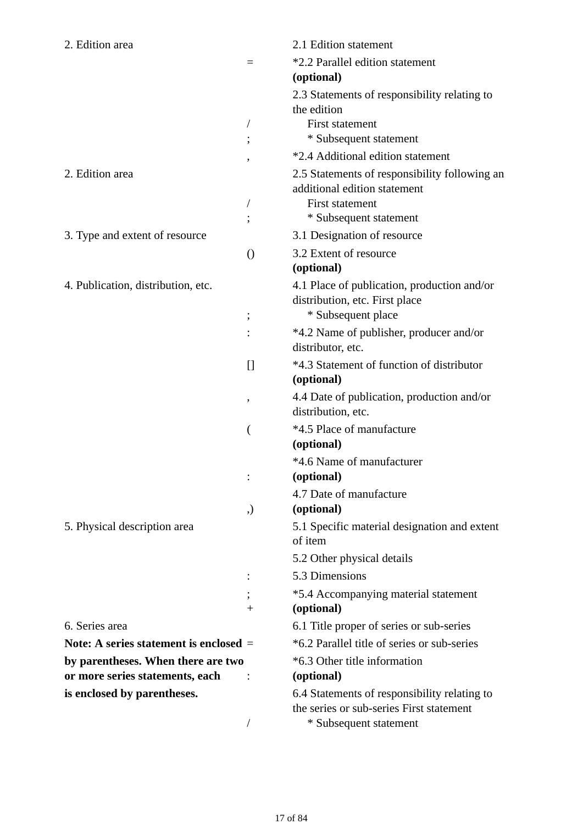| 2. Edition area                          |                                   | 2.1 Edition statement                                                         |
|------------------------------------------|-----------------------------------|-------------------------------------------------------------------------------|
|                                          | $=$                               | *2.2 Parallel edition statement                                               |
|                                          |                                   | (optional)                                                                    |
|                                          |                                   | 2.3 Statements of responsibility relating to                                  |
|                                          |                                   | the edition                                                                   |
|                                          |                                   | First statement                                                               |
|                                          |                                   | * Subsequent statement                                                        |
|                                          |                                   | *2.4 Additional edition statement                                             |
| 2. Edition area                          |                                   | 2.5 Statements of responsibility following an                                 |
|                                          |                                   | additional edition statement                                                  |
|                                          |                                   | First statement                                                               |
|                                          |                                   | * Subsequent statement                                                        |
| 3. Type and extent of resource           |                                   | 3.1 Designation of resource                                                   |
|                                          | $\left( \right)$                  | 3.2 Extent of resource                                                        |
|                                          |                                   | (optional)                                                                    |
| 4. Publication, distribution, etc.       |                                   | 4.1 Place of publication, production and/or<br>distribution, etc. First place |
|                                          | $\vdots$                          | * Subsequent place                                                            |
|                                          |                                   | *4.2 Name of publisher, producer and/or                                       |
|                                          |                                   | distributor, etc.                                                             |
|                                          | $\begin{bmatrix} 1 \end{bmatrix}$ | *4.3 Statement of function of distributor                                     |
|                                          |                                   | (optional)                                                                    |
|                                          | ,                                 | 4.4 Date of publication, production and/or                                    |
|                                          |                                   | distribution, etc.                                                            |
|                                          | (                                 | *4.5 Place of manufacture                                                     |
|                                          |                                   | (optional)                                                                    |
|                                          |                                   | *4.6 Name of manufacturer                                                     |
|                                          |                                   | (optional)                                                                    |
|                                          |                                   | 4.7 Date of manufacture                                                       |
|                                          | ),                                | (optional)                                                                    |
| 5. Physical description area             |                                   | 5.1 Specific material designation and extent                                  |
|                                          |                                   | of item                                                                       |
|                                          |                                   | 5.2 Other physical details                                                    |
|                                          |                                   | 5.3 Dimensions                                                                |
|                                          |                                   | *5.4 Accompanying material statement                                          |
|                                          | $^{+}$                            | (optional)                                                                    |
| 6. Series area                           |                                   | 6.1 Title proper of series or sub-series                                      |
| Note: A series statement is enclosed $=$ |                                   | *6.2 Parallel title of series or sub-series                                   |
| by parentheses. When there are two       |                                   | *6.3 Other title information                                                  |
| or more series statements, each          |                                   | (optional)                                                                    |
| is enclosed by parentheses.              |                                   | 6.4 Statements of responsibility relating to                                  |
|                                          |                                   | the series or sub-series First statement                                      |
|                                          |                                   | * Subsequent statement                                                        |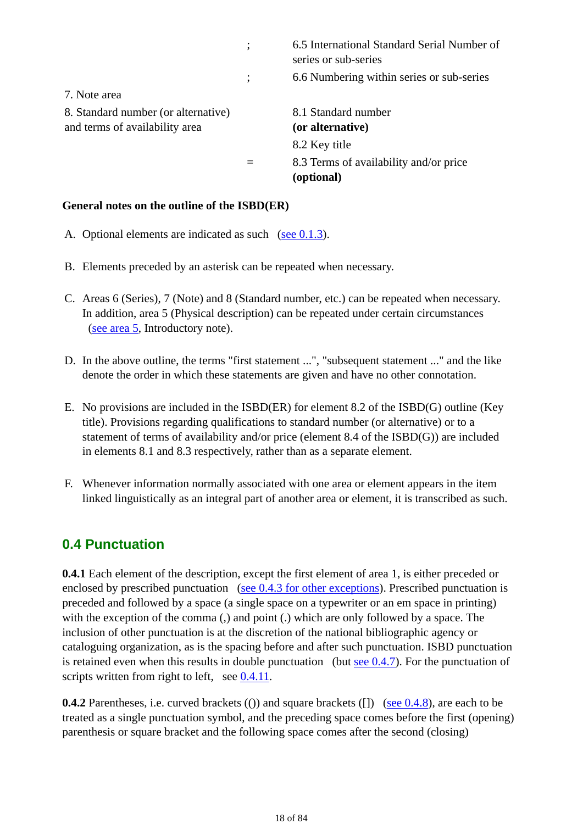|                                     | 6.5 International Standard Serial Number of<br>series or sub-series |
|-------------------------------------|---------------------------------------------------------------------|
|                                     | 6.6 Numbering within series or sub-series                           |
| 7. Note area                        |                                                                     |
| 8. Standard number (or alternative) | 8.1 Standard number                                                 |
| and terms of availability area      | (or alternative)                                                    |
|                                     | 8.2 Key title                                                       |
|                                     | 8.3 Terms of availability and/or price                              |
|                                     | (optional)                                                          |

#### **General notes on the outline of the ISBD(ER)**

- A. Optional elements are indicated as such (see 0.1.3).
- B. Elements preceded by an asterisk can be repeated when necessary.
- C. Areas 6 (Series), 7 (Note) and 8 (Standard number, etc.) can be repeated when necessary. In addition, area 5 (Physical description) can be repeated under certain circumstances (see area 5, Introductory note).
- D. In the above outline, the terms "first statement ...", "subsequent statement ..." and the like denote the order in which these statements are given and have no other connotation.
- E. No provisions are included in the ISBD(ER) for element 8.2 of the ISBD(G) outline (Key title). Provisions regarding qualifications to standard number (or alternative) or to a statement of terms of availability and/or price (element 8.4 of the ISBD(G)) are included in elements 8.1 and 8.3 respectively, rather than as a separate element.
- F. Whenever information normally associated with one area or element appears in the item linked linguistically as an integral part of another area or element, it is transcribed as such.

### **0.4 Punctuation**

**0.4.1** Each element of the description, except the first element of area 1, is either preceded or enclosed by prescribed punctuation (see 0.4.3 for other exceptions). Prescribed punctuation is preceded and followed by a space (a single space on a typewriter or an em space in printing) with the exception of the comma (,) and point (.) which are only followed by a space. The inclusion of other punctuation is at the discretion of the national bibliographic agency or cataloguing organization, as is the spacing before and after such punctuation. ISBD punctuation is retained even when this results in double punctuation (but see  $0.4.7$ ). For the punctuation of scripts written from right to left, see 0.4.11.

**0.4.2** Parentheses, i.e. curved brackets (()) and square brackets ([]) (see 0.4.8), are each to be treated as a single punctuation symbol, and the preceding space comes before the first (opening) parenthesis or square bracket and the following space comes after the second (closing)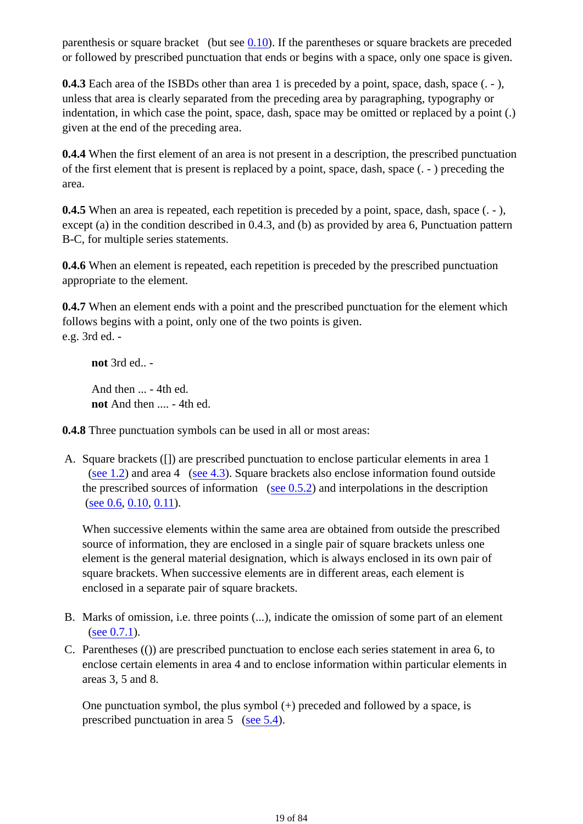parenthesis or square bracket (but see  $0.10$ ). If the parentheses or square brackets are preceded or followed by prescribed punctuation that ends or begins with a space, only one space is given.

**0.4.3** Each area of the ISBDs other than area 1 is preceded by a point, space, dash, space ( $\cdot$  -). unless that area is clearly separated from the preceding area by paragraphing, typography or indentation, in which case the point, space, dash, space may be omitted or replaced by a point (.) given at the end of the preceding area.

**0.4.4** When the first element of an area is not present in a description, the prescribed punctuation of the first element that is present is replaced by a point, space, dash, space (. - ) preceding the area.

**0.4.5** When an area is repeated, each repetition is preceded by a point, space, dash, space (. - ). except (a) in the condition described in 0.4.3, and (b) as provided by area 6, Punctuation pattern B-C, for multiple series statements.

**0.4.6** When an element is repeated, each repetition is preceded by the prescribed punctuation appropriate to the element.

**0.4.7** When an element ends with a point and the prescribed punctuation for the element which follows begins with a point, only one of the two points is given. e.g. 3rd ed. -

**not** 3rd ed.. - And then ... - 4th ed. **not** And then .... - 4th ed.

**0.4.8** Three punctuation symbols can be used in all or most areas:

A. Square brackets ([]) are prescribed punctuation to enclose particular elements in area 1 (see 1.2) and area 4 (see 4.3). Square brackets also enclose information found outside the prescribed sources of information (see  $(0.5.2)$ ) and interpolations in the description (see 0.6, 0.10, 0.11).

When successive elements within the same area are obtained from outside the prescribed source of information, they are enclosed in a single pair of square brackets unless one element is the general material designation, which is always enclosed in its own pair of square brackets. When successive elements are in different areas, each element is enclosed in a separate pair of square brackets.

- B. Marks of omission, i.e. three points (...), indicate the omission of some part of an element (see 0.7.1).
- C. Parentheses (()) are prescribed punctuation to enclose each series statement in area 6, to enclose certain elements in area 4 and to enclose information within particular elements in areas 3, 5 and 8.

One punctuation symbol, the plus symbol (+) preceded and followed by a space, is prescribed punctuation in area 5 (see 5.4).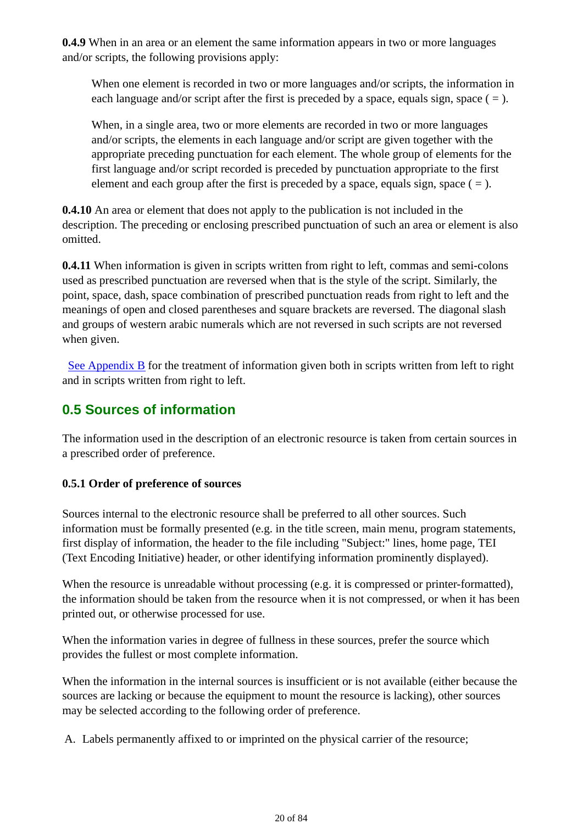**0.4.9** When in an area or an element the same information appears in two or more languages and/or scripts, the following provisions apply:

When one element is recorded in two or more languages and/or scripts, the information in each language and/or script after the first is preceded by a space, equals sign, space  $( = ).$ 

When, in a single area, two or more elements are recorded in two or more languages and/or scripts, the elements in each language and/or script are given together with the appropriate preceding punctuation for each element. The whole group of elements for the first language and/or script recorded is preceded by punctuation appropriate to the first element and each group after the first is preceded by a space, equals sign, space  $( = ).$ 

**0.4.10** An area or element that does not apply to the publication is not included in the description. The preceding or enclosing prescribed punctuation of such an area or element is also omitted.

**0.4.11** When information is given in scripts written from right to left, commas and semi-colons used as prescribed punctuation are reversed when that is the style of the script. Similarly, the point, space, dash, space combination of prescribed punctuation reads from right to left and the meanings of open and closed parentheses and square brackets are reversed. The diagonal slash and groups of western arabic numerals which are not reversed in such scripts are not reversed when given.

 See Appendix B for the treatment of information given both in scripts written from left to right and in scripts written from right to left.

# **0.5 Sources of information**

The information used in the description of an electronic resource is taken from certain sources in a prescribed order of preference.

### **0.5.1 Order of preference of sources**

Sources internal to the electronic resource shall be preferred to all other sources. Such information must be formally presented (e.g. in the title screen, main menu, program statements, first display of information, the header to the file including "Subject:" lines, home page, TEI (Text Encoding Initiative) header, or other identifying information prominently displayed).

When the resource is unreadable without processing (e.g. it is compressed or printer-formatted), the information should be taken from the resource when it is not compressed, or when it has been printed out, or otherwise processed for use.

When the information varies in degree of fullness in these sources, prefer the source which provides the fullest or most complete information.

When the information in the internal sources is insufficient or is not available (either because the sources are lacking or because the equipment to mount the resource is lacking), other sources may be selected according to the following order of preference.

A. Labels permanently affixed to or imprinted on the physical carrier of the resource;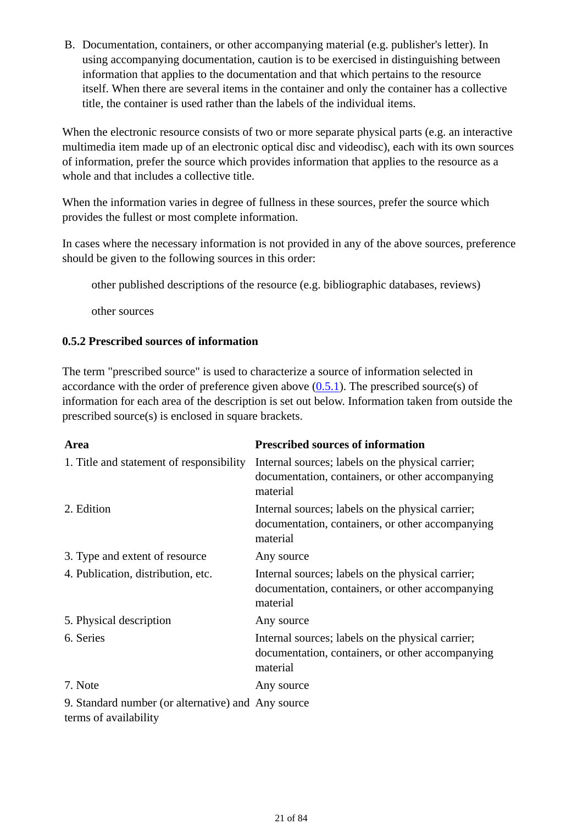B. Documentation, containers, or other accompanying material (e.g. publisher's letter). In using accompanying documentation, caution is to be exercised in distinguishing between information that applies to the documentation and that which pertains to the resource itself. When there are several items in the container and only the container has a collective title, the container is used rather than the labels of the individual items.

When the electronic resource consists of two or more separate physical parts (e.g. an interactive multimedia item made up of an electronic optical disc and videodisc), each with its own sources of information, prefer the source which provides information that applies to the resource as a whole and that includes a collective title.

When the information varies in degree of fullness in these sources, prefer the source which provides the fullest or most complete information.

In cases where the necessary information is not provided in any of the above sources, preference should be given to the following sources in this order:

other published descriptions of the resource (e.g. bibliographic databases, reviews)

other sources

#### **0.5.2 Prescribed sources of information**

The term "prescribed source" is used to characterize a source of information selected in accordance with the order of preference given above  $(0.5.1)$ . The prescribed source(s) of information for each area of the description is set out below. Information taken from outside the prescribed source(s) is enclosed in square brackets.

| Area                                               | <b>Prescribed sources of information</b>                                                                          |
|----------------------------------------------------|-------------------------------------------------------------------------------------------------------------------|
| 1. Title and statement of responsibility           | Internal sources; labels on the physical carrier;<br>documentation, containers, or other accompanying<br>material |
| 2. Edition                                         | Internal sources; labels on the physical carrier;<br>documentation, containers, or other accompanying<br>material |
| 3. Type and extent of resource                     | Any source                                                                                                        |
| 4. Publication, distribution, etc.                 | Internal sources; labels on the physical carrier;<br>documentation, containers, or other accompanying<br>material |
| 5. Physical description                            | Any source                                                                                                        |
| 6. Series                                          | Internal sources; labels on the physical carrier;<br>documentation, containers, or other accompanying<br>material |
| 7. Note                                            | Any source                                                                                                        |
| 9. Standard number (or alternative) and Any source |                                                                                                                   |

terms of availability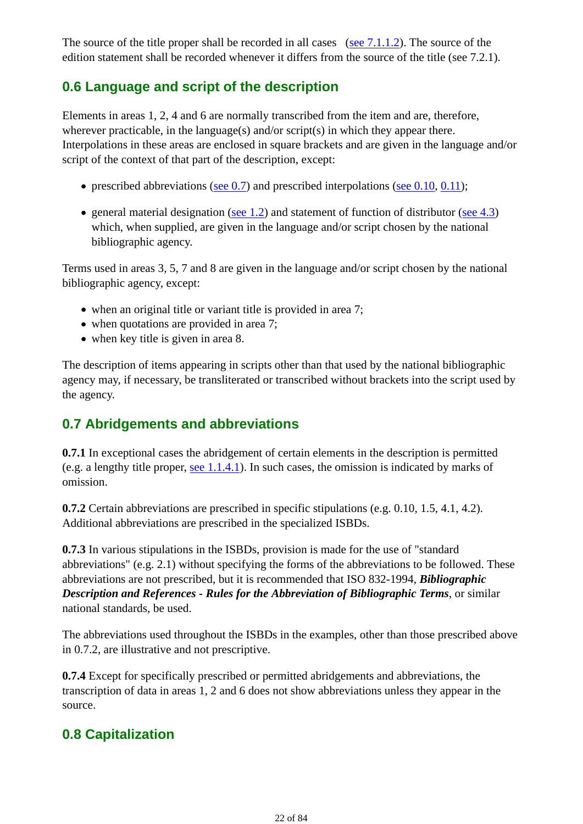The source of the title proper shall be recorded in all cases (see 7.1.1.2). The source of the edition statement shall be recorded whenever it differs from the source of the title (see 7.2.1).

# **0.6 Language and script of the description**

Elements in areas 1, 2, 4 and 6 are normally transcribed from the item and are, therefore, wherever practicable, in the language(s) and/or script(s) in which they appear there. Interpolations in these areas are enclosed in square brackets and are given in the language and/or script of the context of that part of the description, except:

- prescribed abbreviations (see  $(0.7)$ ) and prescribed interpolations (see  $(0.10, 0.11)$ ;
- general material designation (see 1.2) and statement of function of distributor (see 4.3) which, when supplied, are given in the language and/or script chosen by the national bibliographic agency.

Terms used in areas 3, 5, 7 and 8 are given in the language and/or script chosen by the national bibliographic agency, except:

- when an original title or variant title is provided in area 7;
- when quotations are provided in area 7;
- when key title is given in area 8.

The description of items appearing in scripts other than that used by the national bibliographic agency may, if necessary, be transliterated or transcribed without brackets into the script used by the agency.

# **0.7 Abridgements and abbreviations**

**0.7.1** In exceptional cases the abridgement of certain elements in the description is permitted (e.g. a lengthy title proper, see 1.1.4.1). In such cases, the omission is indicated by marks of omission.

**0.7.2** Certain abbreviations are prescribed in specific stipulations (e.g. 0.10, 1.5, 4.1, 4.2). Additional abbreviations are prescribed in the specialized ISBDs.

**0.7.3** In various stipulations in the ISBDs, provision is made for the use of "standard abbreviations" (e.g. 2.1) without specifying the forms of the abbreviations to be followed. These abbreviations are not prescribed, but it is recommended that ISO 832-1994, *Bibliographic Description and References - Rules for the Abbreviation of Bibliographic Terms*, or similar national standards, be used.

The abbreviations used throughout the ISBDs in the examples, other than those prescribed above in 0.7.2, are illustrative and not prescriptive.

**0.7.4** Except for specifically prescribed or permitted abridgements and abbreviations, the transcription of data in areas 1, 2 and 6 does not show abbreviations unless they appear in the source.

# **0.8 Capitalization**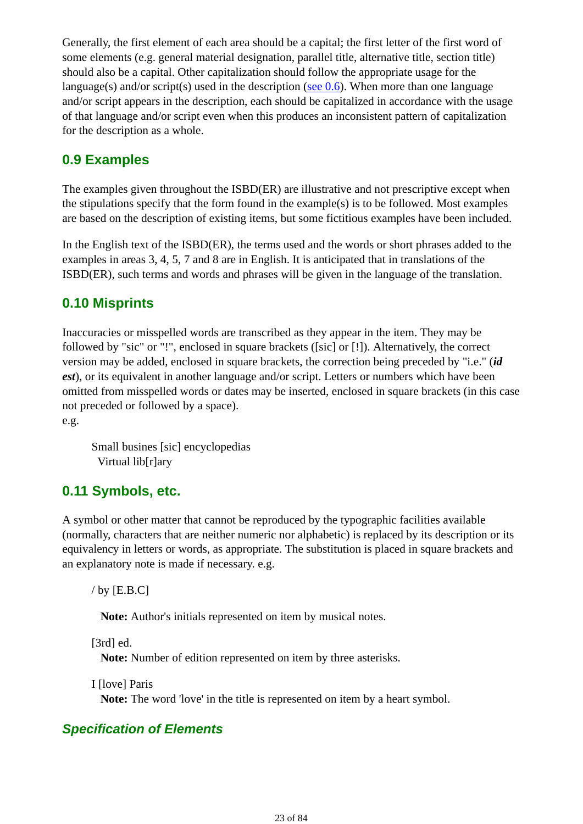Generally, the first element of each area should be a capital; the first letter of the first word of some elements (e.g. general material designation, parallel title, alternative title, section title) should also be a capital. Other capitalization should follow the appropriate usage for the language(s) and/or script(s) used in the description (see  $0.6$ ). When more than one language and/or script appears in the description, each should be capitalized in accordance with the usage of that language and/or script even when this produces an inconsistent pattern of capitalization for the description as a whole.

# **0.9 Examples**

The examples given throughout the ISBD(ER) are illustrative and not prescriptive except when the stipulations specify that the form found in the example(s) is to be followed. Most examples are based on the description of existing items, but some fictitious examples have been included.

In the English text of the ISBD(ER), the terms used and the words or short phrases added to the examples in areas 3, 4, 5, 7 and 8 are in English. It is anticipated that in translations of the ISBD(ER), such terms and words and phrases will be given in the language of the translation.

# **0.10 Misprints**

Inaccuracies or misspelled words are transcribed as they appear in the item. They may be followed by "sic" or "!", enclosed in square brackets ([sic] or [!]). Alternatively, the correct version may be added, enclosed in square brackets, the correction being preceded by "i.e." (*id est*), or its equivalent in another language and/or script. Letters or numbers which have been omitted from misspelled words or dates may be inserted, enclosed in square brackets (in this case not preceded or followed by a space).

e.g.

Small busines [sic] encyclopedias Virtual lib[r]ary

# **0.11 Symbols, etc.**

A symbol or other matter that cannot be reproduced by the typographic facilities available (normally, characters that are neither numeric nor alphabetic) is replaced by its description or its equivalency in letters or words, as appropriate. The substitution is placed in square brackets and an explanatory note is made if necessary. e.g.

/ by  $[E.B.C]$ 

**Note:** Author's initials represented on item by musical notes.

[3rd] ed.

**Note:** Number of edition represented on item by three asterisks.

I [love] Paris **Note:** The word 'love' in the title is represented on item by a heart symbol.

# *Specification of Elements*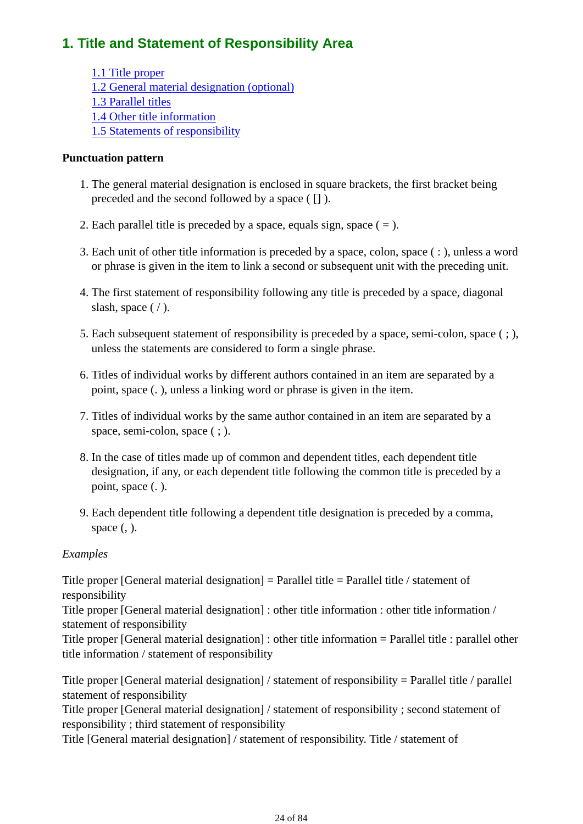# **1. Title and Statement of Responsibility Area**

1.1 Title proper 1.2 General material designation (optional) 1.3 Parallel titles 1.4 Other title information 1.5 Statements of responsibility

#### **Punctuation pattern**

- 1. The general material designation is enclosed in square brackets, the first bracket being preceded and the second followed by a space ( [] ).
- 2. Each parallel title is preceded by a space, equals sign, space  $( = ).$
- Each unit of other title information is preceded by a space, colon, space ( : ), unless a word 3. or phrase is given in the item to link a second or subsequent unit with the preceding unit.
- The first statement of responsibility following any title is preceded by a space, diagonal 4. slash, space  $( / ).$
- Each subsequent statement of responsibility is preceded by a space, semi-colon, space ( ; ), 5. unless the statements are considered to form a single phrase.
- 6. Titles of individual works by different authors contained in an item are separated by a point, space (. ), unless a linking word or phrase is given in the item.
- 7. Titles of individual works by the same author contained in an item are separated by a space, semi-colon, space (; ).
- 8. In the case of titles made up of common and dependent titles, each dependent title designation, if any, or each dependent title following the common title is preceded by a point, space (. ).
- Each dependent title following a dependent title designation is preceded by a comma, 9. space  $($ ,  $).$

#### *Examples*

Title proper [General material designation] = Parallel title = Parallel title / statement of responsibility

Title proper [General material designation] : other title information : other title information / statement of responsibility

Title proper [General material designation] : other title information = Parallel title : parallel other title information / statement of responsibility

Title proper [General material designation] / statement of responsibility = Parallel title / parallel statement of responsibility

Title proper [General material designation] / statement of responsibility ; second statement of responsibility ; third statement of responsibility

Title [General material designation] / statement of responsibility. Title / statement of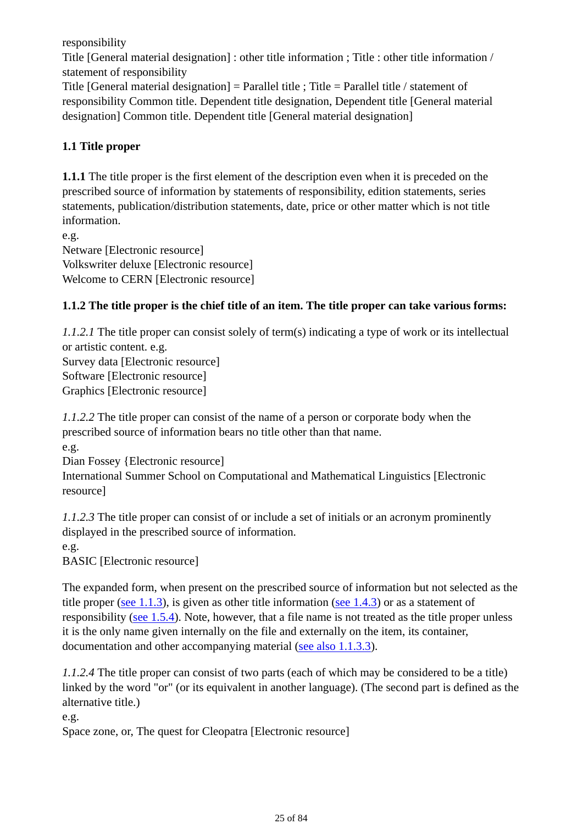responsibility

Title [General material designation] : other title information ; Title : other title information / statement of responsibility

Title [General material designation] = Parallel title : Title = Parallel title / statement of responsibility Common title. Dependent title designation, Dependent title [General material designation] Common title. Dependent title [General material designation]

### **1.1 Title proper**

**1.1.1** The title proper is the first element of the description even when it is preceded on the prescribed source of information by statements of responsibility, edition statements, series statements, publication/distribution statements, date, price or other matter which is not title information.

e.g. Netware [Electronic resource] Volkswriter deluxe [Electronic resource] Welcome to CERN [Electronic resource]

### **1.1.2 The title proper is the chief title of an item. The title proper can take various forms:**

*1.1.2.1* The title proper can consist solely of term(s) indicating a type of work or its intellectual or artistic content. e.g. Survey data [Electronic resource] Software [Electronic resource] Graphics [Electronic resource]

*1.1.2.2* The title proper can consist of the name of a person or corporate body when the prescribed source of information bears no title other than that name.

e.g.

Dian Fossey {Electronic resource]

International Summer School on Computational and Mathematical Linguistics [Electronic resource]

*1.1.2.3* The title proper can consist of or include a set of initials or an acronym prominently displayed in the prescribed source of information.

e.g.

BASIC [Electronic resource]

The expanded form, when present on the prescribed source of information but not selected as the title proper (see  $1.1.3$ ), is given as other title information (see  $1.4.3$ ) or as a statement of responsibility (see 1.5.4). Note, however, that a file name is not treated as the title proper unless it is the only name given internally on the file and externally on the item, its container, documentation and other accompanying material (see also 1.1.3.3).

*1.1.2.4* The title proper can consist of two parts (each of which may be considered to be a title) linked by the word "or" (or its equivalent in another language). (The second part is defined as the alternative title.)

e.g.

Space zone, or, The quest for Cleopatra [Electronic resource]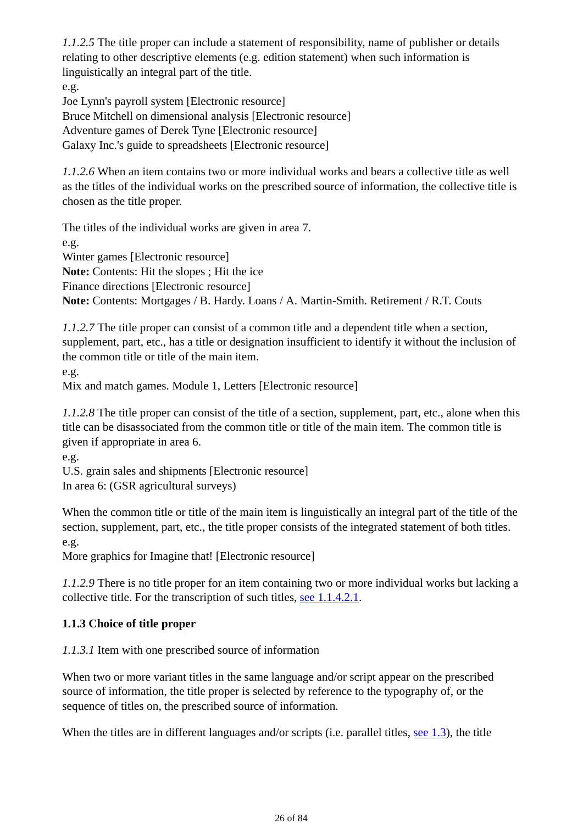*1.1.2.5* The title proper can include a statement of responsibility, name of publisher or details relating to other descriptive elements (e.g. edition statement) when such information is linguistically an integral part of the title.

e.g. Joe Lynn's payroll system [Electronic resource] Bruce Mitchell on dimensional analysis [Electronic resource] Adventure games of Derek Tyne [Electronic resource] Galaxy Inc.'s guide to spreadsheets [Electronic resource]

*1.1.2.6* When an item contains two or more individual works and bears a collective title as well as the titles of the individual works on the prescribed source of information, the collective title is chosen as the title proper.

The titles of the individual works are given in area 7. e.g. Winter games [Electronic resource] **Note:** Contents: Hit the slopes ; Hit the ice Finance directions [Electronic resource] **Note:** Contents: Mortgages / B. Hardy. Loans / A. Martin-Smith. Retirement / R.T. Couts

*1.1.2.7* The title proper can consist of a common title and a dependent title when a section, supplement, part, etc., has a title or designation insufficient to identify it without the inclusion of the common title or title of the main item.

e.g.

Mix and match games. Module 1, Letters [Electronic resource]

*1.1.2.8* The title proper can consist of the title of a section, supplement, part, etc., alone when this title can be disassociated from the common title or title of the main item. The common title is given if appropriate in area 6.

e.g.

U.S. grain sales and shipments [Electronic resource] In area 6: (GSR agricultural surveys)

When the common title or title of the main item is linguistically an integral part of the title of the section, supplement, part, etc., the title proper consists of the integrated statement of both titles. e.g.

More graphics for Imagine that! [Electronic resource]

*1.1.2.9* There is no title proper for an item containing two or more individual works but lacking a collective title. For the transcription of such titles, see 1.1.4.2.1.

### **1.1.3 Choice of title proper**

*1.1.3.1* Item with one prescribed source of information

When two or more variant titles in the same language and/or script appear on the prescribed source of information, the title proper is selected by reference to the typography of, or the sequence of titles on, the prescribed source of information.

When the titles are in different languages and/or scripts (i.e. parallel titles, see 1.3), the title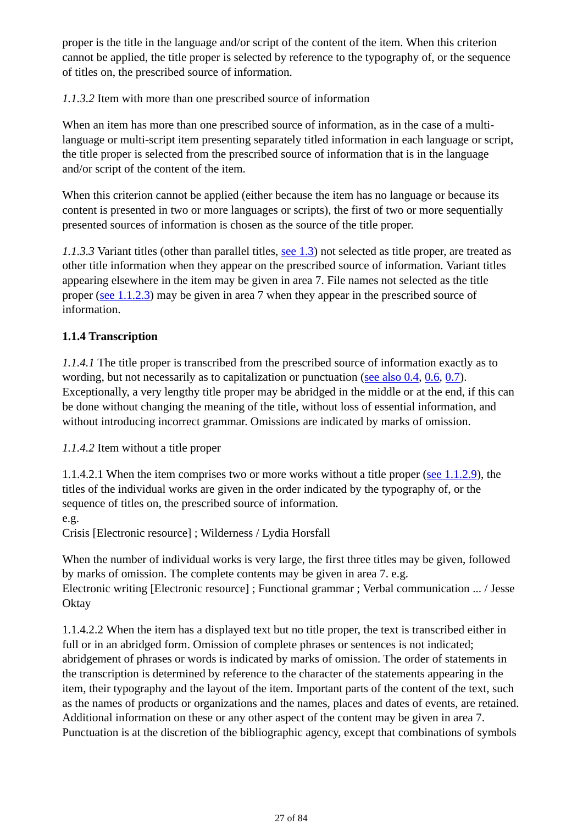proper is the title in the language and/or script of the content of the item. When this criterion cannot be applied, the title proper is selected by reference to the typography of, or the sequence of titles on, the prescribed source of information.

*1.1.3.2* Item with more than one prescribed source of information

When an item has more than one prescribed source of information, as in the case of a multilanguage or multi-script item presenting separately titled information in each language or script, the title proper is selected from the prescribed source of information that is in the language and/or script of the content of the item.

When this criterion cannot be applied (either because the item has no language or because its content is presented in two or more languages or scripts), the first of two or more sequentially presented sources of information is chosen as the source of the title proper.

*1.1.3.3* Variant titles (other than parallel titles, see 1.3) not selected as title proper, are treated as other title information when they appear on the prescribed source of information. Variant titles appearing elsewhere in the item may be given in area 7. File names not selected as the title proper (see 1.1.2.3) may be given in area 7 when they appear in the prescribed source of information.

### **1.1.4 Transcription**

*1.1.4.1* The title proper is transcribed from the prescribed source of information exactly as to wording, but not necessarily as to capitalization or punctuation (see also  $0.4$ ,  $0.6$ ,  $0.7$ ). Exceptionally, a very lengthy title proper may be abridged in the middle or at the end, if this can be done without changing the meaning of the title, without loss of essential information, and without introducing incorrect grammar. Omissions are indicated by marks of omission.

*1.1.4.2* Item without a title proper

1.1.4.2.1 When the item comprises two or more works without a title proper (see 1.1.2.9), the titles of the individual works are given in the order indicated by the typography of, or the sequence of titles on, the prescribed source of information. e.g.

Crisis [Electronic resource] ; Wilderness / Lydia Horsfall

When the number of individual works is very large, the first three titles may be given, followed by marks of omission. The complete contents may be given in area 7. e.g. Electronic writing [Electronic resource] ; Functional grammar ; Verbal communication ... / Jesse **Oktay** 

1.1.4.2.2 When the item has a displayed text but no title proper, the text is transcribed either in full or in an abridged form. Omission of complete phrases or sentences is not indicated; abridgement of phrases or words is indicated by marks of omission. The order of statements in the transcription is determined by reference to the character of the statements appearing in the item, their typography and the layout of the item. Important parts of the content of the text, such as the names of products or organizations and the names, places and dates of events, are retained. Additional information on these or any other aspect of the content may be given in area 7. Punctuation is at the discretion of the bibliographic agency, except that combinations of symbols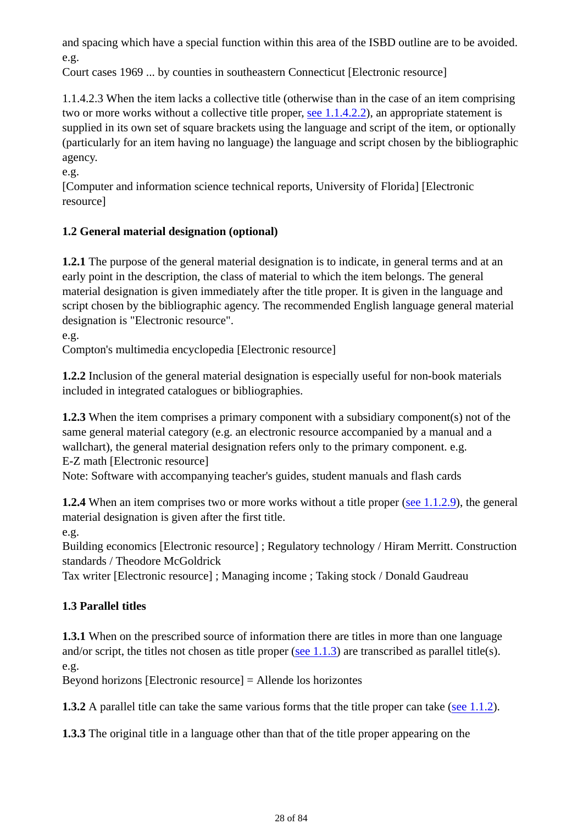and spacing which have a special function within this area of the ISBD outline are to be avoided. e.g.

Court cases 1969 ... by counties in southeastern Connecticut [Electronic resource]

1.1.4.2.3 When the item lacks a collective title (otherwise than in the case of an item comprising two or more works without a collective title proper, see 1.1.4.2.2), an appropriate statement is supplied in its own set of square brackets using the language and script of the item, or optionally (particularly for an item having no language) the language and script chosen by the bibliographic agency.

e.g.

[Computer and information science technical reports, University of Florida] [Electronic resource]

### **1.2 General material designation (optional)**

**1.2.1** The purpose of the general material designation is to indicate, in general terms and at an early point in the description, the class of material to which the item belongs. The general material designation is given immediately after the title proper. It is given in the language and script chosen by the bibliographic agency. The recommended English language general material designation is "Electronic resource".

e.g.

Compton's multimedia encyclopedia [Electronic resource]

**1.2.2** Inclusion of the general material designation is especially useful for non-book materials included in integrated catalogues or bibliographies.

**1.2.3** When the item comprises a primary component with a subsidiary component(s) not of the same general material category (e.g. an electronic resource accompanied by a manual and a wallchart), the general material designation refers only to the primary component. e.g. E-Z math [Electronic resource]

Note: Software with accompanying teacher's guides, student manuals and flash cards

**1.2.4** When an item comprises two or more works without a title proper (see 1.1.2.9), the general material designation is given after the first title.

e.g.

Building economics [Electronic resource] ; Regulatory technology / Hiram Merritt. Construction standards / Theodore McGoldrick

Tax writer [Electronic resource] ; Managing income ; Taking stock / Donald Gaudreau

### **1.3 Parallel titles**

**1.3.1** When on the prescribed source of information there are titles in more than one language and/or script, the titles not chosen as title proper (see  $1.1.3$ ) are transcribed as parallel title(s). e.g.

Beyond horizons [Electronic resource] = Allende los horizontes

**1.3.2** A parallel title can take the same various forms that the title proper can take (see 1.1.2).

**1.3.3** The original title in a language other than that of the title proper appearing on the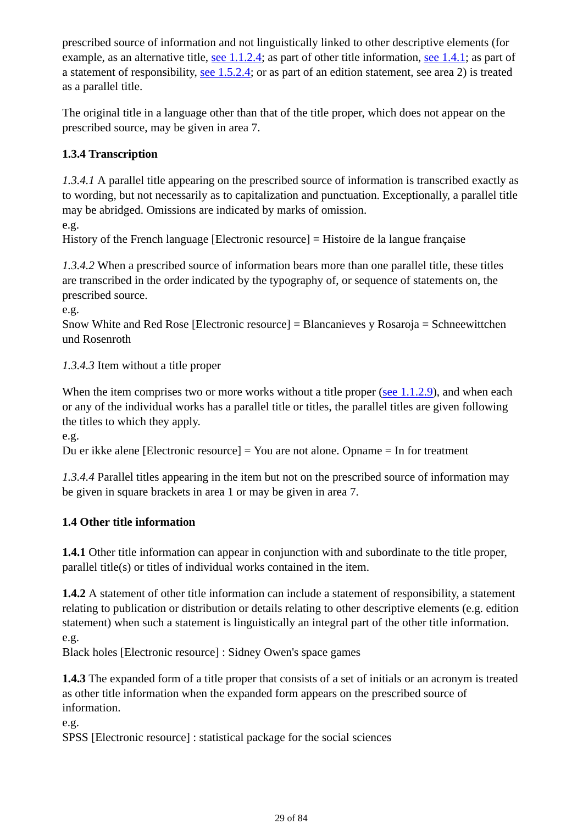prescribed source of information and not linguistically linked to other descriptive elements (for example, as an alternative title, see 1.1.2.4; as part of other title information, see 1.4.1; as part of a statement of responsibility, see 1.5.2.4; or as part of an edition statement, see area 2) is treated as a parallel title.

The original title in a language other than that of the title proper, which does not appear on the prescribed source, may be given in area 7.

### **1.3.4 Transcription**

*1.3.4.1* A parallel title appearing on the prescribed source of information is transcribed exactly as to wording, but not necessarily as to capitalization and punctuation. Exceptionally, a parallel title may be abridged. Omissions are indicated by marks of omission. e.g.

History of the French language [Electronic resource] = Histoire de la langue française

*1.3.4.2* When a prescribed source of information bears more than one parallel title, these titles are transcribed in the order indicated by the typography of, or sequence of statements on, the prescribed source.

e.g.

Snow White and Red Rose [Electronic resource] = Blancanieves y Rosaroja = Schneewittchen und Rosenroth

*1.3.4.3* Item without a title proper

When the item comprises two or more works without a title proper (see 1.1.2.9), and when each or any of the individual works has a parallel title or titles, the parallel titles are given following the titles to which they apply.

e.g.

Du er ikke alene [Electronic resource] = You are not alone. Opname = In for treatment

*1.3.4.4* Parallel titles appearing in the item but not on the prescribed source of information may be given in square brackets in area 1 or may be given in area 7.

### **1.4 Other title information**

**1.4.1** Other title information can appear in conjunction with and subordinate to the title proper, parallel title(s) or titles of individual works contained in the item.

**1.4.2** A statement of other title information can include a statement of responsibility, a statement relating to publication or distribution or details relating to other descriptive elements (e.g. edition statement) when such a statement is linguistically an integral part of the other title information. e.g.

Black holes [Electronic resource] : Sidney Owen's space games

**1.4.3** The expanded form of a title proper that consists of a set of initials or an acronym is treated as other title information when the expanded form appears on the prescribed source of information.

e.g.

SPSS [Electronic resource] : statistical package for the social sciences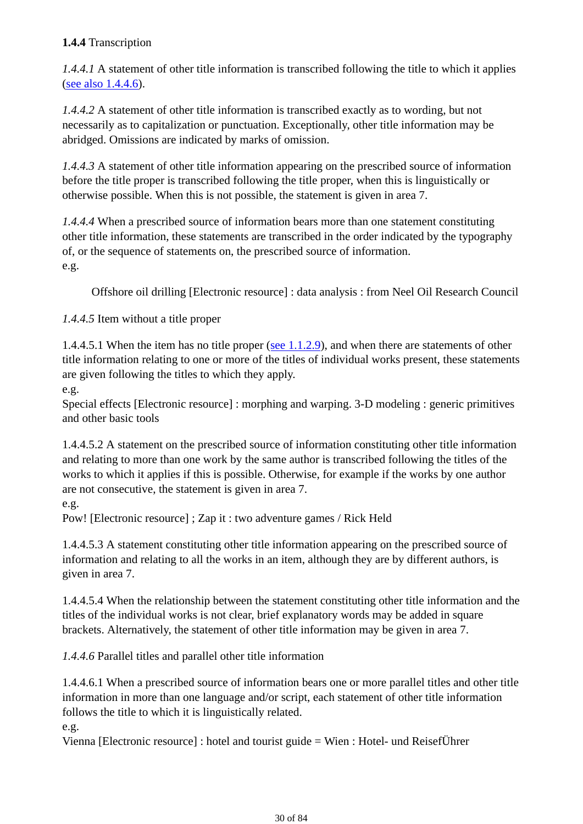#### **1.4.4** Transcription

*1.4.4.1* A statement of other title information is transcribed following the title to which it applies (see also 1.4.4.6).

*1.4.4.2* A statement of other title information is transcribed exactly as to wording, but not necessarily as to capitalization or punctuation. Exceptionally, other title information may be abridged. Omissions are indicated by marks of omission.

*1.4.4.3* A statement of other title information appearing on the prescribed source of information before the title proper is transcribed following the title proper, when this is linguistically or otherwise possible. When this is not possible, the statement is given in area 7.

*1.4.4.4* When a prescribed source of information bears more than one statement constituting other title information, these statements are transcribed in the order indicated by the typography of, or the sequence of statements on, the prescribed source of information. e.g.

Offshore oil drilling [Electronic resource] : data analysis : from Neel Oil Research Council

*1.4.4.5* Item without a title proper

1.4.4.5.1 When the item has no title proper (see 1.1.2.9), and when there are statements of other title information relating to one or more of the titles of individual works present, these statements are given following the titles to which they apply.

e.g.

Special effects [Electronic resource] : morphing and warping. 3-D modeling : generic primitives and other basic tools

1.4.4.5.2 A statement on the prescribed source of information constituting other title information and relating to more than one work by the same author is transcribed following the titles of the works to which it applies if this is possible. Otherwise, for example if the works by one author are not consecutive, the statement is given in area 7.

e.g.

Pow! [Electronic resource] ; Zap it : two adventure games / Rick Held

1.4.4.5.3 A statement constituting other title information appearing on the prescribed source of information and relating to all the works in an item, although they are by different authors, is given in area 7.

1.4.4.5.4 When the relationship between the statement constituting other title information and the titles of the individual works is not clear, brief explanatory words may be added in square brackets. Alternatively, the statement of other title information may be given in area 7.

*1.4.4.6* Parallel titles and parallel other title information

1.4.4.6.1 When a prescribed source of information bears one or more parallel titles and other title information in more than one language and/or script, each statement of other title information follows the title to which it is linguistically related.

e.g.

Vienna [Electronic resource] : hotel and tourist guide = Wien : Hotel- und ReisefÜhrer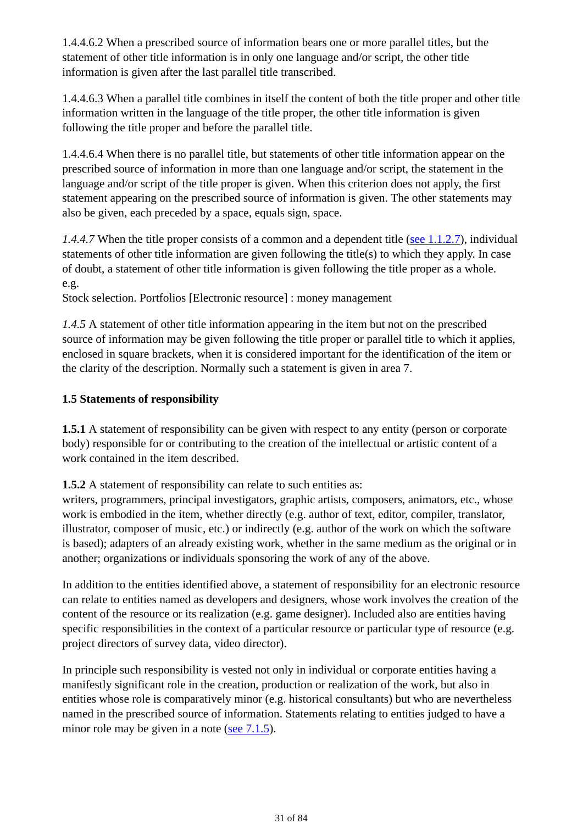1.4.4.6.2 When a prescribed source of information bears one or more parallel titles, but the statement of other title information is in only one language and/or script, the other title information is given after the last parallel title transcribed.

1.4.4.6.3 When a parallel title combines in itself the content of both the title proper and other title information written in the language of the title proper, the other title information is given following the title proper and before the parallel title.

1.4.4.6.4 When there is no parallel title, but statements of other title information appear on the prescribed source of information in more than one language and/or script, the statement in the language and/or script of the title proper is given. When this criterion does not apply, the first statement appearing on the prescribed source of information is given. The other statements may also be given, each preceded by a space, equals sign, space.

*1.4.4.7* When the title proper consists of a common and a dependent title (see 1.1.2.7), individual statements of other title information are given following the title(s) to which they apply. In case of doubt, a statement of other title information is given following the title proper as a whole. e.g.

Stock selection. Portfolios [Electronic resource] : money management

*1.4.5* A statement of other title information appearing in the item but not on the prescribed source of information may be given following the title proper or parallel title to which it applies, enclosed in square brackets, when it is considered important for the identification of the item or the clarity of the description. Normally such a statement is given in area 7.

#### **1.5 Statements of responsibility**

**1.5.1** A statement of responsibility can be given with respect to any entity (person or corporate body) responsible for or contributing to the creation of the intellectual or artistic content of a work contained in the item described.

**1.5.2** A statement of responsibility can relate to such entities as:

writers, programmers, principal investigators, graphic artists, composers, animators, etc., whose work is embodied in the item, whether directly (e.g. author of text, editor, compiler, translator, illustrator, composer of music, etc.) or indirectly (e.g. author of the work on which the software is based); adapters of an already existing work, whether in the same medium as the original or in another; organizations or individuals sponsoring the work of any of the above.

In addition to the entities identified above, a statement of responsibility for an electronic resource can relate to entities named as developers and designers, whose work involves the creation of the content of the resource or its realization (e.g. game designer). Included also are entities having specific responsibilities in the context of a particular resource or particular type of resource (e.g. project directors of survey data, video director).

In principle such responsibility is vested not only in individual or corporate entities having a manifestly significant role in the creation, production or realization of the work, but also in entities whose role is comparatively minor (e.g. historical consultants) but who are nevertheless named in the prescribed source of information. Statements relating to entities judged to have a minor role may be given in a note (see 7.1.5).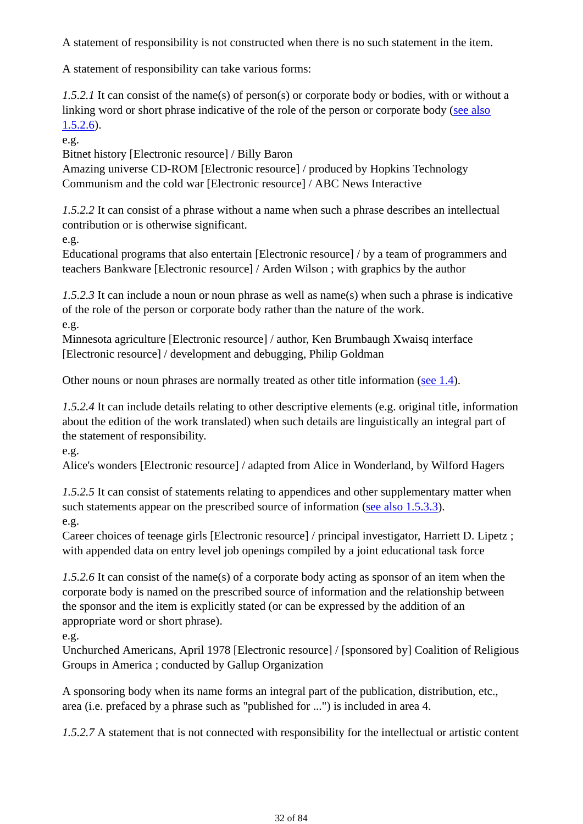A statement of responsibility is not constructed when there is no such statement in the item.

A statement of responsibility can take various forms:

*1.5.2.1* It can consist of the name(s) of person(s) or corporate body or bodies, with or without a linking word or short phrase indicative of the role of the person or corporate body (see also  $1.5.2.6$ .

e.g.

Bitnet history [Electronic resource] / Billy Baron

Amazing universe CD-ROM [Electronic resource] / produced by Hopkins Technology Communism and the cold war [Electronic resource] / ABC News Interactive

*1.5.2.2* It can consist of a phrase without a name when such a phrase describes an intellectual contribution or is otherwise significant.

e.g.

Educational programs that also entertain [Electronic resource] / by a team of programmers and teachers Bankware [Electronic resource] / Arden Wilson ; with graphics by the author

*1.5.2.3* It can include a noun or noun phrase as well as name(s) when such a phrase is indicative of the role of the person or corporate body rather than the nature of the work. e.g.

Minnesota agriculture [Electronic resource] / author, Ken Brumbaugh Xwaisq interface [Electronic resource] / development and debugging, Philip Goldman

Other nouns or noun phrases are normally treated as other title information (see 1.4).

*1.5.2.4* It can include details relating to other descriptive elements (e.g. original title, information about the edition of the work translated) when such details are linguistically an integral part of the statement of responsibility.

e.g.

Alice's wonders [Electronic resource] / adapted from Alice in Wonderland, by Wilford Hagers

*1.5.2.5* It can consist of statements relating to appendices and other supplementary matter when such statements appear on the prescribed source of information (see also 1.5.3.3). e.g.

Career choices of teenage girls [Electronic resource] / principal investigator, Harriett D. Lipetz ; with appended data on entry level job openings compiled by a joint educational task force

*1.5.2.6* It can consist of the name(s) of a corporate body acting as sponsor of an item when the corporate body is named on the prescribed source of information and the relationship between the sponsor and the item is explicitly stated (or can be expressed by the addition of an appropriate word or short phrase).

e.g.

Unchurched Americans, April 1978 [Electronic resource] / [sponsored by] Coalition of Religious Groups in America ; conducted by Gallup Organization

A sponsoring body when its name forms an integral part of the publication, distribution, etc., area (i.e. prefaced by a phrase such as "published for ...") is included in area 4.

*1.5.2.7* A statement that is not connected with responsibility for the intellectual or artistic content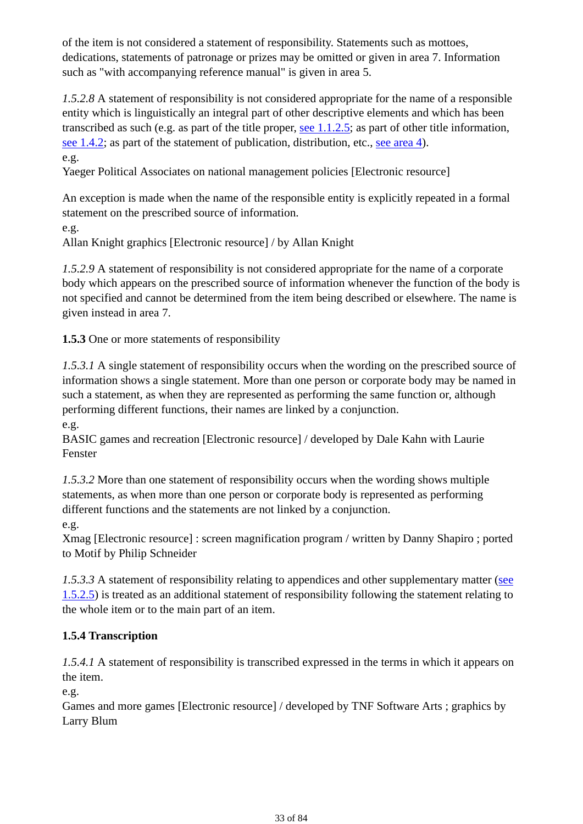of the item is not considered a statement of responsibility. Statements such as mottoes, dedications, statements of patronage or prizes may be omitted or given in area 7. Information such as "with accompanying reference manual" is given in area 5.

*1.5.2.8* A statement of responsibility is not considered appropriate for the name of a responsible entity which is linguistically an integral part of other descriptive elements and which has been transcribed as such (e.g. as part of the title proper, see 1.1.2.5; as part of other title information, see 1.4.2; as part of the statement of publication, distribution, etc., see area 4). e.g.

Yaeger Political Associates on national management policies [Electronic resource]

An exception is made when the name of the responsible entity is explicitly repeated in a formal statement on the prescribed source of information.

e.g.

Allan Knight graphics [Electronic resource] / by Allan Knight

*1.5.2.9* A statement of responsibility is not considered appropriate for the name of a corporate body which appears on the prescribed source of information whenever the function of the body is not specified and cannot be determined from the item being described or elsewhere. The name is given instead in area 7.

**1.5.3** One or more statements of responsibility

*1.5.3.1* A single statement of responsibility occurs when the wording on the prescribed source of information shows a single statement. More than one person or corporate body may be named in such a statement, as when they are represented as performing the same function or, although performing different functions, their names are linked by a conjunction. e.g.

BASIC games and recreation [Electronic resource] / developed by Dale Kahn with Laurie Fenster

*1.5.3.2* More than one statement of responsibility occurs when the wording shows multiple statements, as when more than one person or corporate body is represented as performing different functions and the statements are not linked by a conjunction.

e.g.

Xmag [Electronic resource] : screen magnification program / written by Danny Shapiro ; ported to Motif by Philip Schneider

*1.5.3.3* A statement of responsibility relating to appendices and other supplementary matter (see 1.5.2.5) is treated as an additional statement of responsibility following the statement relating to the whole item or to the main part of an item.

### **1.5.4 Transcription**

*1.5.4.1* A statement of responsibility is transcribed expressed in the terms in which it appears on the item.

e.g.

Games and more games [Electronic resource] / developed by TNF Software Arts ; graphics by Larry Blum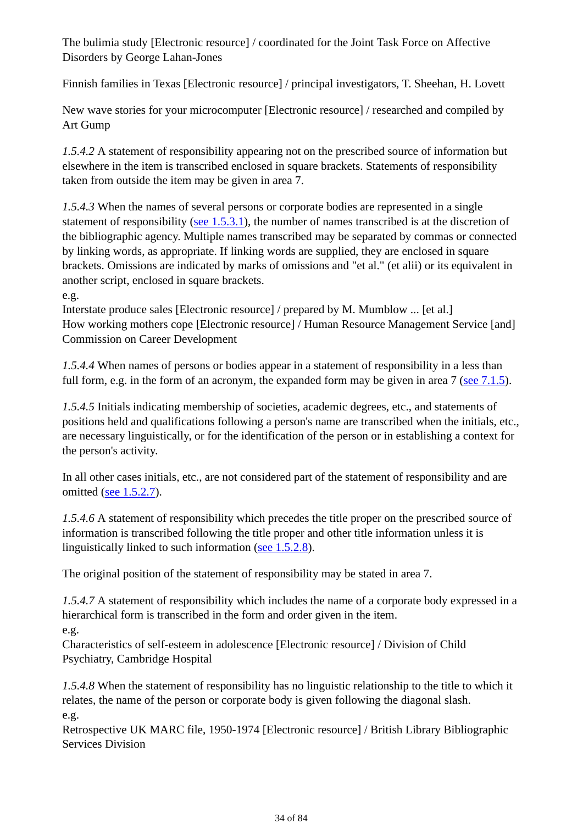The bulimia study [Electronic resource] / coordinated for the Joint Task Force on Affective Disorders by George Lahan-Jones

Finnish families in Texas [Electronic resource] / principal investigators, T. Sheehan, H. Lovett

New wave stories for your microcomputer [Electronic resource] / researched and compiled by Art Gump

*1.5.4.2* A statement of responsibility appearing not on the prescribed source of information but elsewhere in the item is transcribed enclosed in square brackets. Statements of responsibility taken from outside the item may be given in area 7.

*1.5.4.3* When the names of several persons or corporate bodies are represented in a single statement of responsibility (see 1.5.3.1), the number of names transcribed is at the discretion of the bibliographic agency. Multiple names transcribed may be separated by commas or connected by linking words, as appropriate. If linking words are supplied, they are enclosed in square brackets. Omissions are indicated by marks of omissions and "et al." (et alii) or its equivalent in another script, enclosed in square brackets.

e.g.

Interstate produce sales [Electronic resource] / prepared by M. Mumblow ... [et al.] How working mothers cope [Electronic resource] / Human Resource Management Service [and] Commission on Career Development

*1.5.4.4* When names of persons or bodies appear in a statement of responsibility in a less than full form, e.g. in the form of an acronym, the expanded form may be given in area 7 (see 7.1.5).

*1.5.4.5* Initials indicating membership of societies, academic degrees, etc., and statements of positions held and qualifications following a person's name are transcribed when the initials, etc., are necessary linguistically, or for the identification of the person or in establishing a context for the person's activity.

In all other cases initials, etc., are not considered part of the statement of responsibility and are omitted (see 1.5.2.7).

*1.5.4.6* A statement of responsibility which precedes the title proper on the prescribed source of information is transcribed following the title proper and other title information unless it is linguistically linked to such information (see 1.5.2.8).

The original position of the statement of responsibility may be stated in area 7.

*1.5.4.7* A statement of responsibility which includes the name of a corporate body expressed in a hierarchical form is transcribed in the form and order given in the item.

e.g.

Characteristics of self-esteem in adolescence [Electronic resource] / Division of Child Psychiatry, Cambridge Hospital

*1.5.4.8* When the statement of responsibility has no linguistic relationship to the title to which it relates, the name of the person or corporate body is given following the diagonal slash. e.g.

Retrospective UK MARC file, 1950-1974 [Electronic resource] / British Library Bibliographic Services Division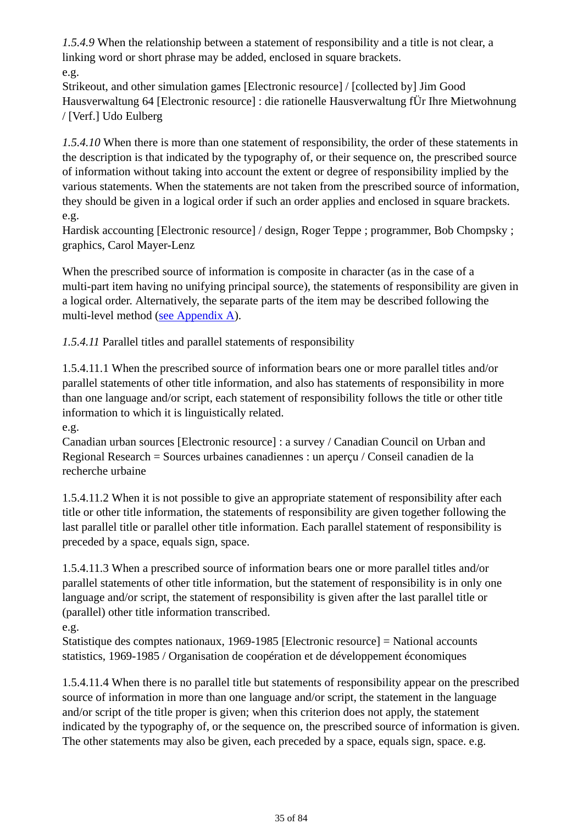*1.5.4.9* When the relationship between a statement of responsibility and a title is not clear, a linking word or short phrase may be added, enclosed in square brackets.

e.g.

Strikeout, and other simulation games [Electronic resource] / [collected by] Jim Good Hausverwaltung 64 [Electronic resource] : die rationelle Hausverwaltung fÜr Ihre Mietwohnung / [Verf.] Udo Eulberg

*1.5.4.10* When there is more than one statement of responsibility, the order of these statements in the description is that indicated by the typography of, or their sequence on, the prescribed source of information without taking into account the extent or degree of responsibility implied by the various statements. When the statements are not taken from the prescribed source of information, they should be given in a logical order if such an order applies and enclosed in square brackets. e.g.

Hardisk accounting [Electronic resource] / design, Roger Teppe ; programmer, Bob Chompsky ; graphics, Carol Mayer-Lenz

When the prescribed source of information is composite in character (as in the case of a multi-part item having no unifying principal source), the statements of responsibility are given in a logical order. Alternatively, the separate parts of the item may be described following the multi-level method (see Appendix A).

*1.5.4.11* Parallel titles and parallel statements of responsibility

1.5.4.11.1 When the prescribed source of information bears one or more parallel titles and/or parallel statements of other title information, and also has statements of responsibility in more than one language and/or script, each statement of responsibility follows the title or other title information to which it is linguistically related.

e.g.

Canadian urban sources [Electronic resource] : a survey / Canadian Council on Urban and Regional Research = Sources urbaines canadiennes : un aperçu / Conseil canadien de la recherche urbaine

1.5.4.11.2 When it is not possible to give an appropriate statement of responsibility after each title or other title information, the statements of responsibility are given together following the last parallel title or parallel other title information. Each parallel statement of responsibility is preceded by a space, equals sign, space.

1.5.4.11.3 When a prescribed source of information bears one or more parallel titles and/or parallel statements of other title information, but the statement of responsibility is in only one language and/or script, the statement of responsibility is given after the last parallel title or (parallel) other title information transcribed.

e.g.

Statistique des comptes nationaux, 1969-1985 [Electronic resource] = National accounts statistics, 1969-1985 / Organisation de coopération et de développement économiques

1.5.4.11.4 When there is no parallel title but statements of responsibility appear on the prescribed source of information in more than one language and/or script, the statement in the language and/or script of the title proper is given; when this criterion does not apply, the statement indicated by the typography of, or the sequence on, the prescribed source of information is given. The other statements may also be given, each preceded by a space, equals sign, space. e.g.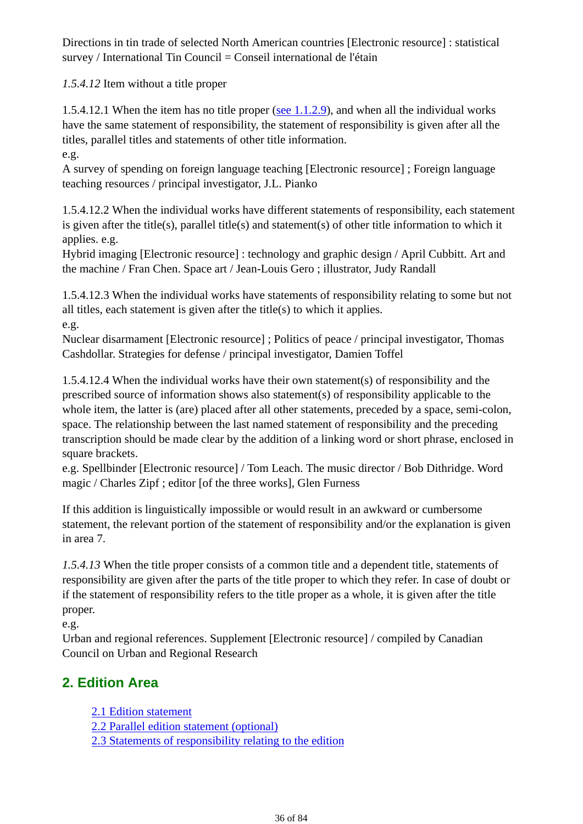Directions in tin trade of selected North American countries [Electronic resource] : statistical survey / International Tin Council = Conseil international de l'étain

*1.5.4.12* Item without a title proper

1.5.4.12.1 When the item has no title proper (see 1.1.2.9), and when all the individual works have the same statement of responsibility, the statement of responsibility is given after all the titles, parallel titles and statements of other title information. e.g.

A survey of spending on foreign language teaching [Electronic resource] ; Foreign language teaching resources / principal investigator, J.L. Pianko

1.5.4.12.2 When the individual works have different statements of responsibility, each statement is given after the title(s), parallel title(s) and statement(s) of other title information to which it applies. e.g.

Hybrid imaging [Electronic resource] : technology and graphic design / April Cubbitt. Art and the machine / Fran Chen. Space art / Jean-Louis Gero ; illustrator, Judy Randall

1.5.4.12.3 When the individual works have statements of responsibility relating to some but not all titles, each statement is given after the title(s) to which it applies. e.g.

Nuclear disarmament [Electronic resource] ; Politics of peace / principal investigator, Thomas Cashdollar. Strategies for defense / principal investigator, Damien Toffel

1.5.4.12.4 When the individual works have their own statement(s) of responsibility and the prescribed source of information shows also statement(s) of responsibility applicable to the whole item, the latter is (are) placed after all other statements, preceded by a space, semi-colon, space. The relationship between the last named statement of responsibility and the preceding transcription should be made clear by the addition of a linking word or short phrase, enclosed in square brackets.

e.g. Spellbinder [Electronic resource] / Tom Leach. The music director / Bob Dithridge. Word magic / Charles Zipf ; editor [of the three works], Glen Furness

If this addition is linguistically impossible or would result in an awkward or cumbersome statement, the relevant portion of the statement of responsibility and/or the explanation is given in area 7.

*1.5.4.13* When the title proper consists of a common title and a dependent title, statements of responsibility are given after the parts of the title proper to which they refer. In case of doubt or if the statement of responsibility refers to the title proper as a whole, it is given after the title proper.

e.g.

Urban and regional references. Supplement [Electronic resource] / compiled by Canadian Council on Urban and Regional Research

# **2. Edition Area**

2.1 Edition statement

2.2 Parallel edition statement (optional)

2.3 Statements of responsibility relating to the edition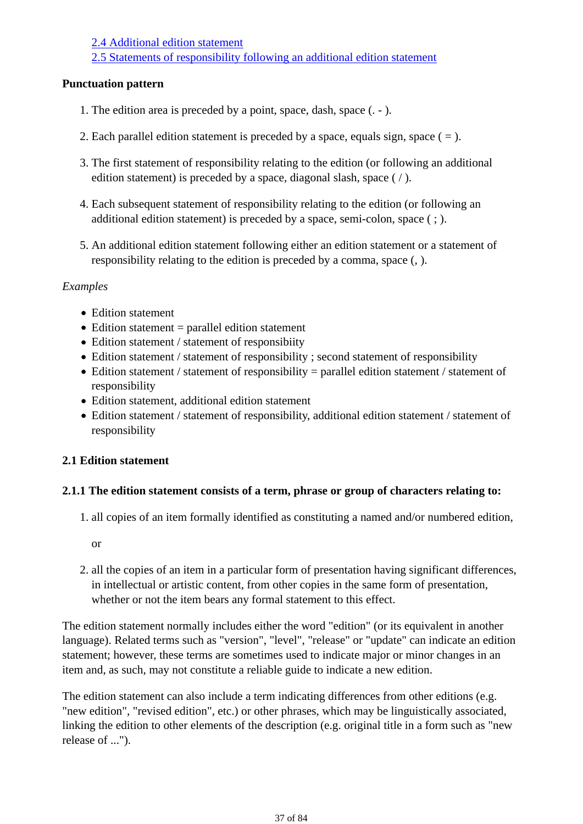2.4 Additional edition statement

2.5 Statements of responsibility following an additional edition statement

#### **Punctuation pattern**

- 1. The edition area is preceded by a point, space, dash, space (. ).
- 2. Each parallel edition statement is preceded by a space, equals sign, space  $( = ).$
- 3. The first statement of responsibility relating to the edition (or following an additional edition statement) is preceded by a space, diagonal slash, space (/).
- Each subsequent statement of responsibility relating to the edition (or following an 4. additional edition statement) is preceded by a space, semi-colon, space ( ; ).
- 5. An additional edition statement following either an edition statement or a statement of responsibility relating to the edition is preceded by a comma, space (, ).

#### *Examples*

- Edition statement
- $\bullet$  Edition statement = parallel edition statement
- Edition statement / statement of responsibiity
- Edition statement / statement of responsibility ; second statement of responsibility
- Edition statement / statement of responsibility = parallel edition statement / statement of responsibility
- Edition statement, additional edition statement
- Edition statement / statement of responsibility, additional edition statement / statement of responsibility

#### **2.1 Edition statement**

#### **2.1.1 The edition statement consists of a term, phrase or group of characters relating to:**

1. all copies of an item formally identified as constituting a named and/or numbered edition,

or

2. all the copies of an item in a particular form of presentation having significant differences, in intellectual or artistic content, from other copies in the same form of presentation, whether or not the item bears any formal statement to this effect.

The edition statement normally includes either the word "edition" (or its equivalent in another language). Related terms such as "version", "level", "release" or "update" can indicate an edition statement; however, these terms are sometimes used to indicate major or minor changes in an item and, as such, may not constitute a reliable guide to indicate a new edition.

The edition statement can also include a term indicating differences from other editions (e.g. "new edition", "revised edition", etc.) or other phrases, which may be linguistically associated, linking the edition to other elements of the description (e.g. original title in a form such as "new release of ...").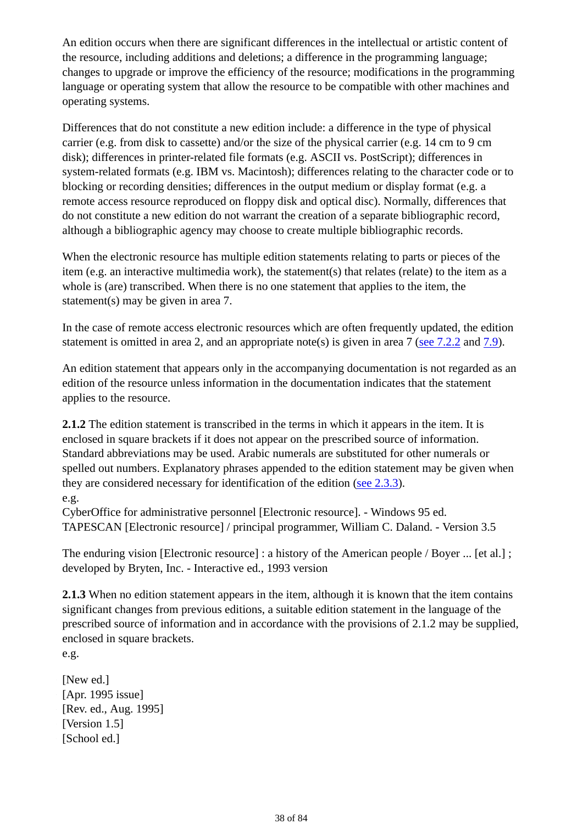An edition occurs when there are significant differences in the intellectual or artistic content of the resource, including additions and deletions; a difference in the programming language; changes to upgrade or improve the efficiency of the resource; modifications in the programming language or operating system that allow the resource to be compatible with other machines and operating systems.

Differences that do not constitute a new edition include: a difference in the type of physical carrier (e.g. from disk to cassette) and/or the size of the physical carrier (e.g. 14 cm to 9 cm disk); differences in printer-related file formats (e.g. ASCII vs. PostScript); differences in system-related formats (e.g. IBM vs. Macintosh); differences relating to the character code or to blocking or recording densities; differences in the output medium or display format (e.g. a remote access resource reproduced on floppy disk and optical disc). Normally, differences that do not constitute a new edition do not warrant the creation of a separate bibliographic record, although a bibliographic agency may choose to create multiple bibliographic records.

When the electronic resource has multiple edition statements relating to parts or pieces of the item (e.g. an interactive multimedia work), the statement(s) that relates (relate) to the item as a whole is (are) transcribed. When there is no one statement that applies to the item, the statement(s) may be given in area 7.

In the case of remote access electronic resources which are often frequently updated, the edition statement is omitted in area 2, and an appropriate note(s) is given in area 7 (see 7.2.2 and 7.9).

An edition statement that appears only in the accompanying documentation is not regarded as an edition of the resource unless information in the documentation indicates that the statement applies to the resource.

**2.1.2** The edition statement is transcribed in the terms in which it appears in the item. It is enclosed in square brackets if it does not appear on the prescribed source of information. Standard abbreviations may be used. Arabic numerals are substituted for other numerals or spelled out numbers. Explanatory phrases appended to the edition statement may be given when they are considered necessary for identification of the edition (see 2.3.3). e.g.

CyberOffice for administrative personnel [Electronic resource]. - Windows 95 ed. TAPESCAN [Electronic resource] / principal programmer, William C. Daland. - Version 3.5

The enduring vision [Electronic resource] : a history of the American people / Boyer ... [et al.] ; developed by Bryten, Inc. - Interactive ed., 1993 version

**2.1.3** When no edition statement appears in the item, although it is known that the item contains significant changes from previous editions, a suitable edition statement in the language of the prescribed source of information and in accordance with the provisions of 2.1.2 may be supplied, enclosed in square brackets.

- e.g.
- [New ed.]
- [Apr. 1995 issue]
- [Rev. ed., Aug. 1995]
- [Version 1.5]
- [School ed.]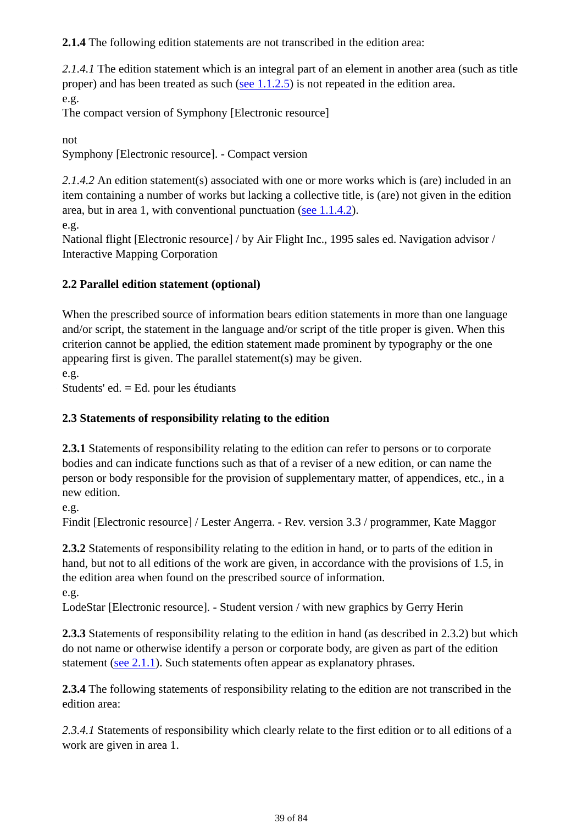**2.1.4** The following edition statements are not transcribed in the edition area:

*2.1.4.1* The edition statement which is an integral part of an element in another area (such as title proper) and has been treated as such (see  $1.1.2.5$ ) is not repeated in the edition area. e.g.

The compact version of Symphony [Electronic resource]

not Symphony [Electronic resource]. - Compact version

*2.1.4.2* An edition statement(s) associated with one or more works which is (are) included in an item containing a number of works but lacking a collective title, is (are) not given in the edition area, but in area 1, with conventional punctuation (see 1.1.4.2). e.g.

National flight [Electronic resource] / by Air Flight Inc., 1995 sales ed. Navigation advisor / Interactive Mapping Corporation

## **2.2 Parallel edition statement (optional)**

When the prescribed source of information bears edition statements in more than one language and/or script, the statement in the language and/or script of the title proper is given. When this criterion cannot be applied, the edition statement made prominent by typography or the one appearing first is given. The parallel statement(s) may be given.

e.g.

Students' ed. = Ed. pour les étudiants

## **2.3 Statements of responsibility relating to the edition**

**2.3.1** Statements of responsibility relating to the edition can refer to persons or to corporate bodies and can indicate functions such as that of a reviser of a new edition, or can name the person or body responsible for the provision of supplementary matter, of appendices, etc., in a new edition.

e.g.

Findit [Electronic resource] / Lester Angerra. - Rev. version 3.3 / programmer, Kate Maggor

**2.3.2** Statements of responsibility relating to the edition in hand, or to parts of the edition in hand, but not to all editions of the work are given, in accordance with the provisions of 1.5, in the edition area when found on the prescribed source of information.

e.g.

LodeStar [Electronic resource]. - Student version / with new graphics by Gerry Herin

**2.3.3** Statements of responsibility relating to the edition in hand (as described in 2.3.2) but which do not name or otherwise identify a person or corporate body, are given as part of the edition statement (see 2.1.1). Such statements often appear as explanatory phrases.

**2.3.4** The following statements of responsibility relating to the edition are not transcribed in the edition area:

*2.3.4.1* Statements of responsibility which clearly relate to the first edition or to all editions of a work are given in area 1.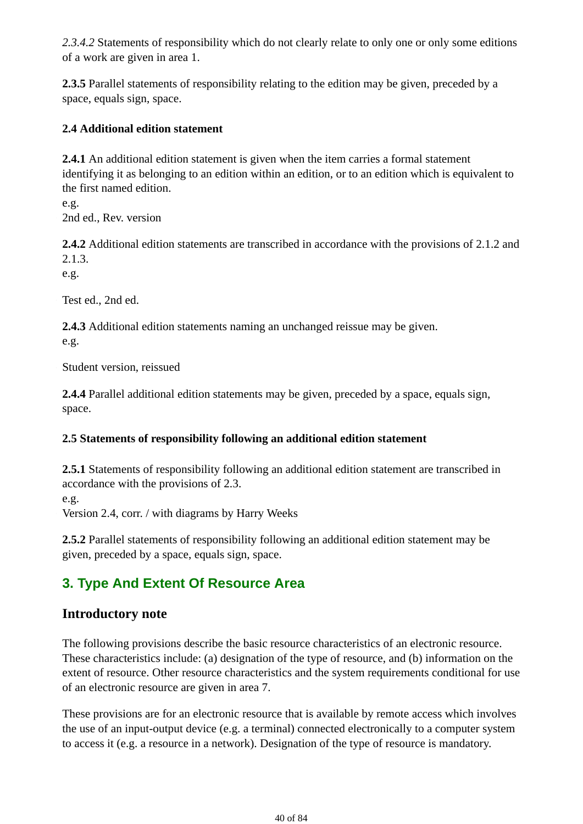*2.3.4.2* Statements of responsibility which do not clearly relate to only one or only some editions of a work are given in area 1.

**2.3.5** Parallel statements of responsibility relating to the edition may be given, preceded by a space, equals sign, space.

## **2.4 Additional edition statement**

**2.4.1** An additional edition statement is given when the item carries a formal statement identifying it as belonging to an edition within an edition, or to an edition which is equivalent to the first named edition.

e.g.

2nd ed., Rev. version

**2.4.2** Additional edition statements are transcribed in accordance with the provisions of 2.1.2 and 2.1.3.

e.g.

Test ed., 2nd ed.

**2.4.3** Additional edition statements naming an unchanged reissue may be given. e.g.

Student version, reissued

**2.4.4** Parallel additional edition statements may be given, preceded by a space, equals sign, space.

## **2.5 Statements of responsibility following an additional edition statement**

**2.5.1** Statements of responsibility following an additional edition statement are transcribed in accordance with the provisions of 2.3.

e.g.

Version 2.4, corr. / with diagrams by Harry Weeks

**2.5.2** Parallel statements of responsibility following an additional edition statement may be given, preceded by a space, equals sign, space.

# **3. Type And Extent Of Resource Area**

# **Introductory note**

The following provisions describe the basic resource characteristics of an electronic resource. These characteristics include: (a) designation of the type of resource, and (b) information on the extent of resource. Other resource characteristics and the system requirements conditional for use of an electronic resource are given in area 7.

These provisions are for an electronic resource that is available by remote access which involves the use of an input-output device (e.g. a terminal) connected electronically to a computer system to access it (e.g. a resource in a network). Designation of the type of resource is mandatory.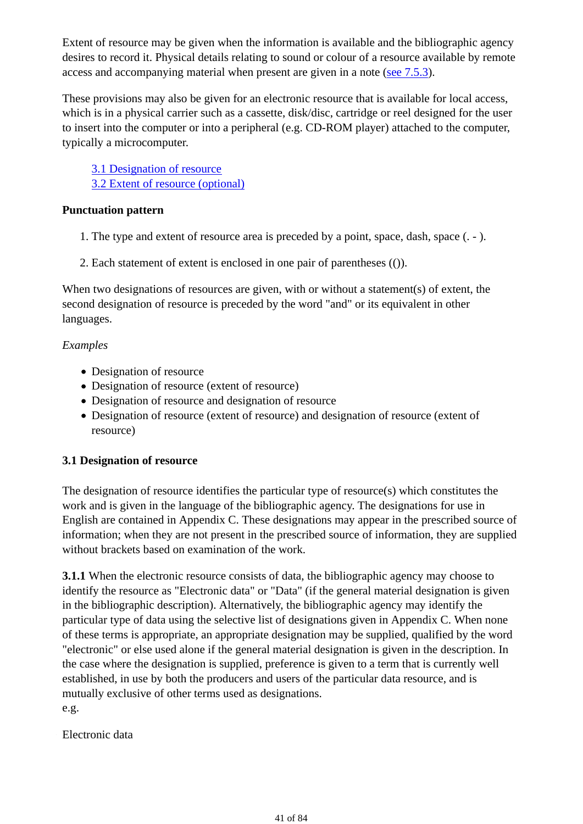Extent of resource may be given when the information is available and the bibliographic agency desires to record it. Physical details relating to sound or colour of a resource available by remote access and accompanying material when present are given in a note (see 7.5.3).

These provisions may also be given for an electronic resource that is available for local access, which is in a physical carrier such as a cassette, disk/disc, cartridge or reel designed for the user to insert into the computer or into a peripheral (e.g. CD-ROM player) attached to the computer, typically a microcomputer.

3.1 Designation of resource 3.2 Extent of resource (optional)

## **Punctuation pattern**

- 1. The type and extent of resource area is preceded by a point, space, dash, space (. ).
- 2. Each statement of extent is enclosed in one pair of parentheses (()).

When two designations of resources are given, with or without a statement(s) of extent, the second designation of resource is preceded by the word "and" or its equivalent in other languages.

## *Examples*

- Designation of resource
- Designation of resource (extent of resource)
- Designation of resource and designation of resource
- Designation of resource (extent of resource) and designation of resource (extent of resource)

# **3.1 Designation of resource**

The designation of resource identifies the particular type of resource(s) which constitutes the work and is given in the language of the bibliographic agency. The designations for use in English are contained in Appendix C. These designations may appear in the prescribed source of information; when they are not present in the prescribed source of information, they are supplied without brackets based on examination of the work.

**3.1.1** When the electronic resource consists of data, the bibliographic agency may choose to identify the resource as "Electronic data" or "Data" (if the general material designation is given in the bibliographic description). Alternatively, the bibliographic agency may identify the particular type of data using the selective list of designations given in Appendix C. When none of these terms is appropriate, an appropriate designation may be supplied, qualified by the word "electronic" or else used alone if the general material designation is given in the description. In the case where the designation is supplied, preference is given to a term that is currently well established, in use by both the producers and users of the particular data resource, and is mutually exclusive of other terms used as designations. e.g.

Electronic data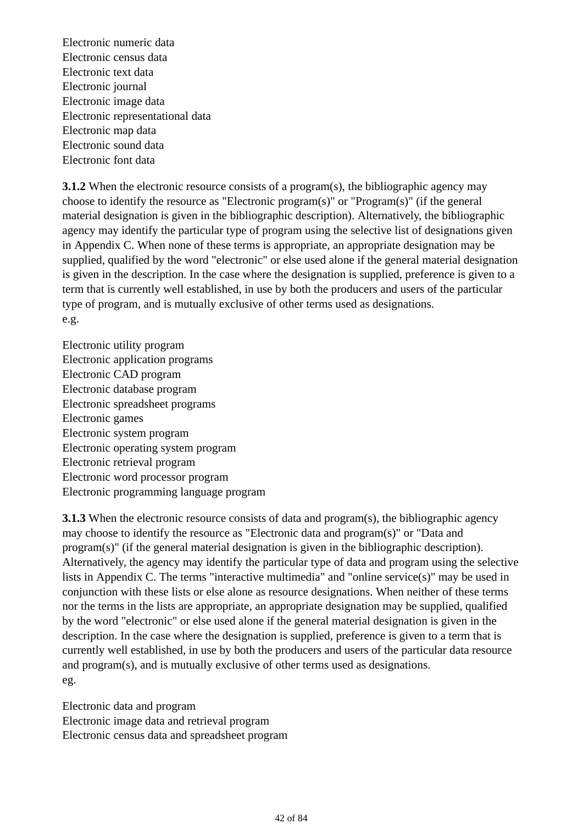- Electronic numeric data
- Electronic census data
- Electronic text data
- Electronic journal
- Electronic image data
- Electronic representational data
- Electronic map data
- Electronic sound data
- Electronic font data

**3.1.2** When the electronic resource consists of a program(s), the bibliographic agency may choose to identify the resource as "Electronic program(s)" or "Program(s)" (if the general material designation is given in the bibliographic description). Alternatively, the bibliographic agency may identify the particular type of program using the selective list of designations given in Appendix C. When none of these terms is appropriate, an appropriate designation may be supplied, qualified by the word "electronic" or else used alone if the general material designation is given in the description. In the case where the designation is supplied, preference is given to a term that is currently well established, in use by both the producers and users of the particular type of program, and is mutually exclusive of other terms used as designations. e.g.

- Electronic utility program
- Electronic application programs
- Electronic CAD program
- Electronic database program
- Electronic spreadsheet programs
- Electronic games
- Electronic system program
- Electronic operating system program
- Electronic retrieval program
- Electronic word processor program
- Electronic programming language program

**3.1.3** When the electronic resource consists of data and program(s), the bibliographic agency may choose to identify the resource as "Electronic data and program(s)" or "Data and program(s)" (if the general material designation is given in the bibliographic description). Alternatively, the agency may identify the particular type of data and program using the selective lists in Appendix C. The terms "interactive multimedia" and "online service(s)" may be used in conjunction with these lists or else alone as resource designations. When neither of these terms nor the terms in the lists are appropriate, an appropriate designation may be supplied, qualified by the word "electronic" or else used alone if the general material designation is given in the description. In the case where the designation is supplied, preference is given to a term that is currently well established, in use by both the producers and users of the particular data resource and program(s), and is mutually exclusive of other terms used as designations. eg.

- Electronic data and program
- Electronic image data and retrieval program
- Electronic census data and spreadsheet program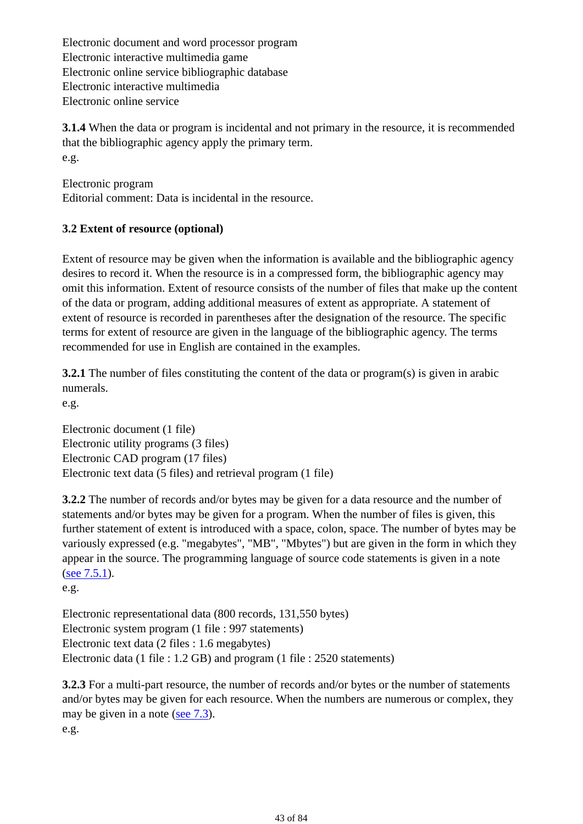- Electronic document and word processor program
- Electronic interactive multimedia game
- Electronic online service bibliographic database
- Electronic interactive multimedia
- Electronic online service

**3.1.4** When the data or program is incidental and not primary in the resource, it is recommended that the bibliographic agency apply the primary term. e.g.

Electronic program Editorial comment: Data is incidental in the resource.

## **3.2 Extent of resource (optional)**

Extent of resource may be given when the information is available and the bibliographic agency desires to record it. When the resource is in a compressed form, the bibliographic agency may omit this information. Extent of resource consists of the number of files that make up the content of the data or program, adding additional measures of extent as appropriate. A statement of extent of resource is recorded in parentheses after the designation of the resource. The specific terms for extent of resource are given in the language of the bibliographic agency. The terms recommended for use in English are contained in the examples.

**3.2.1** The number of files constituting the content of the data or program(s) is given in arabic numerals.

e.g.

- Electronic document (1 file)
- Electronic utility programs (3 files)
- Electronic CAD program (17 files)
- Electronic text data (5 files) and retrieval program (1 file)

**3.2.2** The number of records and/or bytes may be given for a data resource and the number of statements and/or bytes may be given for a program. When the number of files is given, this further statement of extent is introduced with a space, colon, space. The number of bytes may be variously expressed (e.g. "megabytes", "MB", "Mbytes") but are given in the form in which they appear in the source. The programming language of source code statements is given in a note (see 7.5.1).

e.g.

- Electronic representational data (800 records, 131,550 bytes)
- Electronic system program (1 file : 997 statements)
- Electronic text data (2 files : 1.6 megabytes)
- Electronic data (1 file : 1.2 GB) and program (1 file : 2520 statements)

**3.2.3** For a multi-part resource, the number of records and/or bytes or the number of statements and/or bytes may be given for each resource. When the numbers are numerous or complex, they may be given in a note (see 7.3).

e.g.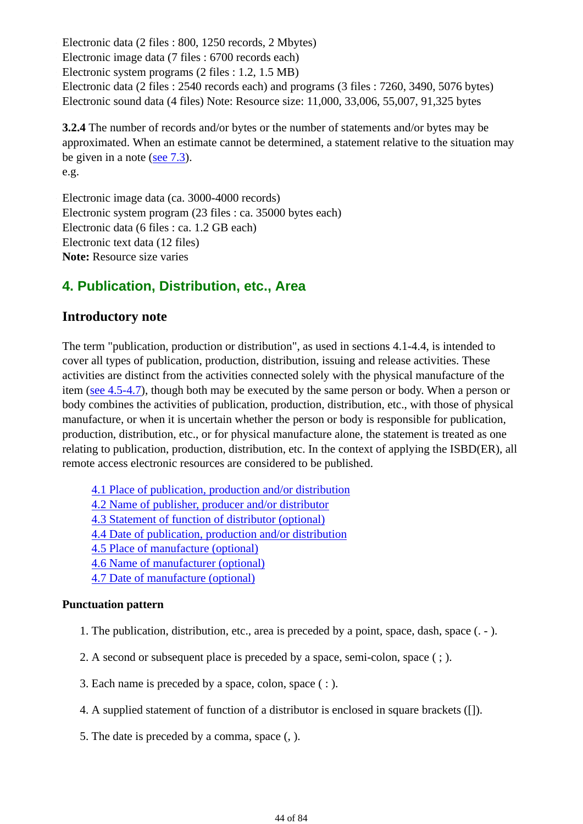- Electronic data (2 files : 800, 1250 records, 2 Mbytes)
- Electronic image data (7 files : 6700 records each)
- Electronic system programs (2 files : 1.2, 1.5 MB)
- Electronic data (2 files : 2540 records each) and programs (3 files : 7260, 3490, 5076 bytes)
- Electronic sound data (4 files) Note: Resource size: 11,000, 33,006, 55,007, 91,325 bytes

**3.2.4** The number of records and/or bytes or the number of statements and/or bytes may be approximated. When an estimate cannot be determined, a statement relative to the situation may be given in a note (see 7.3).

e.g.

- Electronic image data (ca. 3000-4000 records)
- Electronic system program (23 files : ca. 35000 bytes each)
- Electronic data (6 files : ca. 1.2 GB each)
- Electronic text data (12 files)

**Note:** Resource size varies

# **4. Publication, Distribution, etc., Area**

#### **Introductory note**

The term "publication, production or distribution", as used in sections 4.1-4.4, is intended to cover all types of publication, production, distribution, issuing and release activities. These activities are distinct from the activities connected solely with the physical manufacture of the item (see 4.5-4.7), though both may be executed by the same person or body. When a person or body combines the activities of publication, production, distribution, etc., with those of physical manufacture, or when it is uncertain whether the person or body is responsible for publication, production, distribution, etc., or for physical manufacture alone, the statement is treated as one relating to publication, production, distribution, etc. In the context of applying the ISBD(ER), all remote access electronic resources are considered to be published.

- 4.1 Place of publication, production and/or distribution
- 4.2 Name of publisher, producer and/or distributor
- 4.3 Statement of function of distributor (optional)
- 4.4 Date of publication, production and/or distribution
- 4.5 Place of manufacture (optional)
- 4.6 Name of manufacturer (optional)
- 4.7 Date of manufacture (optional)

#### **Punctuation pattern**

- 1. The publication, distribution, etc., area is preceded by a point, space, dash, space (. ).
- 2. A second or subsequent place is preceded by a space, semi-colon, space ( ; ).
- 3. Each name is preceded by a space, colon, space ( : ).
- 4. A supplied statement of function of a distributor is enclosed in square brackets ([]).
- 5. The date is preceded by a comma, space (, ).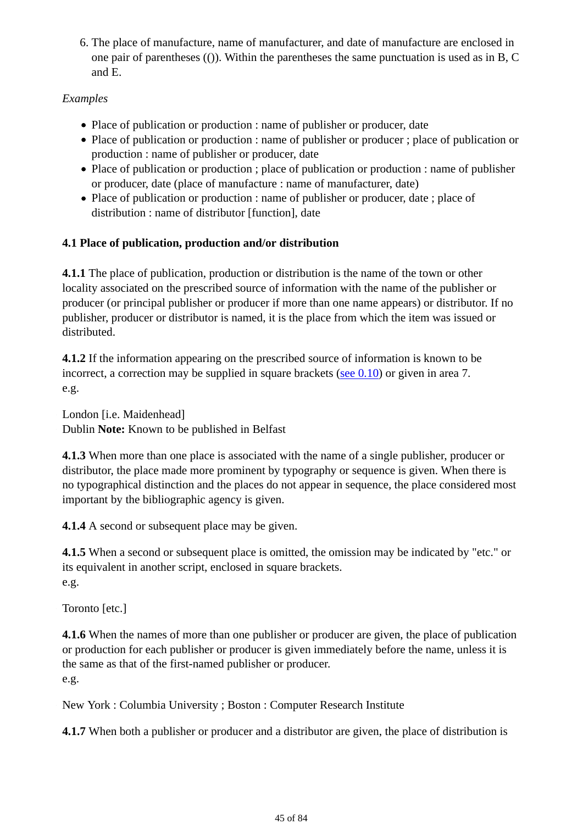6. The place of manufacture, name of manufacturer, and date of manufacture are enclosed in one pair of parentheses (()). Within the parentheses the same punctuation is used as in B, C and E.

## *Examples*

- Place of publication or production : name of publisher or producer, date
- Place of publication or production : name of publisher or producer ; place of publication or production : name of publisher or producer, date
- Place of publication or production ; place of publication or production : name of publisher or producer, date (place of manufacture : name of manufacturer, date)
- Place of publication or production : name of publisher or producer, date ; place of distribution : name of distributor [function], date

## **4.1 Place of publication, production and/or distribution**

**4.1.1** The place of publication, production or distribution is the name of the town or other locality associated on the prescribed source of information with the name of the publisher or producer (or principal publisher or producer if more than one name appears) or distributor. If no publisher, producer or distributor is named, it is the place from which the item was issued or distributed.

**4.1.2** If the information appearing on the prescribed source of information is known to be incorrect, a correction may be supplied in square brackets (see  $0.10$ ) or given in area 7. e.g.

London [i.e. Maidenhead]

Dublin **Note:** Known to be published in Belfast

**4.1.3** When more than one place is associated with the name of a single publisher, producer or distributor, the place made more prominent by typography or sequence is given. When there is no typographical distinction and the places do not appear in sequence, the place considered most important by the bibliographic agency is given.

**4.1.4** A second or subsequent place may be given.

**4.1.5** When a second or subsequent place is omitted, the omission may be indicated by "etc." or its equivalent in another script, enclosed in square brackets. e.g.

Toronto [etc.]

**4.1.6** When the names of more than one publisher or producer are given, the place of publication or production for each publisher or producer is given immediately before the name, unless it is the same as that of the first-named publisher or producer. e.g.

New York : Columbia University ; Boston : Computer Research Institute

**4.1.7** When both a publisher or producer and a distributor are given, the place of distribution is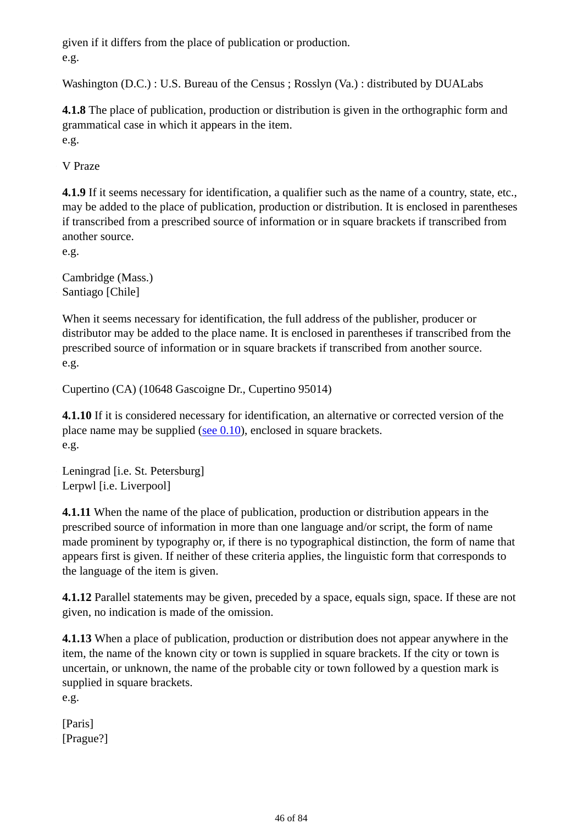given if it differs from the place of publication or production. e.g.

Washington (D.C.) : U.S. Bureau of the Census ; Rosslyn (Va.) : distributed by DUALabs

**4.1.8** The place of publication, production or distribution is given in the orthographic form and grammatical case in which it appears in the item. e.g.

V Praze

**4.1.9** If it seems necessary for identification, a qualifier such as the name of a country, state, etc., may be added to the place of publication, production or distribution. It is enclosed in parentheses if transcribed from a prescribed source of information or in square brackets if transcribed from another source.

e.g.

- Cambridge (Mass.)
- Santiago [Chile]

When it seems necessary for identification, the full address of the publisher, producer or distributor may be added to the place name. It is enclosed in parentheses if transcribed from the prescribed source of information or in square brackets if transcribed from another source. e.g.

Cupertino (CA) (10648 Gascoigne Dr., Cupertino 95014)

**4.1.10** If it is considered necessary for identification, an alternative or corrected version of the place name may be supplied (see  $0.10$ ), enclosed in square brackets. e.g.

- Leningrad [i.e. St. Petersburg]
- Lerpwl [i.e. Liverpool]

**4.1.11** When the name of the place of publication, production or distribution appears in the prescribed source of information in more than one language and/or script, the form of name made prominent by typography or, if there is no typographical distinction, the form of name that appears first is given. If neither of these criteria applies, the linguistic form that corresponds to the language of the item is given.

**4.1.12** Parallel statements may be given, preceded by a space, equals sign, space. If these are not given, no indication is made of the omission.

**4.1.13** When a place of publication, production or distribution does not appear anywhere in the item, the name of the known city or town is supplied in square brackets. If the city or town is uncertain, or unknown, the name of the probable city or town followed by a question mark is supplied in square brackets.

e.g.

[Paris]

[Prague?]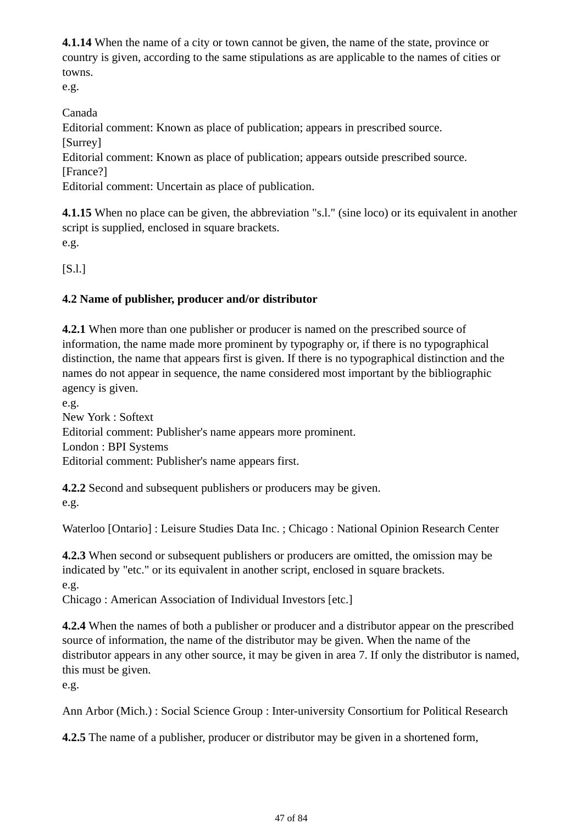**4.1.14** When the name of a city or town cannot be given, the name of the state, province or country is given, according to the same stipulations as are applicable to the names of cities or towns.

e.g.

Canada

Editorial comment: Known as place of publication; appears in prescribed source.

[Surrey]

Editorial comment: Known as place of publication; appears outside prescribed source.

[France?]

Editorial comment: Uncertain as place of publication.

**4.1.15** When no place can be given, the abbreviation "s.l." (sine loco) or its equivalent in another script is supplied, enclosed in square brackets. e.g.

 $[S.1.]$ 

## **4.2 Name of publisher, producer and/or distributor**

**4.2.1** When more than one publisher or producer is named on the prescribed source of information, the name made more prominent by typography or, if there is no typographical distinction, the name that appears first is given. If there is no typographical distinction and the names do not appear in sequence, the name considered most important by the bibliographic agency is given.

e.g.

New York : Softext

Editorial comment: Publisher's name appears more prominent.

London : BPI Systems

Editorial comment: Publisher's name appears first.

**4.2.2** Second and subsequent publishers or producers may be given. e.g.

Waterloo [Ontario] : Leisure Studies Data Inc. ; Chicago : National Opinion Research Center

**4.2.3** When second or subsequent publishers or producers are omitted, the omission may be indicated by "etc." or its equivalent in another script, enclosed in square brackets. e.g.

Chicago : American Association of Individual Investors [etc.]

**4.2.4** When the names of both a publisher or producer and a distributor appear on the prescribed source of information, the name of the distributor may be given. When the name of the distributor appears in any other source, it may be given in area 7. If only the distributor is named, this must be given.

e.g.

Ann Arbor (Mich.) : Social Science Group : Inter-university Consortium for Political Research

**4.2.5** The name of a publisher, producer or distributor may be given in a shortened form,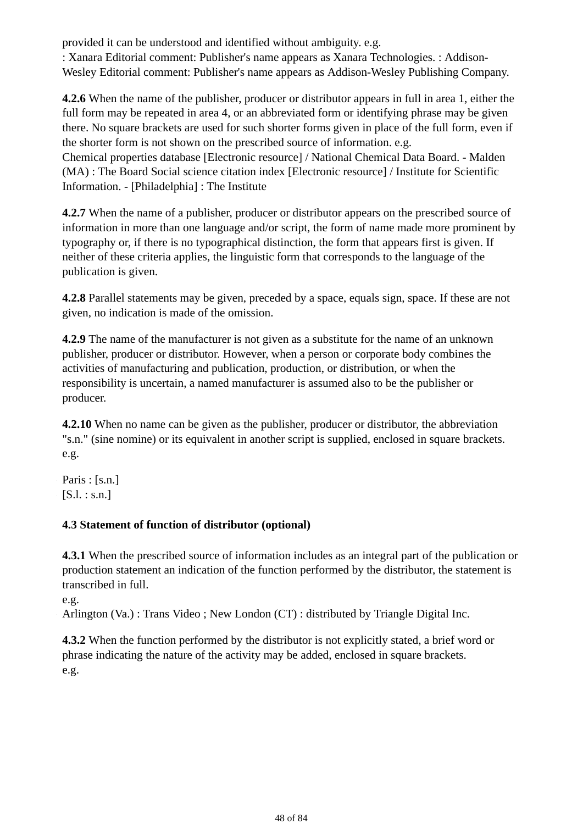provided it can be understood and identified without ambiguity. e.g. : Xanara Editorial comment: Publisher's name appears as Xanara Technologies. : Addison-Wesley Editorial comment: Publisher's name appears as Addison-Wesley Publishing Company.

**4.2.6** When the name of the publisher, producer or distributor appears in full in area 1, either the full form may be repeated in area 4, or an abbreviated form or identifying phrase may be given there. No square brackets are used for such shorter forms given in place of the full form, even if the shorter form is not shown on the prescribed source of information. e.g. Chemical properties database [Electronic resource] / National Chemical Data Board. - Malden (MA) : The Board Social science citation index [Electronic resource] / Institute for Scientific Information. - [Philadelphia] : The Institute

**4.2.7** When the name of a publisher, producer or distributor appears on the prescribed source of information in more than one language and/or script, the form of name made more prominent by typography or, if there is no typographical distinction, the form that appears first is given. If neither of these criteria applies, the linguistic form that corresponds to the language of the publication is given.

**4.2.8** Parallel statements may be given, preceded by a space, equals sign, space. If these are not given, no indication is made of the omission.

**4.2.9** The name of the manufacturer is not given as a substitute for the name of an unknown publisher, producer or distributor. However, when a person or corporate body combines the activities of manufacturing and publication, production, or distribution, or when the responsibility is uncertain, a named manufacturer is assumed also to be the publisher or producer.

**4.2.10** When no name can be given as the publisher, producer or distributor, the abbreviation "s.n." (sine nomine) or its equivalent in another script is supplied, enclosed in square brackets. e.g.

- Paris : [s.n.]
- [S.l. : s.n.]

# **4.3 Statement of function of distributor (optional)**

**4.3.1** When the prescribed source of information includes as an integral part of the publication or production statement an indication of the function performed by the distributor, the statement is transcribed in full.

e.g.

Arlington (Va.) : Trans Video ; New London (CT) : distributed by Triangle Digital Inc.

**4.3.2** When the function performed by the distributor is not explicitly stated, a brief word or phrase indicating the nature of the activity may be added, enclosed in square brackets. e.g.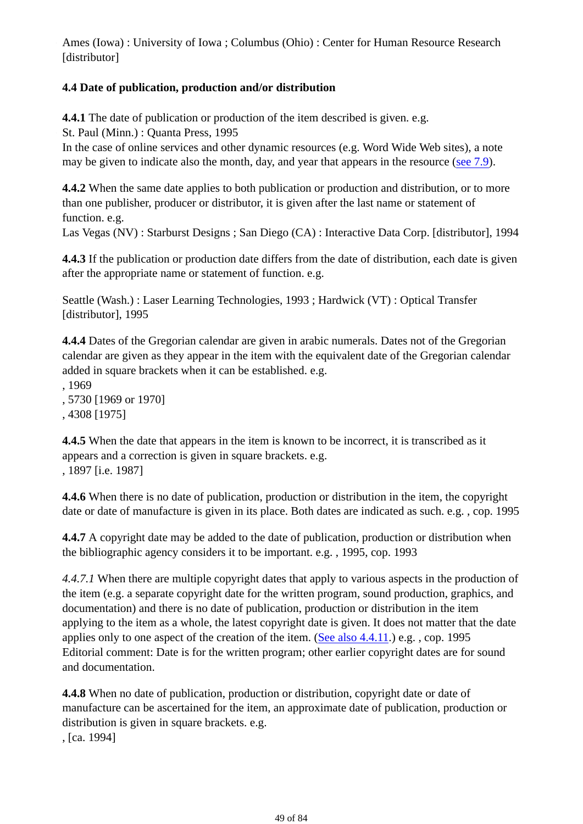Ames (Iowa) : University of Iowa ; Columbus (Ohio) : Center for Human Resource Research [distributor]

## **4.4 Date of publication, production and/or distribution**

**4.4.1** The date of publication or production of the item described is given. e.g.

St. Paul (Minn.) : Quanta Press, 1995

In the case of online services and other dynamic resources (e.g. Word Wide Web sites), a note may be given to indicate also the month, day, and year that appears in the resource (see 7.9).

**4.4.2** When the same date applies to both publication or production and distribution, or to more than one publisher, producer or distributor, it is given after the last name or statement of function. e.g.

Las Vegas (NV) : Starburst Designs ; San Diego (CA) : Interactive Data Corp. [distributor], 1994

**4.4.3** If the publication or production date differs from the date of distribution, each date is given after the appropriate name or statement of function. e.g.

Seattle (Wash.) : Laser Learning Technologies, 1993 ; Hardwick (VT) : Optical Transfer [distributor], 1995

**4.4.4** Dates of the Gregorian calendar are given in arabic numerals. Dates not of the Gregorian calendar are given as they appear in the item with the equivalent date of the Gregorian calendar added in square brackets when it can be established. e.g.

, 1969 , 5730 [1969 or 1970] , 4308 [1975]

**4.4.5** When the date that appears in the item is known to be incorrect, it is transcribed as it appears and a correction is given in square brackets. e.g. , 1897 [i.e. 1987]

**4.4.6** When there is no date of publication, production or distribution in the item, the copyright date or date of manufacture is given in its place. Both dates are indicated as such. e.g. , cop. 1995

**4.4.7** A copyright date may be added to the date of publication, production or distribution when the bibliographic agency considers it to be important. e.g. , 1995, cop. 1993

*4.4.7.1* When there are multiple copyright dates that apply to various aspects in the production of the item (e.g. a separate copyright date for the written program, sound production, graphics, and documentation) and there is no date of publication, production or distribution in the item applying to the item as a whole, the latest copyright date is given. It does not matter that the date applies only to one aspect of the creation of the item. (See also 4.4.11.) e.g. , cop. 1995 Editorial comment: Date is for the written program; other earlier copyright dates are for sound and documentation.

**4.4.8** When no date of publication, production or distribution, copyright date or date of manufacture can be ascertained for the item, an approximate date of publication, production or distribution is given in square brackets. e.g.

, [ca. 1994]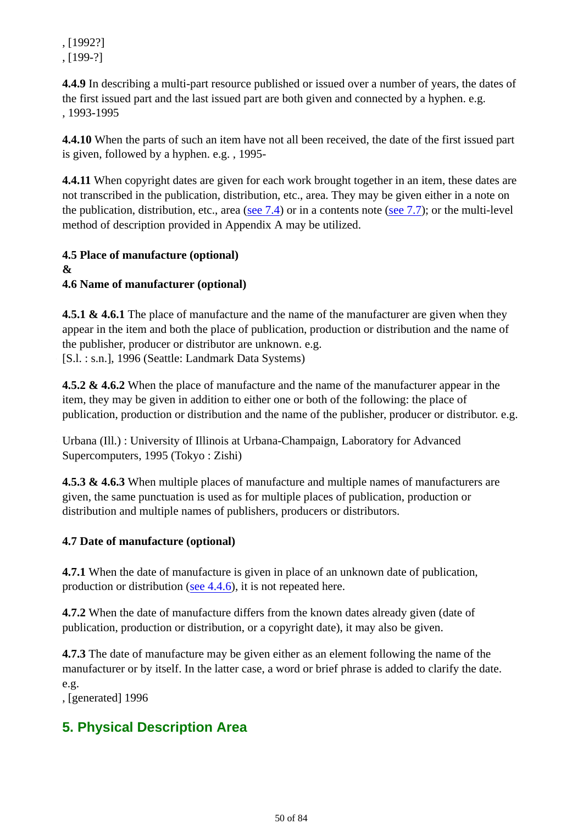, [1992?] , [199-?]

**4.4.9** In describing a multi-part resource published or issued over a number of years, the dates of the first issued part and the last issued part are both given and connected by a hyphen. e.g. , 1993-1995

**4.4.10** When the parts of such an item have not all been received, the date of the first issued part is given, followed by a hyphen. e.g. , 1995-

**4.4.11** When copyright dates are given for each work brought together in an item, these dates are not transcribed in the publication, distribution, etc., area. They may be given either in a note on the publication, distribution, etc., area (see  $7.4$ ) or in a contents note (see  $7.7$ ); or the multi-level method of description provided in Appendix A may be utilized.

**4.5 Place of manufacture (optional) & 4.6 Name of manufacturer (optional)**

**4.5.1 & 4.6.1** The place of manufacture and the name of the manufacturer are given when they appear in the item and both the place of publication, production or distribution and the name of the publisher, producer or distributor are unknown. e.g.

[S.l. : s.n.], 1996 (Seattle: Landmark Data Systems)

**4.5.2 & 4.6.2** When the place of manufacture and the name of the manufacturer appear in the item, they may be given in addition to either one or both of the following: the place of publication, production or distribution and the name of the publisher, producer or distributor. e.g.

Urbana (Ill.) : University of Illinois at Urbana-Champaign, Laboratory for Advanced Supercomputers, 1995 (Tokyo : Zishi)

**4.5.3 & 4.6.3** When multiple places of manufacture and multiple names of manufacturers are given, the same punctuation is used as for multiple places of publication, production or distribution and multiple names of publishers, producers or distributors.

## **4.7 Date of manufacture (optional)**

**4.7.1** When the date of manufacture is given in place of an unknown date of publication, production or distribution (see 4.4.6), it is not repeated here.

**4.7.2** When the date of manufacture differs from the known dates already given (date of publication, production or distribution, or a copyright date), it may also be given.

**4.7.3** The date of manufacture may be given either as an element following the name of the manufacturer or by itself. In the latter case, a word or brief phrase is added to clarify the date. e.g.

, [generated] 1996

# **5. Physical Description Area**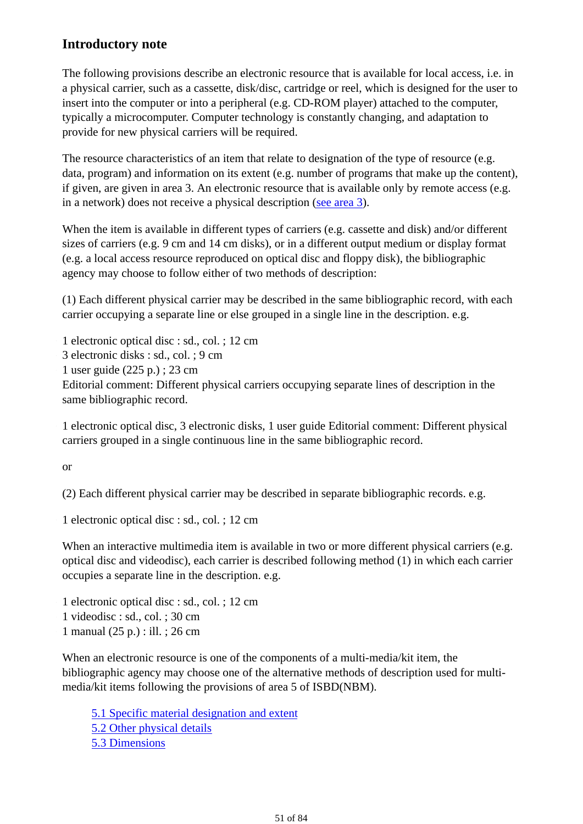# **Introductory note**

The following provisions describe an electronic resource that is available for local access, i.e. in a physical carrier, such as a cassette, disk/disc, cartridge or reel, which is designed for the user to insert into the computer or into a peripheral (e.g. CD-ROM player) attached to the computer, typically a microcomputer. Computer technology is constantly changing, and adaptation to provide for new physical carriers will be required.

The resource characteristics of an item that relate to designation of the type of resource (e.g. data, program) and information on its extent (e.g. number of programs that make up the content), if given, are given in area 3. An electronic resource that is available only by remote access (e.g. in a network) does not receive a physical description (see area 3).

When the item is available in different types of carriers (e.g. cassette and disk) and/or different sizes of carriers (e.g. 9 cm and 14 cm disks), or in a different output medium or display format (e.g. a local access resource reproduced on optical disc and floppy disk), the bibliographic agency may choose to follow either of two methods of description:

(1) Each different physical carrier may be described in the same bibliographic record, with each carrier occupying a separate line or else grouped in a single line in the description. e.g.

- 1 electronic optical disc : sd., col. ; 12 cm
- 3 electronic disks : sd., col. ; 9 cm
- 1 user guide (225 p.); 23 cm

Editorial comment: Different physical carriers occupying separate lines of description in the same bibliographic record.

1 electronic optical disc, 3 electronic disks, 1 user guide Editorial comment: Different physical carriers grouped in a single continuous line in the same bibliographic record.

or

- (2) Each different physical carrier may be described in separate bibliographic records. e.g.
- 1 electronic optical disc : sd., col. ; 12 cm

When an interactive multimedia item is available in two or more different physical carriers (e.g. optical disc and videodisc), each carrier is described following method (1) in which each carrier occupies a separate line in the description. e.g.

- 1 electronic optical disc : sd., col. ; 12 cm
- 1 videodisc : sd., col. ; 30 cm
- 1 manual (25 p.) : ill. ; 26 cm

When an electronic resource is one of the components of a multi-media/kit item, the bibliographic agency may choose one of the alternative methods of description used for multimedia/kit items following the provisions of area 5 of ISBD(NBM).

5.1 Specific material designation and extent 5.2 Other physical details 5.3 Dimensions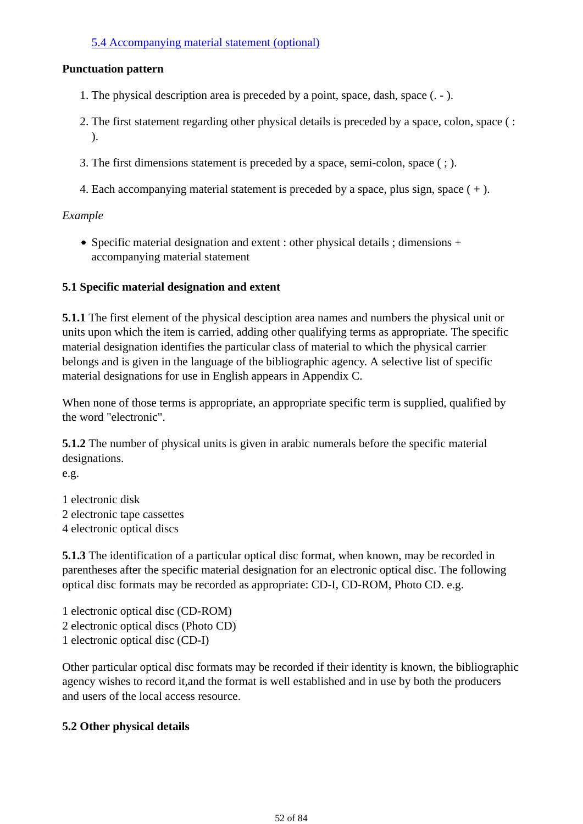## 5.4 Accompanying material statement (optional)

#### **Punctuation pattern**

- 1. The physical description area is preceded by a point, space, dash, space (. ).
- 2. The first statement regarding other physical details is preceded by a space, colon, space (: ).
- 3. The first dimensions statement is preceded by a space, semi-colon, space ( ; ).
- 4. Each accompanying material statement is preceded by a space, plus sign, space  $(+)$ .

#### *Example*

Specific material designation and extent : other physical details ; dimensions + accompanying material statement

## **5.1 Specific material designation and extent**

**5.1.1** The first element of the physical desciption area names and numbers the physical unit or units upon which the item is carried, adding other qualifying terms as appropriate. The specific material designation identifies the particular class of material to which the physical carrier belongs and is given in the language of the bibliographic agency. A selective list of specific material designations for use in English appears in Appendix C.

When none of those terms is appropriate, an appropriate specific term is supplied, qualified by the word "electronic".

**5.1.2** The number of physical units is given in arabic numerals before the specific material designations.

e.g.

- 1 electronic disk
- 2 electronic tape cassettes
- 4 electronic optical discs

**5.1.3** The identification of a particular optical disc format, when known, may be recorded in parentheses after the specific material designation for an electronic optical disc. The following optical disc formats may be recorded as appropriate: CD-I, CD-ROM, Photo CD. e.g.

- 1 electronic optical disc (CD-ROM)
- 2 electronic optical discs (Photo CD)
- 1 electronic optical disc (CD-I)

Other particular optical disc formats may be recorded if their identity is known, the bibliographic agency wishes to record it,and the format is well established and in use by both the producers and users of the local access resource.

## **5.2 Other physical details**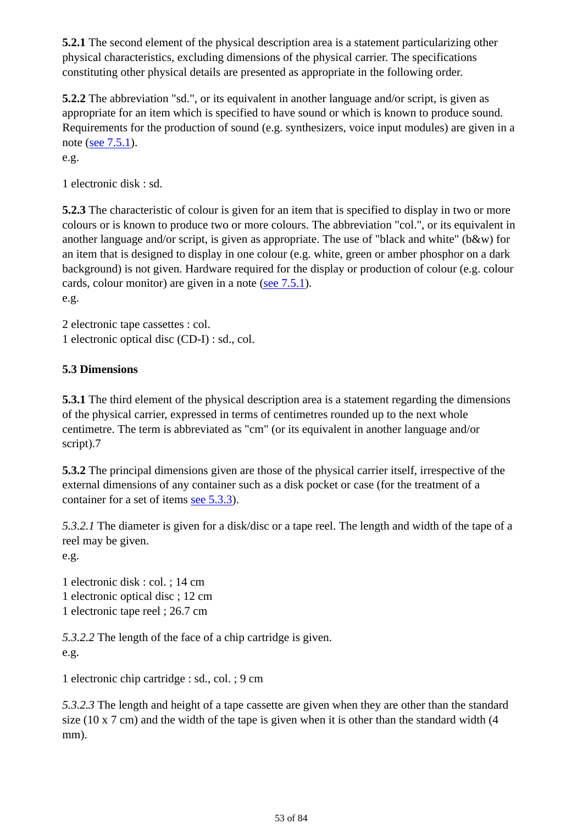**5.2.1** The second element of the physical description area is a statement particularizing other physical characteristics, excluding dimensions of the physical carrier. The specifications constituting other physical details are presented as appropriate in the following order.

**5.2.2** The abbreviation "sd.", or its equivalent in another language and/or script, is given as appropriate for an item which is specified to have sound or which is known to produce sound. Requirements for the production of sound (e.g. synthesizers, voice input modules) are given in a note (see 7.5.1).

e.g.

1 electronic disk : sd.

**5.2.3** The characteristic of colour is given for an item that is specified to display in two or more colours or is known to produce two or more colours. The abbreviation "col.", or its equivalent in another language and/or script, is given as appropriate. The use of "black and white" (b&w) for an item that is designed to display in one colour (e.g. white, green or amber phosphor on a dark background) is not given. Hardware required for the display or production of colour (e.g. colour cards, colour monitor) are given in a note (see 7.5.1). e.g.

2 electronic tape cassettes : col.

1 electronic optical disc (CD-I) : sd., col.

## **5.3 Dimensions**

**5.3.1** The third element of the physical description area is a statement regarding the dimensions of the physical carrier, expressed in terms of centimetres rounded up to the next whole centimetre. The term is abbreviated as "cm" (or its equivalent in another language and/or script).7

**5.3.2** The principal dimensions given are those of the physical carrier itself, irrespective of the external dimensions of any container such as a disk pocket or case (for the treatment of a container for a set of items see 5.3.3).

*5.3.2.1* The diameter is given for a disk/disc or a tape reel. The length and width of the tape of a reel may be given.

e.g.

- 1 electronic disk : col. ; 14 cm
- 1 electronic optical disc ; 12 cm
- 1 electronic tape reel ; 26.7 cm

*5.3.2.2* The length of the face of a chip cartridge is given. e.g.

1 electronic chip cartridge : sd., col. ; 9 cm

*5.3.2.3* The length and height of a tape cassette are given when they are other than the standard size  $(10 \times 7 \text{ cm})$  and the width of the tape is given when it is other than the standard width  $(4 \times 7 \text{ cm})$ mm).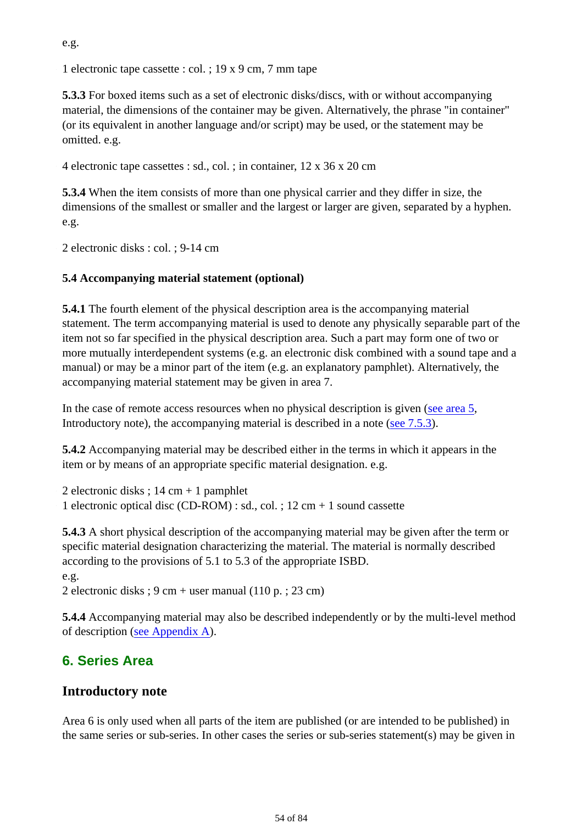e.g.

1 electronic tape cassette : col. ; 19 x 9 cm, 7 mm tape

**5.3.3** For boxed items such as a set of electronic disks/discs, with or without accompanying material, the dimensions of the container may be given. Alternatively, the phrase "in container" (or its equivalent in another language and/or script) may be used, or the statement may be omitted. e.g.

4 electronic tape cassettes : sd., col. ; in container, 12 x 36 x 20 cm

**5.3.4** When the item consists of more than one physical carrier and they differ in size, the dimensions of the smallest or smaller and the largest or larger are given, separated by a hyphen. e.g.

2 electronic disks : col. ; 9-14 cm

#### **5.4 Accompanying material statement (optional)**

**5.4.1** The fourth element of the physical description area is the accompanying material statement. The term accompanying material is used to denote any physically separable part of the item not so far specified in the physical description area. Such a part may form one of two or more mutually interdependent systems (e.g. an electronic disk combined with a sound tape and a manual) or may be a minor part of the item (e.g. an explanatory pamphlet). Alternatively, the accompanying material statement may be given in area 7.

In the case of remote access resources when no physical description is given (see area 5, Introductory note), the accompanying material is described in a note (see 7.5.3).

**5.4.2** Accompanying material may be described either in the terms in which it appears in the item or by means of an appropriate specific material designation. e.g.

2 electronic disks ; 14 cm + 1 pamphlet

1 electronic optical disc (CD-ROM) : sd., col. ;  $12 \text{ cm} + 1$  sound cassette

**5.4.3** A short physical description of the accompanying material may be given after the term or specific material designation characterizing the material. The material is normally described according to the provisions of 5.1 to 5.3 of the appropriate ISBD.

e.g.

2 electronic disks ; 9 cm + user manual (110 p. ; 23 cm)

**5.4.4** Accompanying material may also be described independently or by the multi-level method of description (see Appendix A).

# **6. Series Area**

## **Introductory note**

Area 6 is only used when all parts of the item are published (or are intended to be published) in the same series or sub-series. In other cases the series or sub-series statement(s) may be given in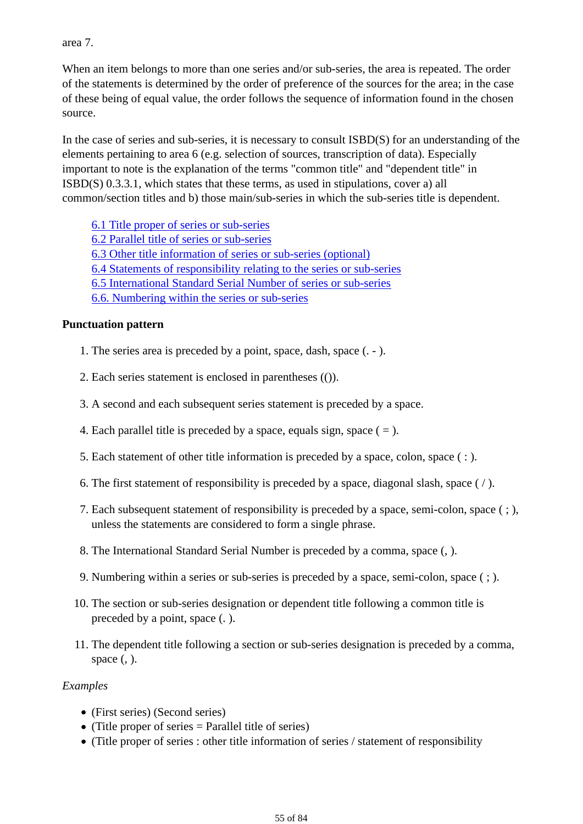area 7.

When an item belongs to more than one series and/or sub-series, the area is repeated. The order of the statements is determined by the order of preference of the sources for the area; in the case of these being of equal value, the order follows the sequence of information found in the chosen source.

In the case of series and sub-series, it is necessary to consult ISBD(S) for an understanding of the elements pertaining to area 6 (e.g. selection of sources, transcription of data). Especially important to note is the explanation of the terms "common title" and "dependent title" in ISBD(S) 0.3.3.1, which states that these terms, as used in stipulations, cover a) all common/section titles and b) those main/sub-series in which the sub-series title is dependent.

- 6.1 Title proper of series or sub-series
- 6.2 Parallel title of series or sub-series
- 6.3 Other title information of series or sub-series (optional)
- 6.4 Statements of responsibility relating to the series or sub-series
- 6.5 International Standard Serial Number of series or sub-series
- 6.6. Numbering within the series or sub-series

#### **Punctuation pattern**

- 1. The series area is preceded by a point, space, dash, space (. ).
- 2. Each series statement is enclosed in parentheses (()).
- 3. A second and each subsequent series statement is preceded by a space.
- 4. Each parallel title is preceded by a space, equals sign, space  $( = ).$
- 5. Each statement of other title information is preceded by a space, colon, space ( : ).
- 6. The first statement of responsibility is preceded by a space, diagonal slash, space  $( / ).$
- Each subsequent statement of responsibility is preceded by a space, semi-colon, space ( ; ), 7. unless the statements are considered to form a single phrase.
- 8. The International Standard Serial Number is preceded by a comma, space (, ).
- 9. Numbering within a series or sub-series is preceded by a space, semi-colon, space ( ; ).
- 10. The section or sub-series designation or dependent title following a common title is preceded by a point, space (. ).
- 11. The dependent title following a section or sub-series designation is preceded by a comma, space  $($ ,  $).$

#### *Examples*

- (First series) (Second series)
- $\bullet$  (Title proper of series = Parallel title of series)
- (Title proper of series : other title information of series / statement of responsibility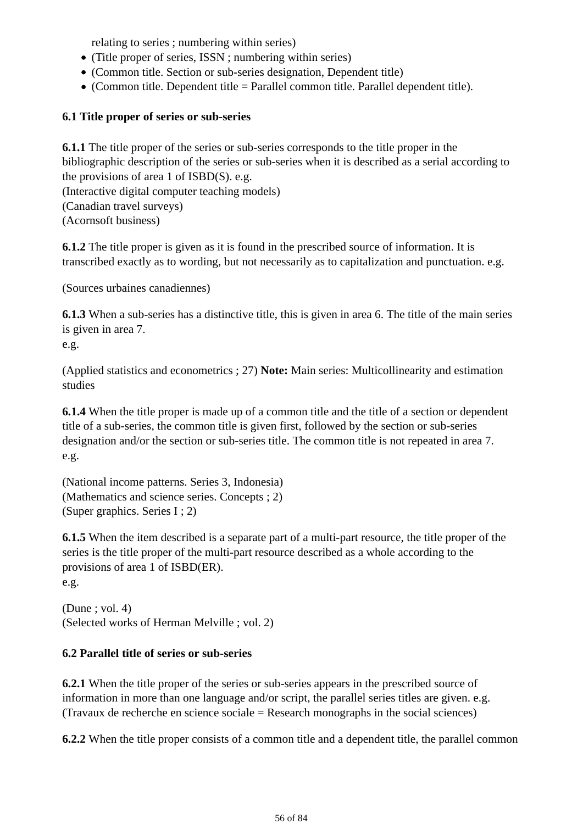relating to series ; numbering within series)

- (Title proper of series, ISSN ; numbering within series)
- (Common title. Section or sub-series designation, Dependent title)
- $\bullet$  (Common title. Dependent title = Parallel common title. Parallel dependent title).

## **6.1 Title proper of series or sub-series**

**6.1.1** The title proper of the series or sub-series corresponds to the title proper in the bibliographic description of the series or sub-series when it is described as a serial according to the provisions of area 1 of ISBD(S). e.g.

- (Interactive digital computer teaching models)
- (Canadian travel surveys)
- (Acornsoft business)

**6.1.2** The title proper is given as it is found in the prescribed source of information. It is transcribed exactly as to wording, but not necessarily as to capitalization and punctuation. e.g.

(Sources urbaines canadiennes)

**6.1.3** When a sub-series has a distinctive title, this is given in area 6. The title of the main series is given in area 7.

e.g.

(Applied statistics and econometrics ; 27) **Note:** Main series: Multicollinearity and estimation studies

**6.1.4** When the title proper is made up of a common title and the title of a section or dependent title of a sub-series, the common title is given first, followed by the section or sub-series designation and/or the section or sub-series title. The common title is not repeated in area 7. e.g.

- (National income patterns. Series 3, Indonesia)
- (Mathematics and science series. Concepts ; 2)

(Super graphics. Series I ; 2)

**6.1.5** When the item described is a separate part of a multi-part resource, the title proper of the series is the title proper of the multi-part resource described as a whole according to the provisions of area 1 of ISBD(ER).

e.g.

- $(Dune : vol. 4)$
- (Selected works of Herman Melville ; vol. 2)

## **6.2 Parallel title of series or sub-series**

**6.2.1** When the title proper of the series or sub-series appears in the prescribed source of information in more than one language and/or script, the parallel series titles are given. e.g.  $\Gamma$  (Travaux de recherche en science sociale = Research monographs in the social sciences)

**6.2.2** When the title proper consists of a common title and a dependent title, the parallel common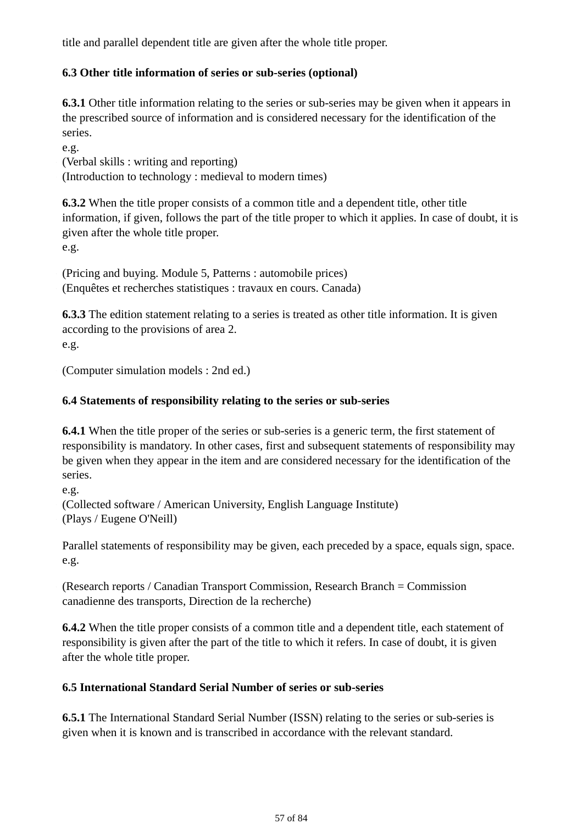title and parallel dependent title are given after the whole title proper.

## **6.3 Other title information of series or sub-series (optional)**

**6.3.1** Other title information relating to the series or sub-series may be given when it appears in the prescribed source of information and is considered necessary for the identification of the series.

e.g.

- (Verbal skills : writing and reporting)
- (Introduction to technology : medieval to modern times)

**6.3.2** When the title proper consists of a common title and a dependent title, other title information, if given, follows the part of the title proper to which it applies. In case of doubt, it is given after the whole title proper.

e.g.

- (Pricing and buying. Module 5, Patterns : automobile prices)
- (Enquêtes et recherches statistiques : travaux en cours. Canada)

**6.3.3** The edition statement relating to a series is treated as other title information. It is given according to the provisions of area 2. e.g.

(Computer simulation models : 2nd ed.)

## **6.4 Statements of responsibility relating to the series or sub-series**

**6.4.1** When the title proper of the series or sub-series is a generic term, the first statement of responsibility is mandatory. In other cases, first and subsequent statements of responsibility may be given when they appear in the item and are considered necessary for the identification of the series.

e.g.

- (Collected software / American University, English Language Institute)
- (Plays / Eugene O'Neill)

Parallel statements of responsibility may be given, each preceded by a space, equals sign, space. e.g.

(Research reports / Canadian Transport Commission, Research Branch = Commission canadienne des transports, Direction de la recherche)

**6.4.2** When the title proper consists of a common title and a dependent title, each statement of responsibility is given after the part of the title to which it refers. In case of doubt, it is given after the whole title proper.

## **6.5 International Standard Serial Number of series or sub-series**

**6.5.1** The International Standard Serial Number (ISSN) relating to the series or sub-series is given when it is known and is transcribed in accordance with the relevant standard.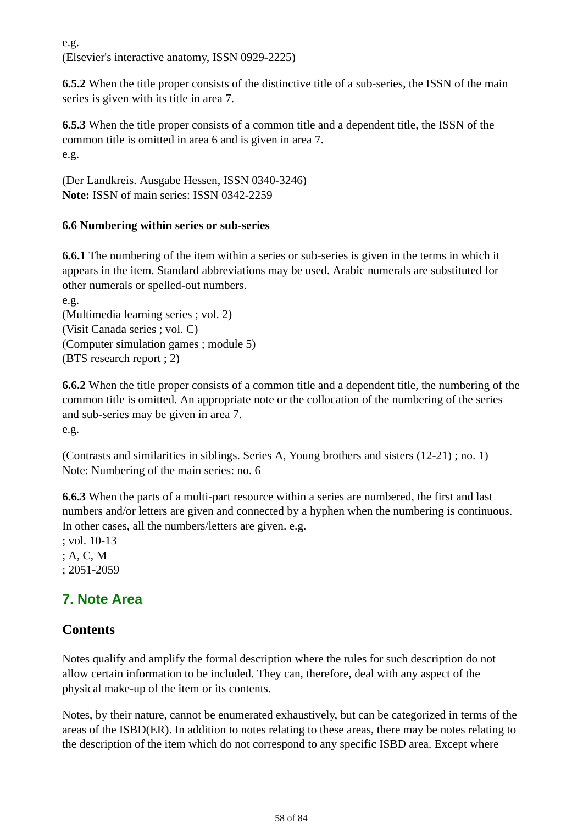e.g.

(Elsevier's interactive anatomy, ISSN 0929-2225)

**6.5.2** When the title proper consists of the distinctive title of a sub-series, the ISSN of the main series is given with its title in area 7.

**6.5.3** When the title proper consists of a common title and a dependent title, the ISSN of the common title is omitted in area 6 and is given in area 7. e.g.

(Der Landkreis. Ausgabe Hessen, ISSN 0340-3246) **Note:** ISSN of main series: ISSN 0342-2259

## **6.6 Numbering within series or sub-series**

**6.6.1** The numbering of the item within a series or sub-series is given in the terms in which it appears in the item. Standard abbreviations may be used. Arabic numerals are substituted for other numerals or spelled-out numbers.

e.g.

- (Multimedia learning series ; vol. 2)
- (Visit Canada series ; vol. C)
- (Computer simulation games ; module 5)
- (BTS research report ; 2)

**6.6.2** When the title proper consists of a common title and a dependent title, the numbering of the common title is omitted. An appropriate note or the collocation of the numbering of the series and sub-series may be given in area 7. e.g.

(Contrasts and similarities in siblings. Series A, Young brothers and sisters (12-21) ; no. 1) Note: Numbering of the main series: no. 6

**6.6.3** When the parts of a multi-part resource within a series are numbered, the first and last numbers and/or letters are given and connected by a hyphen when the numbering is continuous. In other cases, all the numbers/letters are given. e.g.

; vol. 10-13 ; A, C, M ; 2051-2059

# **7. Note Area**

# **Contents**

Notes qualify and amplify the formal description where the rules for such description do not allow certain information to be included. They can, therefore, deal with any aspect of the physical make-up of the item or its contents.

Notes, by their nature, cannot be enumerated exhaustively, but can be categorized in terms of the areas of the ISBD(ER). In addition to notes relating to these areas, there may be notes relating to the description of the item which do not correspond to any specific ISBD area. Except where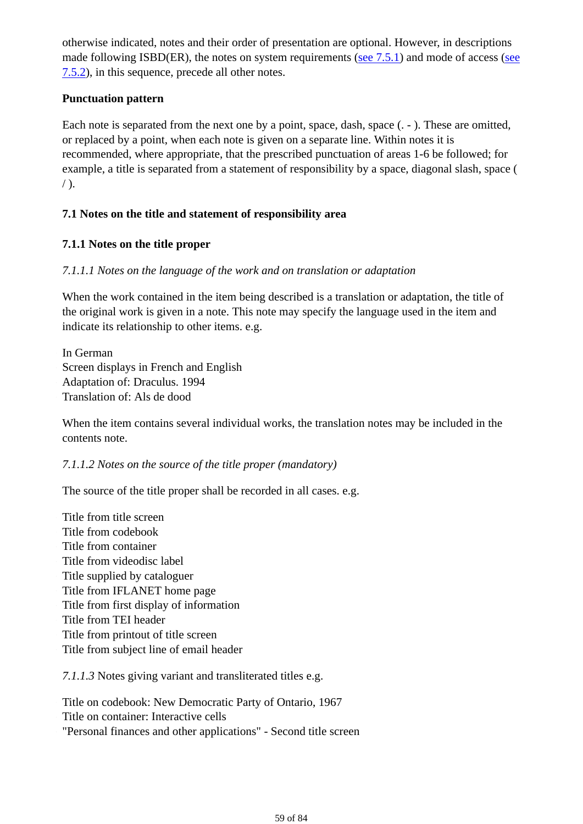otherwise indicated, notes and their order of presentation are optional. However, in descriptions made following ISBD(ER), the notes on system requirements (see 7.5.1) and mode of access (see 7.5.2), in this sequence, precede all other notes.

#### **Punctuation pattern**

Each note is separated from the next one by a point, space, dash, space ( $\cdot$  -). These are omitted, or replaced by a point, when each note is given on a separate line. Within notes it is recommended, where appropriate, that the prescribed punctuation of areas 1-6 be followed; for example, a title is separated from a statement of responsibility by a space, diagonal slash, space (  $/$  ).

## **7.1 Notes on the title and statement of responsibility area**

## **7.1.1 Notes on the title proper**

#### *7.1.1.1 Notes on the language of the work and on translation or adaptation*

When the work contained in the item being described is a translation or adaptation, the title of the original work is given in a note. This note may specify the language used in the item and indicate its relationship to other items. e.g.

- In German
- Screen displays in French and English
- Adaptation of: Draculus. 1994
- Translation of: Als de dood

When the item contains several individual works, the translation notes may be included in the contents note.

#### *7.1.1.2 Notes on the source of the title proper (mandatory)*

The source of the title proper shall be recorded in all cases. e.g.

- Title from title screen
- Title from codebook
- Title from container
- Title from videodisc label
- Title supplied by cataloguer
- Title from IFLANET home page
- Title from first display of information
- Title from TEI header
- Title from printout of title screen
- Title from subject line of email header

*7.1.1.3* Notes giving variant and transliterated titles e.g.

- Title on codebook: New Democratic Party of Ontario, 1967
- Title on container: Interactive cells
- "Personal finances and other applications" Second title screen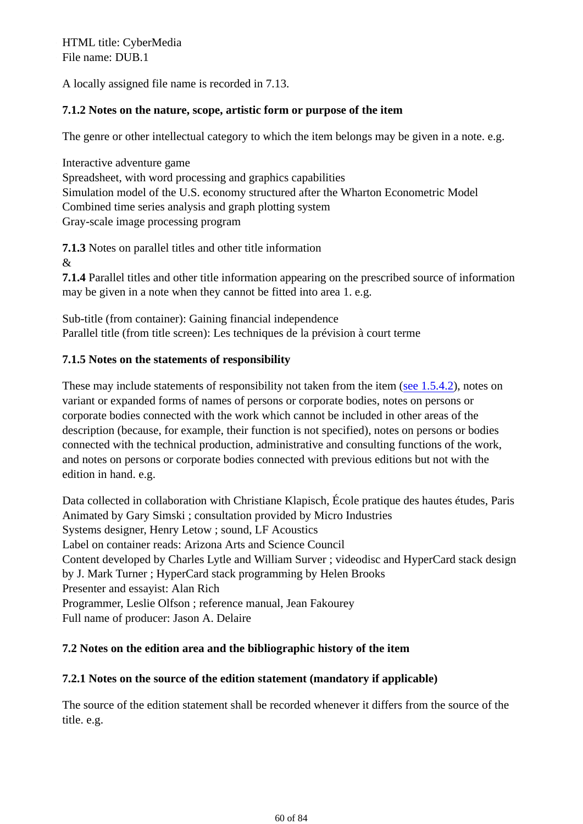#### HTML title: CyberMedia

File name: DUB.1

A locally assigned file name is recorded in 7.13.

#### **7.1.2 Notes on the nature, scope, artistic form or purpose of the item**

The genre or other intellectual category to which the item belongs may be given in a note. e.g.

- Interactive adventure game
- Spreadsheet, with word processing and graphics capabilities
- Simulation model of the U.S. economy structured after the Wharton Econometric Model
- Combined time series analysis and graph plotting system
- Gray-scale image processing program

**7.1.3** Notes on parallel titles and other title information &

**7.1.4** Parallel titles and other title information appearing on the prescribed source of information may be given in a note when they cannot be fitted into area 1. e.g.

- Sub-title (from container): Gaining financial independence
- Parallel title (from title screen): Les techniques de la prévision à court terme

## **7.1.5 Notes on the statements of responsibility**

These may include statements of responsibility not taken from the item (see 1.5.4.2), notes on variant or expanded forms of names of persons or corporate bodies, notes on persons or corporate bodies connected with the work which cannot be included in other areas of the description (because, for example, their function is not specified), notes on persons or bodies connected with the technical production, administrative and consulting functions of the work, and notes on persons or corporate bodies connected with previous editions but not with the edition in hand. e.g.

- Data collected in collaboration with Christiane Klapisch, École pratique des hautes études, Paris
- Animated by Gary Simski ; consultation provided by Micro Industries
- Systems designer, Henry Letow ; sound, LF Acoustics
- Label on container reads: Arizona Arts and Science Council
- Content developed by Charles Lytle and William Surver ; videodisc and HyperCard stack design by J. Mark Turner ; HyperCard stack programming by Helen Brooks
- Presenter and essayist: Alan Rich
- Programmer, Leslie Olfson ; reference manual, Jean Fakourey
- Full name of producer: Jason A. Delaire

## **7.2 Notes on the edition area and the bibliographic history of the item**

#### **7.2.1 Notes on the source of the edition statement (mandatory if applicable)**

The source of the edition statement shall be recorded whenever it differs from the source of the title. e.g.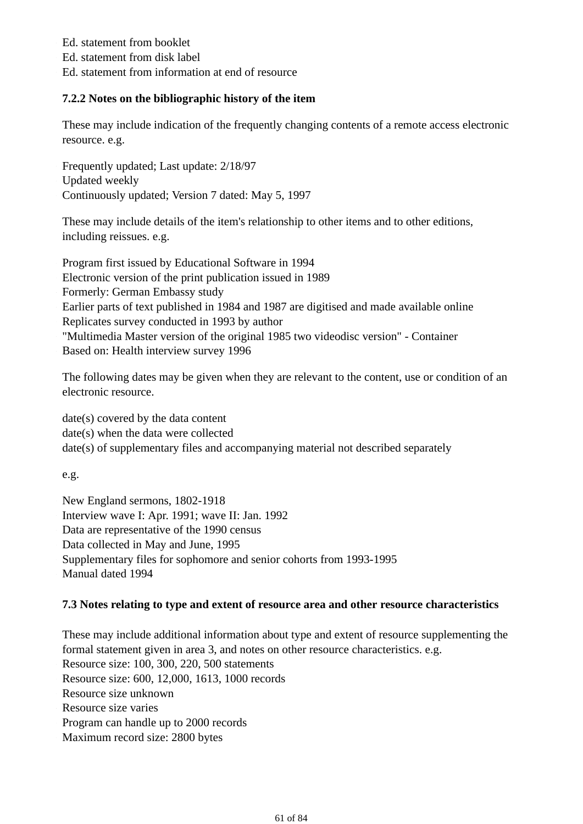- Ed. statement from booklet
- Ed. statement from disk label
- Ed. statement from information at end of resource

#### **7.2.2 Notes on the bibliographic history of the item**

These may include indication of the frequently changing contents of a remote access electronic resource. e.g.

- Frequently updated; Last update: 2/18/97
- Updated weekly
- Continuously updated; Version 7 dated: May 5, 1997

These may include details of the item's relationship to other items and to other editions, including reissues. e.g.

- Program first issued by Educational Software in 1994
- Electronic version of the print publication issued in 1989
- Formerly: German Embassy study
- Earlier parts of text published in 1984 and 1987 are digitised and made available online
- Replicates survey conducted in 1993 by author
- "Multimedia Master version of the original 1985 two videodisc version" Container
- Based on: Health interview survey 1996

The following dates may be given when they are relevant to the content, use or condition of an electronic resource.

date(s) covered by the data content

date(s) when the data were collected

date(s) of supplementary files and accompanying material not described separately

e.g.

- New England sermons, 1802-1918
- Interview wave I: Apr. 1991; wave II: Jan. 1992
- Data are representative of the 1990 census
- Data collected in May and June, 1995
- Supplementary files for sophomore and senior cohorts from 1993-1995
- Manual dated 1994

#### **7.3 Notes relating to type and extent of resource area and other resource characteristics**

These may include additional information about type and extent of resource supplementing the formal statement given in area 3, and notes on other resource characteristics. e.g.

- Resource size: 100, 300, 220, 500 statements
- Resource size: 600, 12,000, 1613, 1000 records
- Resource size unknown
- Resource size varies
- Program can handle up to 2000 records
- Maximum record size: 2800 bytes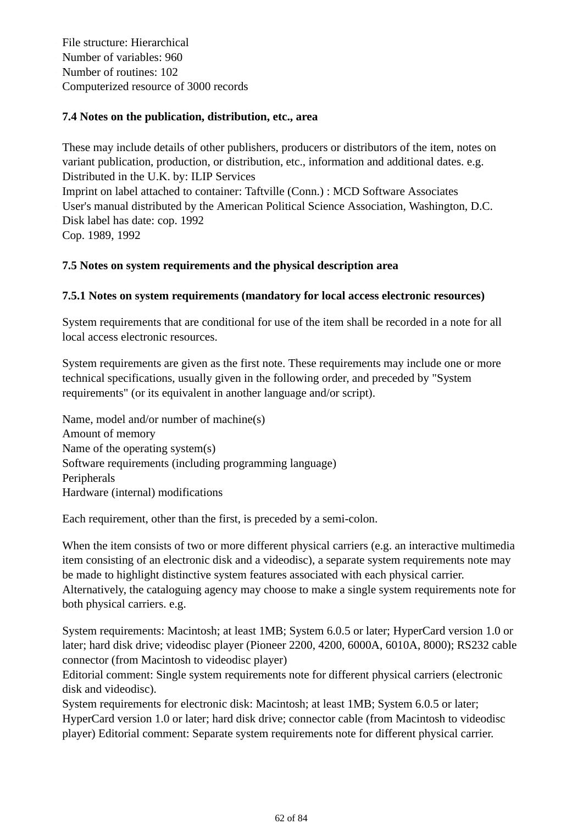- File structure: Hierarchical
- Number of variables: 960
- Number of routines: 102
- Computerized resource of 3000 records

#### **7.4 Notes on the publication, distribution, etc., area**

These may include details of other publishers, producers or distributors of the item, notes on variant publication, production, or distribution, etc., information and additional dates. e.g.

- Distributed in the U.K. by: ILIP Services
- Imprint on label attached to container: Taftville (Conn.) : MCD Software Associates
- User's manual distributed by the American Political Science Association, Washington, D.C.
- Disk label has date: cop. 1992
- Cop. 1989, 1992

## **7.5 Notes on system requirements and the physical description area**

#### **7.5.1 Notes on system requirements (mandatory for local access electronic resources)**

System requirements that are conditional for use of the item shall be recorded in a note for all local access electronic resources.

System requirements are given as the first note. These requirements may include one or more technical specifications, usually given in the following order, and preceded by "System requirements" (or its equivalent in another language and/or script).

Name, model and/or number of machine(s) Amount of memory Name of the operating system(s) Software requirements (including programming language) Peripherals Hardware (internal) modifications

Each requirement, other than the first, is preceded by a semi-colon.

When the item consists of two or more different physical carriers (e.g. an interactive multimedia item consisting of an electronic disk and a videodisc), a separate system requirements note may be made to highlight distinctive system features associated with each physical carrier. Alternatively, the cataloguing agency may choose to make a single system requirements note for both physical carriers. e.g.

System requirements: Macintosh; at least 1MB; System 6.0.5 or later; HyperCard version 1.0 or later; hard disk drive; videodisc player (Pioneer 2200, 4200, 6000A, 6010A, 8000); RS232 cable connector (from Macintosh to videodisc player)

Editorial comment: Single system requirements note for different physical carriers (electronic disk and videodisc).

System requirements for electronic disk: Macintosh; at least 1MB; System 6.0.5 or later; HyperCard version 1.0 or later; hard disk drive; connector cable (from Macintosh to videodisc player) Editorial comment: Separate system requirements note for different physical carrier.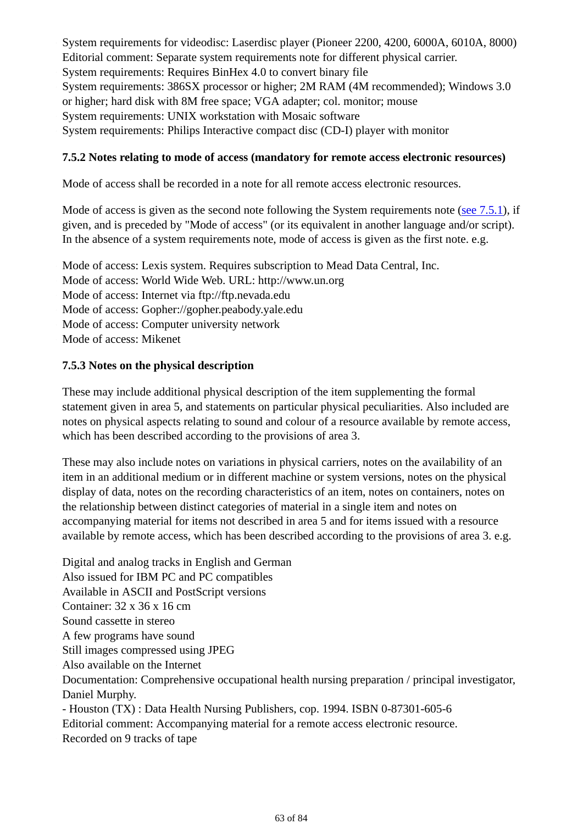- System requirements for videodisc: Laserdisc player (Pioneer 2200, 4200, 6000A, 6010A, 8000) Editorial comment: Separate system requirements note for different physical carrier.
- System requirements: Requires BinHex 4.0 to convert binary file
- System requirements: 386SX processor or higher; 2M RAM (4M recommended); Windows 3.0 or higher; hard disk with 8M free space; VGA adapter; col. monitor; mouse
- System requirements: UNIX workstation with Mosaic software
- System requirements: Philips Interactive compact disc (CD-I) player with monitor

## **7.5.2 Notes relating to mode of access (mandatory for remote access electronic resources)**

Mode of access shall be recorded in a note for all remote access electronic resources.

Mode of access is given as the second note following the System requirements note (see 7.5.1), if given, and is preceded by "Mode of access" (or its equivalent in another language and/or script). In the absence of a system requirements note, mode of access is given as the first note. e.g.

- Mode of access: Lexis system. Requires subscription to Mead Data Central, Inc.
- Mode of access: World Wide Web. URL: http://www.un.org
- Mode of access: Internet via ftp://ftp.nevada.edu
- Mode of access: Gopher://gopher.peabody.yale.edu
- Mode of access: Computer university network
- Mode of access: Mikenet

## **7.5.3 Notes on the physical description**

These may include additional physical description of the item supplementing the formal statement given in area 5, and statements on particular physical peculiarities. Also included are notes on physical aspects relating to sound and colour of a resource available by remote access, which has been described according to the provisions of area 3.

These may also include notes on variations in physical carriers, notes on the availability of an item in an additional medium or in different machine or system versions, notes on the physical display of data, notes on the recording characteristics of an item, notes on containers, notes on the relationship between distinct categories of material in a single item and notes on accompanying material for items not described in area 5 and for items issued with a resource available by remote access, which has been described according to the provisions of area 3. e.g.

- Digital and analog tracks in English and German
- Also issued for IBM PC and PC compatibles
- Available in ASCII and PostScript versions
- Container: 32 x 36 x 16 cm
- Sound cassette in stereo
- A few programs have sound
- Still images compressed using JPEG
- Also available on the Internet
- Documentation: Comprehensive occupational health nursing preparation / principal investigator, Daniel Murphy.
	- Houston (TX) : Data Health Nursing Publishers, cop. 1994. ISBN 0-87301-605-6

Editorial comment: Accompanying material for a remote access electronic resource.

Recorded on 9 tracks of tape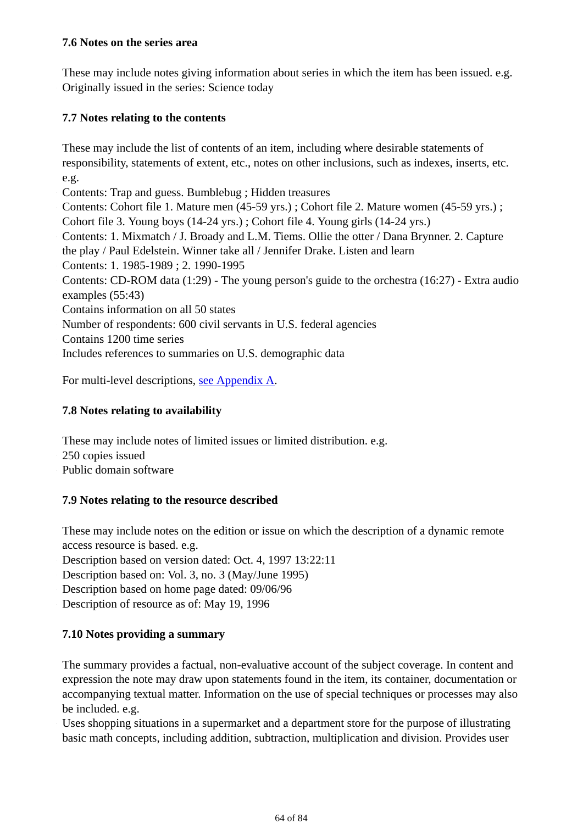#### **7.6 Notes on the series area**

These may include notes giving information about series in which the item has been issued. e.g. Originally issued in the series: Science today

## **7.7 Notes relating to the contents**

These may include the list of contents of an item, including where desirable statements of responsibility, statements of extent, etc., notes on other inclusions, such as indexes, inserts, etc. e.g.

- Contents: Trap and guess. Bumblebug ; Hidden treasures
- Contents: Cohort file 1. Mature men (45-59 yrs.) ; Cohort file 2. Mature women (45-59 yrs.) ; Cohort file 3. Young boys (14-24 yrs.) ; Cohort file 4. Young girls (14-24 yrs.)
- Contents: 1. Mixmatch / J. Broady and L.M. Tiems. Ollie the otter / Dana Brynner. 2. Capture the play / Paul Edelstein. Winner take all / Jennifer Drake. Listen and learn
- Contents: 1. 1985-1989 ; 2. 1990-1995
- Contents: CD-ROM data (1:29) The young person's guide to the orchestra (16:27) Extra audio examples (55:43)
- Contains information on all 50 states
- Number of respondents: 600 civil servants in U.S. federal agencies
- Contains 1200 time series
- Includes references to summaries on U.S. demographic data

For multi-level descriptions, see Appendix A.

#### **7.8 Notes relating to availability**

These may include notes of limited issues or limited distribution. e.g.

- 250 copies issued
- Public domain software

#### **7.9 Notes relating to the resource described**

These may include notes on the edition or issue on which the description of a dynamic remote access resource is based. e.g.

- Description based on version dated: Oct. 4, 1997 13:22:11
- Description based on: Vol. 3, no. 3 (May/June 1995)
- Description based on home page dated: 09/06/96
- Description of resource as of: May 19, 1996

#### **7.10 Notes providing a summary**

The summary provides a factual, non-evaluative account of the subject coverage. In content and expression the note may draw upon statements found in the item, its container, documentation or accompanying textual matter. Information on the use of special techniques or processes may also be included. e.g.

Uses shopping situations in a supermarket and a department store for the purpose of illustrating basic math concepts, including addition, subtraction, multiplication and division. Provides user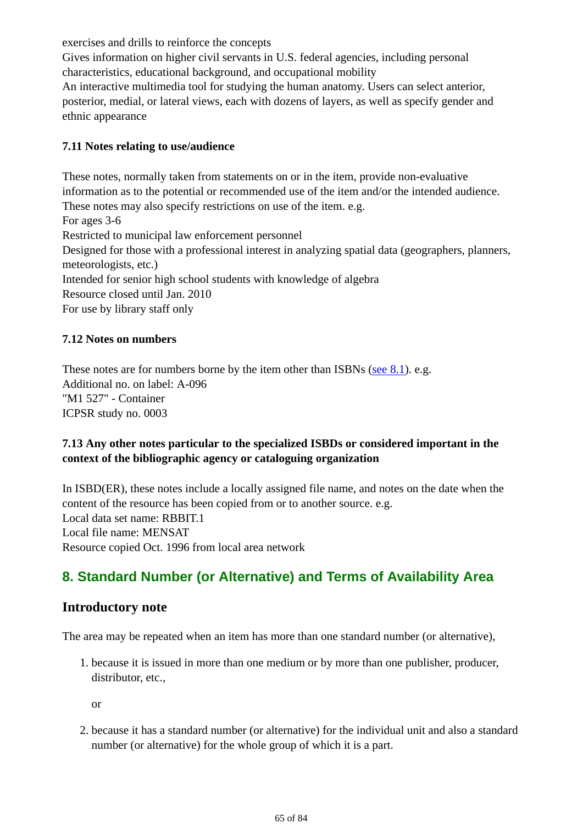exercises and drills to reinforce the concepts

- Gives information on higher civil servants in U.S. federal agencies, including personal characteristics, educational background, and occupational mobility
- An interactive multimedia tool for studying the human anatomy. Users can select anterior, posterior, medial, or lateral views, each with dozens of layers, as well as specify gender and ethnic appearance

## **7.11 Notes relating to use/audience**

These notes, normally taken from statements on or in the item, provide non-evaluative information as to the potential or recommended use of the item and/or the intended audience. These notes may also specify restrictions on use of the item. e.g.

- For ages 3-6
- Restricted to municipal law enforcement personnel
- Designed for those with a professional interest in analyzing spatial data (geographers, planners, meteorologists, etc.)
- Intended for senior high school students with knowledge of algebra
- Resource closed until Jan. 2010
- For use by library staff only

#### **7.12 Notes on numbers**

These notes are for numbers borne by the item other than ISBNs (see 8.1). e.g.

- Additional no. on label: A-096
- "M1 527" Container
- ICPSR study no. 0003

## **7.13 Any other notes particular to the specialized ISBDs or considered important in the context of the bibliographic agency or cataloguing organization**

In ISBD(ER), these notes include a locally assigned file name, and notes on the date when the content of the resource has been copied from or to another source. e.g.

- Local data set name: RBBIT.1
- Local file name: MENSAT
- Resource copied Oct. 1996 from local area network

# **8. Standard Number (or Alternative) and Terms of Availability Area**

## **Introductory note**

The area may be repeated when an item has more than one standard number (or alternative),

1. because it is issued in more than one medium or by more than one publisher, producer, distributor, etc.,

or

because it has a standard number (or alternative) for the individual unit and also a standard 2. number (or alternative) for the whole group of which it is a part.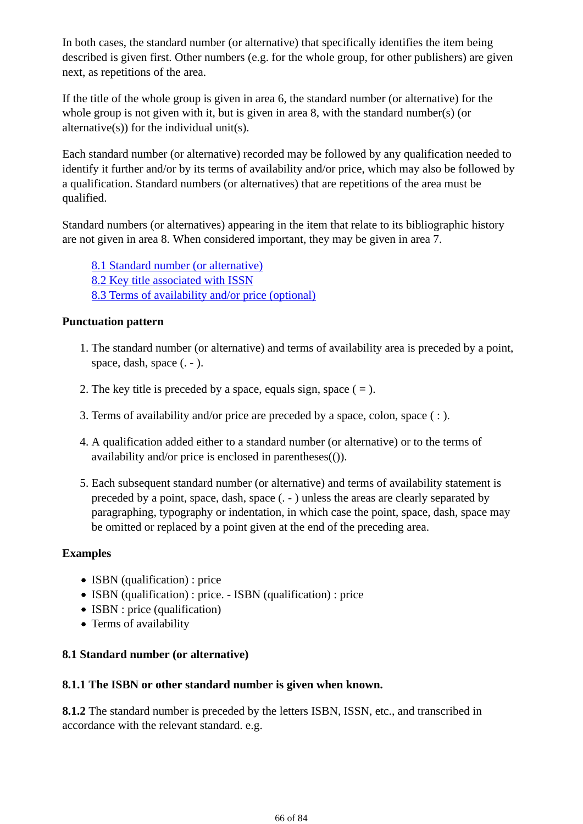In both cases, the standard number (or alternative) that specifically identifies the item being described is given first. Other numbers (e.g. for the whole group, for other publishers) are given next, as repetitions of the area.

If the title of the whole group is given in area 6, the standard number (or alternative) for the whole group is not given with it, but is given in area 8, with the standard number(s) (or alternative(s)) for the individual unit(s).

Each standard number (or alternative) recorded may be followed by any qualification needed to identify it further and/or by its terms of availability and/or price, which may also be followed by a qualification. Standard numbers (or alternatives) that are repetitions of the area must be qualified.

Standard numbers (or alternatives) appearing in the item that relate to its bibliographic history are not given in area 8. When considered important, they may be given in area 7.

8.1 Standard number (or alternative) 8.2 Key title associated with ISSN 8.3 Terms of availability and/or price (optional)

## **Punctuation pattern**

- 1. The standard number (or alternative) and terms of availability area is preceded by a point, space, dash, space (. - ).
- 2. The key title is preceded by a space, equals sign, space  $( = ).$
- 3. Terms of availability and/or price are preceded by a space, colon, space ( : ).
- A qualification added either to a standard number (or alternative) or to the terms of 4. availability and/or price is enclosed in parentheses(()).
- Each subsequent standard number (or alternative) and terms of availability statement is 5. preceded by a point, space, dash, space (. - ) unless the areas are clearly separated by paragraphing, typography or indentation, in which case the point, space, dash, space may be omitted or replaced by a point given at the end of the preceding area.

## **Examples**

- ISBN (qualification) : price
- ISBN (qualification) : price. ISBN (qualification) : price
- ISBN : price (qualification)
- Terms of availability

## **8.1 Standard number (or alternative)**

## **8.1.1 The ISBN or other standard number is given when known.**

**8.1.2** The standard number is preceded by the letters ISBN, ISSN, etc., and transcribed in accordance with the relevant standard. e.g.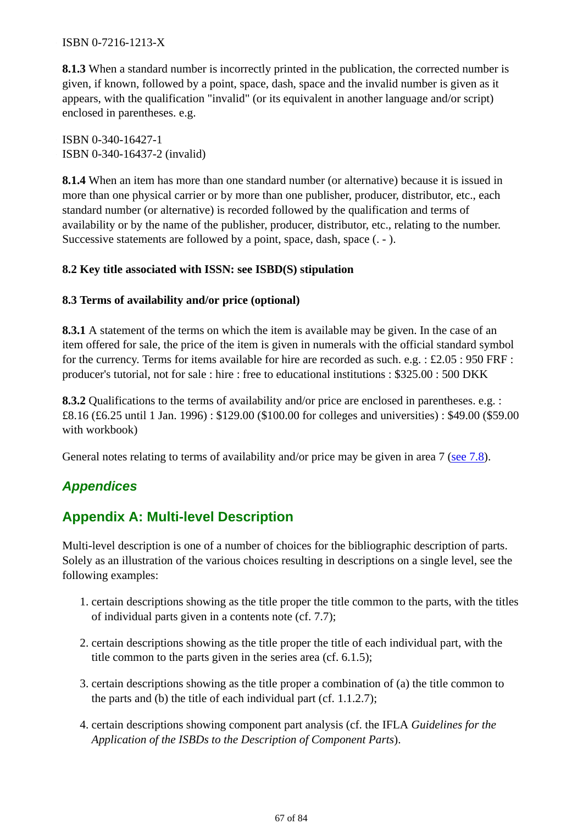ISBN 0-7216-1213-X

**8.1.3** When a standard number is incorrectly printed in the publication, the corrected number is given, if known, followed by a point, space, dash, space and the invalid number is given as it appears, with the qualification "invalid" (or its equivalent in another language and/or script) enclosed in parentheses. e.g.

ISBN 0-340-16427-1

ISBN 0-340-16437-2 (invalid)

**8.1.4** When an item has more than one standard number (or alternative) because it is issued in more than one physical carrier or by more than one publisher, producer, distributor, etc., each standard number (or alternative) is recorded followed by the qualification and terms of availability or by the name of the publisher, producer, distributor, etc., relating to the number. Successive statements are followed by a point, space, dash, space (. - ).

## **8.2 Key title associated with ISSN: see ISBD(S) stipulation**

#### **8.3 Terms of availability and/or price (optional)**

**8.3.1** A statement of the terms on which the item is available may be given. In the case of an item offered for sale, the price of the item is given in numerals with the official standard symbol for the currency. Terms for items available for hire are recorded as such. e.g. : £2.05 : 950 FRF : producer's tutorial, not for sale : hire : free to educational institutions : \$325.00 : 500 DKK

**8.3.2** Qualifications to the terms of availability and/or price are enclosed in parentheses. e.g. : £8.16 (£6.25 until 1 Jan. 1996) : \$129.00 (\$100.00 for colleges and universities) : \$49.00 (\$59.00 with workbook)

General notes relating to terms of availability and/or price may be given in area 7 (see 7.8).

# *Appendices*

# **Appendix A: Multi-level Description**

Multi-level description is one of a number of choices for the bibliographic description of parts. Solely as an illustration of the various choices resulting in descriptions on a single level, see the following examples:

- 1. certain descriptions showing as the title proper the title common to the parts, with the titles of individual parts given in a contents note (cf. 7.7);
- 2. certain descriptions showing as the title proper the title of each individual part, with the title common to the parts given in the series area (cf. 6.1.5);
- 3. certain descriptions showing as the title proper a combination of (a) the title common to the parts and (b) the title of each individual part (cf. 1.1.2.7);
- certain descriptions showing component part analysis (cf. the IFLA *Guidelines for the* 4. *Application of the ISBDs to the Description of Component Parts*).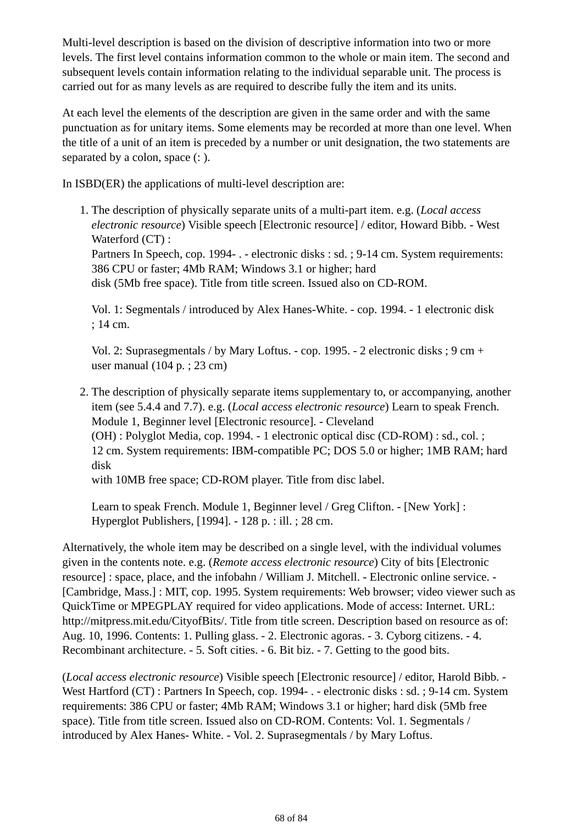Multi-level description is based on the division of descriptive information into two or more levels. The first level contains information common to the whole or main item. The second and subsequent levels contain information relating to the individual separable unit. The process is carried out for as many levels as are required to describe fully the item and its units.

At each level the elements of the description are given in the same order and with the same punctuation as for unitary items. Some elements may be recorded at more than one level. When the title of a unit of an item is preceded by a number or unit designation, the two statements are separated by a colon, space  $($ :  $)$ .

In ISBD(ER) the applications of multi-level description are:

1. The description of physically separate units of a multi-part item. e.g. (Local access *electronic resource*) Visible speech [Electronic resource] / editor, Howard Bibb. - West Waterford (CT): Partners In Speech, cop. 1994- . - electronic disks : sd. : 9-14 cm. System requirements: 386 CPU or faster; 4Mb RAM; Windows 3.1 or higher; hard disk (5Mb free space). Title from title screen. Issued also on CD-ROM.

Vol. 1: Segmentals / introduced by Alex Hanes-White. - cop. 1994. - 1 electronic disk ; 14 cm.

Vol. 2: Suprasegmentals / by Mary Loftus. - cop. 1995. - 2 electronic disks ; 9 cm + user manual (104 p. ; 23 cm)

2. The description of physically separate items supplementary to, or accompanying, another item (see 5.4.4 and 7.7). e.g. (*Local access electronic resource*) Learn to speak French. Module 1, Beginner level [Electronic resource]. - Cleveland (OH) : Polyglot Media, cop. 1994. - 1 electronic optical disc (CD-ROM) : sd., col. ; 12 cm. System requirements: IBM-compatible PC; DOS 5.0 or higher; 1MB RAM; hard disk

with 10MB free space; CD-ROM player. Title from disc label.

Learn to speak French. Module 1, Beginner level / Greg Clifton. - [New York] : Hyperglot Publishers, [1994]. - 128 p. : ill. ; 28 cm.

Alternatively, the whole item may be described on a single level, with the individual volumes given in the contents note. e.g. (*Remote access electronic resource*) City of bits [Electronic resource] : space, place, and the infobahn / William J. Mitchell. - Electronic online service. - [Cambridge, Mass.] : MIT, cop. 1995. System requirements: Web browser; video viewer such as QuickTime or MPEGPLAY required for video applications. Mode of access: Internet. URL: http://mitpress.mit.edu/CityofBits/. Title from title screen. Description based on resource as of: Aug. 10, 1996. Contents: 1. Pulling glass. - 2. Electronic agoras. - 3. Cyborg citizens. - 4. Recombinant architecture. - 5. Soft cities. - 6. Bit biz. - 7. Getting to the good bits.

(*Local access electronic resource*) Visible speech [Electronic resource] / editor, Harold Bibb. - West Hartford (CT) : Partners In Speech, cop. 1994- . - electronic disks : sd. ; 9-14 cm. System requirements: 386 CPU or faster; 4Mb RAM; Windows 3.1 or higher; hard disk (5Mb free space). Title from title screen. Issued also on CD-ROM. Contents: Vol. 1. Segmentals / introduced by Alex Hanes- White. - Vol. 2. Suprasegmentals / by Mary Loftus.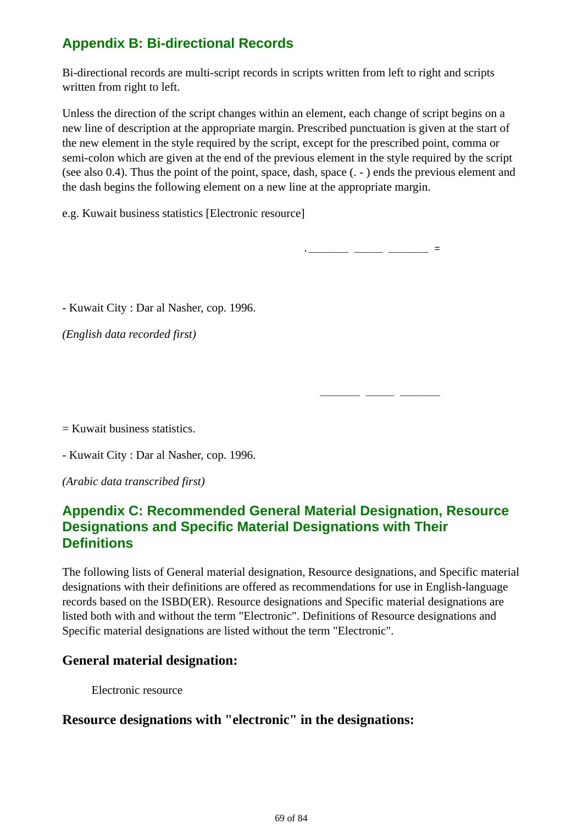# **Appendix B: Bi-directional Records**

Bi-directional records are multi-script records in scripts written from left to right and scripts written from right to left.

Unless the direction of the script changes within an element, each change of script begins on a new line of description at the appropriate margin. Prescribed punctuation is given at the start of the new element in the style required by the script, except for the prescribed point, comma or semi-colon which are given at the end of the previous element in the style required by the script (see also 0.4). Thus the point of the point, space, dash, space (. - ) ends the previous element and the dash begins the following element on a new line at the appropriate margin.

e.g. Kuwait business statistics [Electronic resource]

.\_\_\_\_\_\_\_ \_\_\_\_\_ \_\_\_\_\_\_\_ =

- Kuwait City : Dar al Nasher, cop. 1996.

*(English data recorded first)*

= Kuwait business statistics.

- Kuwait City : Dar al Nasher, cop. 1996.

*(Arabic data transcribed first)*

# **Appendix C: Recommended General Material Designation, Resource Designations and Specific Material Designations with Their Definitions**

\_\_\_\_\_\_\_ \_\_\_\_\_ \_\_\_\_\_\_\_

The following lists of General material designation, Resource designations, and Specific material designations with their definitions are offered as recommendations for use in English-language records based on the ISBD(ER). Resource designations and Specific material designations are listed both with and without the term "Electronic". Definitions of Resource designations and Specific material designations are listed without the term "Electronic".

# **General material designation:**

Electronic resource

# **Resource designations with "electronic" in the designations:**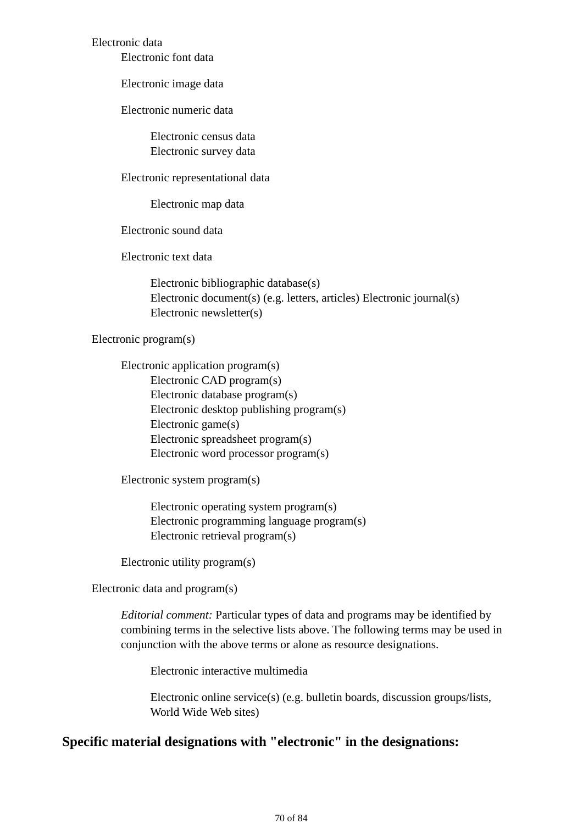#### Electronic data

Electronic font data

Electronic image data

Electronic numeric data

Electronic census data Electronic survey data

Electronic representational data

Electronic map data

Electronic sound data

Electronic text data

Electronic bibliographic database(s) Electronic document(s) (e.g. letters, articles) Electronic journal(s) Electronic newsletter(s)

#### Electronic program(s)

Electronic application program(s) Electronic CAD program(s) Electronic database program(s) Electronic desktop publishing program(s) Electronic game(s) Electronic spreadsheet program(s) Electronic word processor program(s)

Electronic system program(s)

Electronic operating system program(s) Electronic programming language program(s) Electronic retrieval program(s)

Electronic utility program(s)

Electronic data and program(s)

*Editorial comment:* Particular types of data and programs may be identified by combining terms in the selective lists above. The following terms may be used in conjunction with the above terms or alone as resource designations.

Electronic interactive multimedia

Electronic online service(s) (e.g. bulletin boards, discussion groups/lists, World Wide Web sites)

## **Specific material designations with "electronic" in the designations:**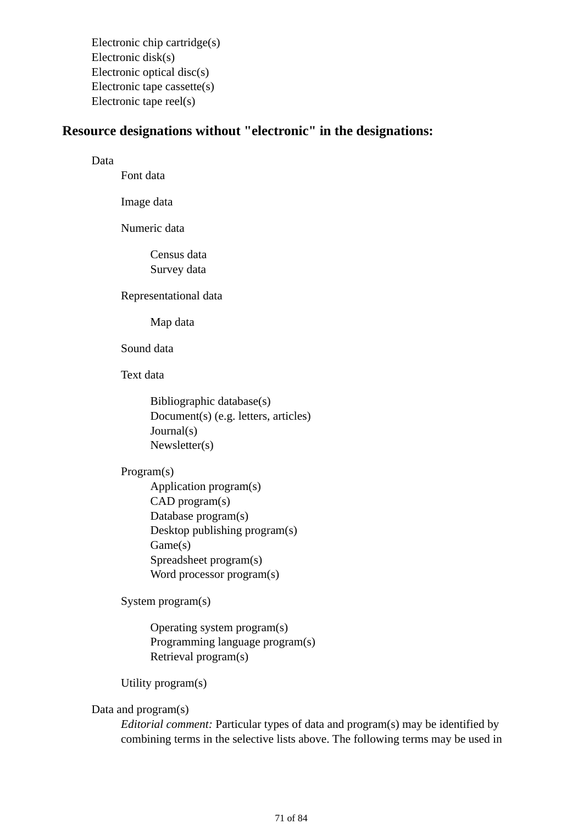Electronic chip cartridge(s) Electronic disk(s) Electronic optical disc(s) Electronic tape cassette(s) Electronic tape reel(s)

## **Resource designations without "electronic" in the designations:**

Data

Font data

Image data

Numeric data

Census data Survey data

Representational data

Map data

Sound data

Text data

Bibliographic database(s) Document(s) (e.g. letters, articles) Journal(s) Newsletter(s)

Program(s)

Application program(s) CAD program(s) Database program(s) Desktop publishing program(s) Game(s) Spreadsheet program(s) Word processor program(s)

System program(s)

Operating system program(s) Programming language program(s) Retrieval program(s)

Utility program(s)

Data and program(s)

*Editorial comment:* Particular types of data and program(s) may be identified by combining terms in the selective lists above. The following terms may be used in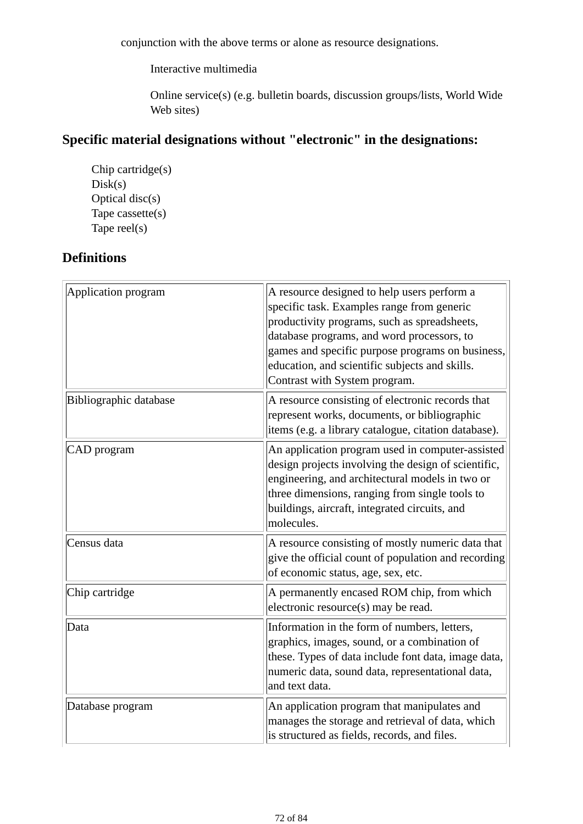conjunction with the above terms or alone as resource designations.

Interactive multimedia

Online service(s) (e.g. bulletin boards, discussion groups/lists, World Wide Web sites)

# **Specific material designations without "electronic" in the designations:**

Chip cartridge(s)  $Disk(s)$ Optical disc(s) Tape cassette(s) Tape reel(s)

# **Definitions**

| Application program    | A resource designed to help users perform a<br>specific task. Examples range from generic<br>productivity programs, such as spreadsheets,<br>database programs, and word processors, to<br>games and specific purpose programs on business,<br>education, and scientific subjects and skills.<br>Contrast with System program. |
|------------------------|--------------------------------------------------------------------------------------------------------------------------------------------------------------------------------------------------------------------------------------------------------------------------------------------------------------------------------|
| Bibliographic database | A resource consisting of electronic records that<br>represent works, documents, or bibliographic<br>items (e.g. a library catalogue, citation database).                                                                                                                                                                       |
| CAD program            | An application program used in computer-assisted<br>design projects involving the design of scientific,<br>engineering, and architectural models in two or<br>three dimensions, ranging from single tools to<br>buildings, aircraft, integrated circuits, and<br>molecules.                                                    |
| Census data            | A resource consisting of mostly numeric data that<br>give the official count of population and recording<br>of economic status, age, sex, etc.                                                                                                                                                                                 |
| Chip cartridge         | A permanently encased ROM chip, from which<br>electronic resource(s) may be read.                                                                                                                                                                                                                                              |
| Data                   | Information in the form of numbers, letters,<br>graphics, images, sound, or a combination of<br>these. Types of data include font data, image data,<br>numeric data, sound data, representational data,<br>and text data.                                                                                                      |
| Database program       | An application program that manipulates and<br>manages the storage and retrieval of data, which<br>is structured as fields, records, and files.                                                                                                                                                                                |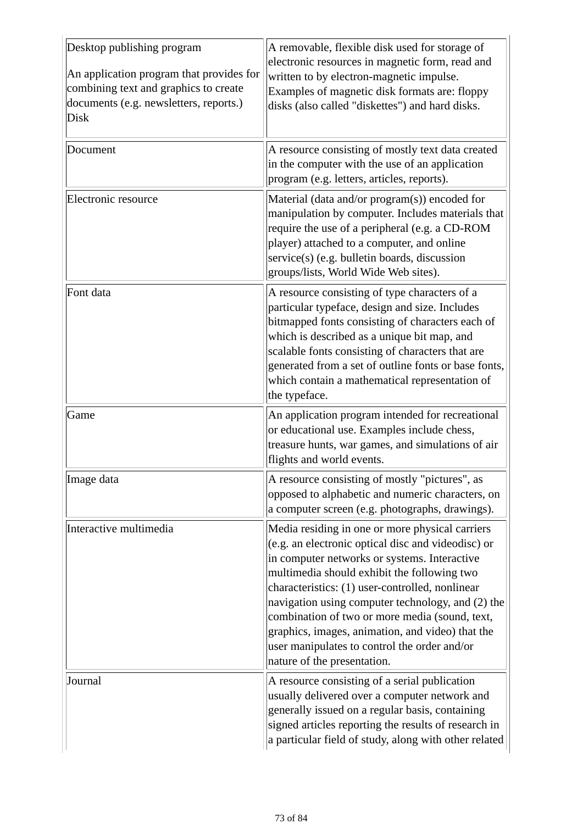| Desktop publishing program<br>An application program that provides for                  | A removable, flexible disk used for storage of<br>electronic resources in magnetic form, read and<br>written to by electron-magnetic impulse.                                                                                                                                                                                                                                                                                                                                                        |
|-----------------------------------------------------------------------------------------|------------------------------------------------------------------------------------------------------------------------------------------------------------------------------------------------------------------------------------------------------------------------------------------------------------------------------------------------------------------------------------------------------------------------------------------------------------------------------------------------------|
| combining text and graphics to create<br>documents (e.g. newsletters, reports.)<br>Disk | Examples of magnetic disk formats are: floppy<br>disks (also called "diskettes") and hard disks.                                                                                                                                                                                                                                                                                                                                                                                                     |
| Document                                                                                | A resource consisting of mostly text data created<br>in the computer with the use of an application<br>program (e.g. letters, articles, reports).                                                                                                                                                                                                                                                                                                                                                    |
| Electronic resource                                                                     | Material (data and/or program(s)) encoded for<br>manipulation by computer. Includes materials that<br>require the use of a peripheral (e.g. a CD-ROM<br>player) attached to a computer, and online<br>service(s) (e.g. bulletin boards, discussion<br>groups/lists, World Wide Web sites).                                                                                                                                                                                                           |
| Font data                                                                               | A resource consisting of type characters of a<br>particular typeface, design and size. Includes<br>bitmapped fonts consisting of characters each of<br>which is described as a unique bit map, and<br>scalable fonts consisting of characters that are<br>generated from a set of outline fonts or base fonts,<br>which contain a mathematical representation of<br>the typeface.                                                                                                                    |
| Game                                                                                    | An application program intended for recreational<br>or educational use. Examples include chess,<br>treasure hunts, war games, and simulations of air<br>flights and world events.                                                                                                                                                                                                                                                                                                                    |
| Image data                                                                              | A resource consisting of mostly "pictures", as<br>opposed to alphabetic and numeric characters, on<br>a computer screen (e.g. photographs, drawings).                                                                                                                                                                                                                                                                                                                                                |
| Interactive multimedia                                                                  | Media residing in one or more physical carriers<br>$(e.g. an electronic optical disc and video disc)$ or<br>in computer networks or systems. Interactive<br>multimedia should exhibit the following two<br>characteristics: (1) user-controlled, nonlinear<br>navigation using computer technology, and (2) the<br>combination of two or more media (sound, text,<br>graphics, images, animation, and video) that the<br>user manipulates to control the order and/or<br>nature of the presentation. |
| Journal                                                                                 | A resource consisting of a serial publication<br>usually delivered over a computer network and<br>generally issued on a regular basis, containing<br>signed articles reporting the results of research in<br>a particular field of study, along with other related                                                                                                                                                                                                                                   |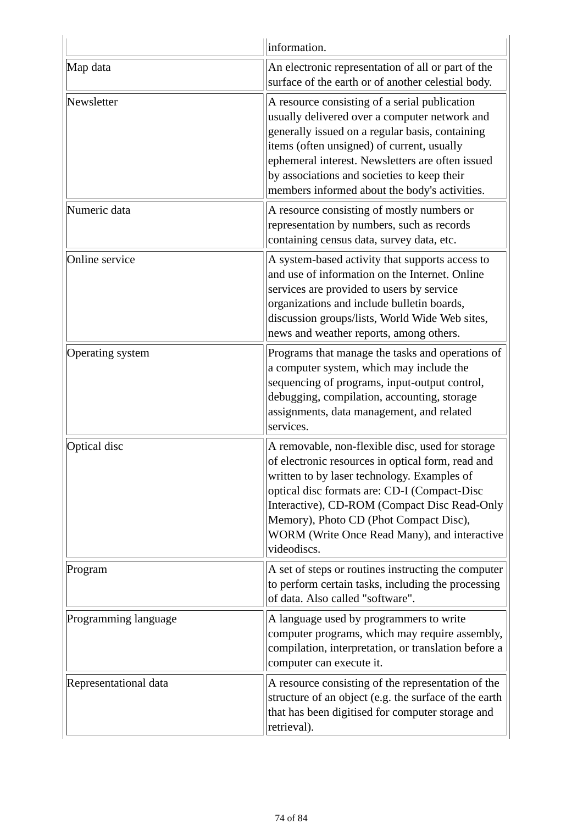|                       | information.                                                                                                                                                                                                                                                                                                                                                  |
|-----------------------|---------------------------------------------------------------------------------------------------------------------------------------------------------------------------------------------------------------------------------------------------------------------------------------------------------------------------------------------------------------|
| Map data              | An electronic representation of all or part of the<br>surface of the earth or of another celestial body.                                                                                                                                                                                                                                                      |
| Newsletter            | A resource consisting of a serial publication<br>usually delivered over a computer network and<br>generally issued on a regular basis, containing<br>items (often unsigned) of current, usually<br>ephemeral interest. Newsletters are often issued<br>by associations and societies to keep their<br>members informed about the body's activities.           |
| Numeric data          | A resource consisting of mostly numbers or<br>representation by numbers, such as records<br>containing census data, survey data, etc.                                                                                                                                                                                                                         |
| Online service        | A system-based activity that supports access to<br>and use of information on the Internet. Online<br>services are provided to users by service<br>organizations and include bulletin boards,<br>discussion groups/lists, World Wide Web sites,<br>news and weather reports, among others.                                                                     |
| Operating system      | Programs that manage the tasks and operations of<br>a computer system, which may include the<br>sequencing of programs, input-output control,<br>debugging, compilation, accounting, storage<br>assignments, data management, and related<br>services.                                                                                                        |
| Optical disc          | A removable, non-flexible disc, used for storage<br>of electronic resources in optical form, read and<br>written to by laser technology. Examples of<br>optical disc formats are: CD-I (Compact-Disc<br>Interactive), CD-ROM (Compact Disc Read-Only<br>Memory), Photo CD (Phot Compact Disc),<br>WORM (Write Once Read Many), and interactive<br>videodiscs. |
| Program               | A set of steps or routines instructing the computer<br>to perform certain tasks, including the processing<br>of data. Also called "software".                                                                                                                                                                                                                 |
| Programming language  | A language used by programmers to write<br>computer programs, which may require assembly,<br>compilation, interpretation, or translation before a<br>computer can execute it.                                                                                                                                                                                 |
| Representational data | A resource consisting of the representation of the<br>structure of an object (e.g. the surface of the earth<br>that has been digitised for computer storage and<br>retrieval).                                                                                                                                                                                |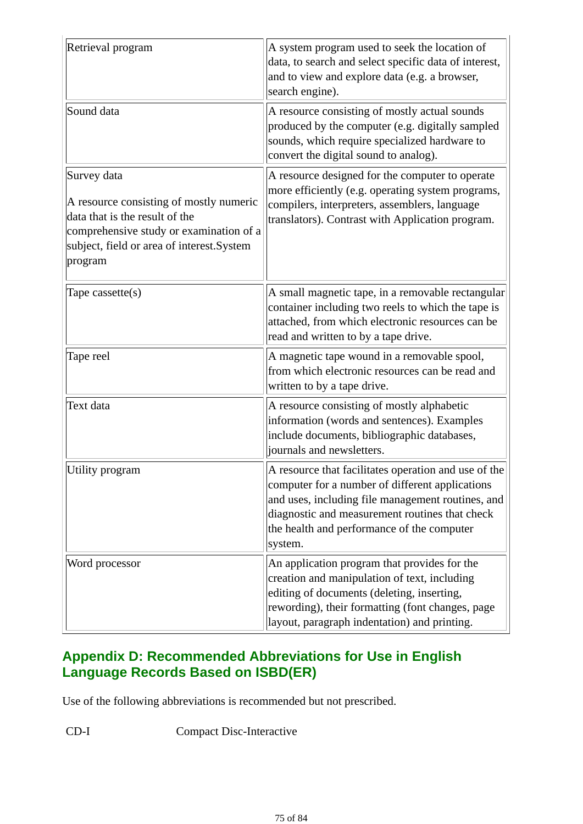| Retrieval program                                                                                                                                                                           | A system program used to seek the location of<br>data, to search and select specific data of interest,<br>and to view and explore data (e.g. a browser,<br>search engine).                                                                                              |
|---------------------------------------------------------------------------------------------------------------------------------------------------------------------------------------------|-------------------------------------------------------------------------------------------------------------------------------------------------------------------------------------------------------------------------------------------------------------------------|
| Sound data                                                                                                                                                                                  | A resource consisting of mostly actual sounds<br>produced by the computer (e.g. digitally sampled<br>sounds, which require specialized hardware to<br>convert the digital sound to analog).                                                                             |
| Survey data<br>A resource consisting of mostly numeric<br>data that is the result of the<br>comprehensive study or examination of a<br>subject, field or area of interest.System<br>program | A resource designed for the computer to operate<br>more efficiently (e.g. operating system programs,<br>compilers, interpreters, assemblers, language<br>translators). Contrast with Application program.                                                               |
| Tape cassette(s)                                                                                                                                                                            | A small magnetic tape, in a removable rectangular<br>container including two reels to which the tape is<br>attached, from which electronic resources can be<br>read and written to by a tape drive.                                                                     |
| Tape reel                                                                                                                                                                                   | A magnetic tape wound in a removable spool,<br>from which electronic resources can be read and<br>written to by a tape drive.                                                                                                                                           |
| Text data                                                                                                                                                                                   | A resource consisting of mostly alphabetic<br>information (words and sentences). Examples<br>include documents, bibliographic databases,<br>journals and newsletters.                                                                                                   |
| Utility program                                                                                                                                                                             | A resource that facilitates operation and use of the<br>computer for a number of different applications<br>and uses, including file management routines, and<br>diagnostic and measurement routines that check<br>the health and performance of the computer<br>system. |
| Word processor                                                                                                                                                                              | An application program that provides for the<br>creation and manipulation of text, including<br>editing of documents (deleting, inserting,<br>rewording), their formatting (font changes, page<br>layout, paragraph indentation) and printing.                          |

## **Appendix D: Recommended Abbreviations for Use in English Language Records Based on ISBD(ER)**

Use of the following abbreviations is recommended but not prescribed.

CD-I Compact Disc-Interactive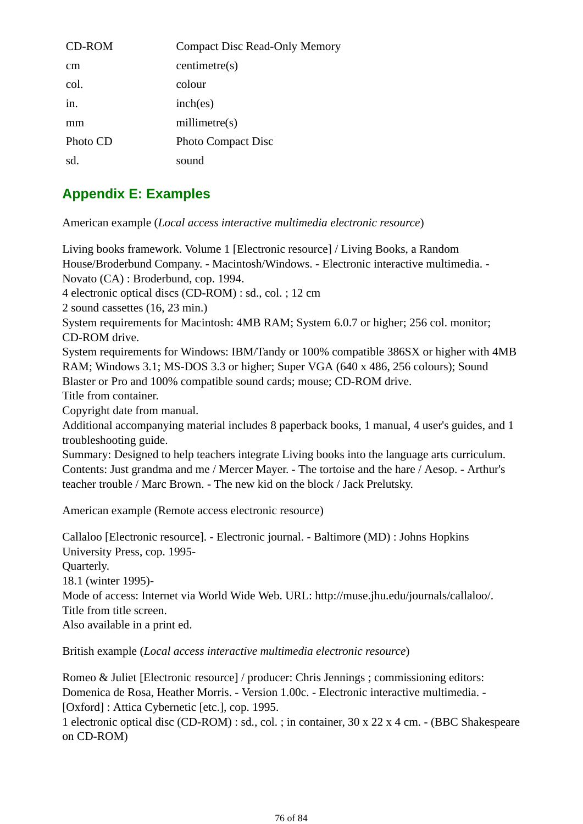| <b>CD-ROM</b> | <b>Compact Disc Read-Only Memory</b> |
|---------------|--------------------------------------|
| <sub>cm</sub> | centimetre(s)                        |
| col.          | colour                               |
| in.           | inch(es)                             |
| mm            | millimetre(s)                        |
| Photo CD      | <b>Photo Compact Disc</b>            |
| sd.           | sound                                |
|               |                                      |

## **Appendix E: Examples**

American example (*Local access interactive multimedia electronic resource*)

Living books framework. Volume 1 [Electronic resource] / Living Books, a Random House/Broderbund Company. - Macintosh/Windows. - Electronic interactive multimedia. - Novato (CA) : Broderbund, cop. 1994. 4 electronic optical discs (CD-ROM) : sd., col. ; 12 cm 2 sound cassettes (16, 23 min.) System requirements for Macintosh: 4MB RAM; System 6.0.7 or higher; 256 col. monitor; CD-ROM drive. System requirements for Windows: IBM/Tandy or 100% compatible 386SX or higher with 4MB RAM; Windows 3.1; MS-DOS 3.3 or higher; Super VGA (640 x 486, 256 colours); Sound Blaster or Pro and 100% compatible sound cards; mouse; CD-ROM drive. Title from container. Copyright date from manual. Additional accompanying material includes 8 paperback books, 1 manual, 4 user's guides, and 1 troubleshooting guide. Summary: Designed to help teachers integrate Living books into the language arts curriculum. Contents: Just grandma and me / Mercer Mayer. - The tortoise and the hare / Aesop. - Arthur's teacher trouble / Marc Brown. - The new kid on the block / Jack Prelutsky. American example (Remote access electronic resource) Callaloo [Electronic resource]. - Electronic journal. - Baltimore (MD) : Johns Hopkins University Press, cop. 1995- Quarterly. 18.1 (winter 1995)- Mode of access: Internet via World Wide Web. URL: http://muse.jhu.edu/journals/callaloo/. Title from title screen. Also available in a print ed.

British example (*Local access interactive multimedia electronic resource*)

Romeo & Juliet [Electronic resource] / producer: Chris Jennings ; commissioning editors: Domenica de Rosa, Heather Morris. - Version 1.00c. - Electronic interactive multimedia. - [Oxford] : Attica Cybernetic [etc.], cop. 1995.

1 electronic optical disc (CD-ROM) : sd., col. ; in container, 30 x 22 x 4 cm. - (BBC Shakespeare on CD-ROM)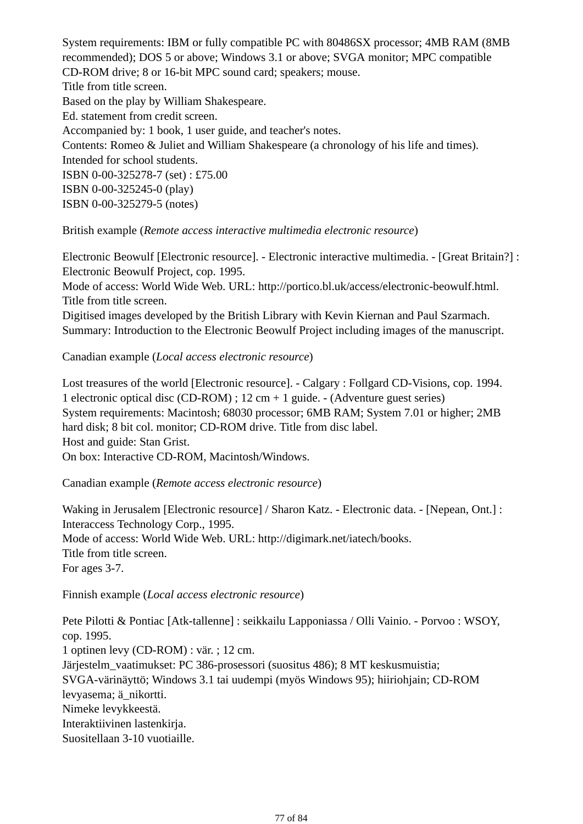System requirements: IBM or fully compatible PC with 80486SX processor; 4MB RAM (8MB recommended); DOS 5 or above; Windows 3.1 or above; SVGA monitor; MPC compatible CD-ROM drive; 8 or 16-bit MPC sound card; speakers; mouse. Title from title screen. Based on the play by William Shakespeare. Ed. statement from credit screen. Accompanied by: 1 book, 1 user guide, and teacher's notes. Contents: Romeo & Juliet and William Shakespeare (a chronology of his life and times). Intended for school students. ISBN 0-00-325278-7 (set) : £75.00 ISBN 0-00-325245-0 (play) ISBN 0-00-325279-5 (notes)

British example (*Remote access interactive multimedia electronic resource*)

Electronic Beowulf [Electronic resource]. - Electronic interactive multimedia. - [Great Britain?] : Electronic Beowulf Project, cop. 1995.

Mode of access: World Wide Web. URL: http://portico.bl.uk/access/electronic-beowulf.html. Title from title screen.

Digitised images developed by the British Library with Kevin Kiernan and Paul Szarmach. Summary: Introduction to the Electronic Beowulf Project including images of the manuscript.

Canadian example (*Local access electronic resource*)

Lost treasures of the world [Electronic resource]. - Calgary : Follgard CD-Visions, cop. 1994. 1 electronic optical disc (CD-ROM) ; 12 cm + 1 guide. - (Adventure guest series) System requirements: Macintosh; 68030 processor; 6MB RAM; System 7.01 or higher; 2MB hard disk; 8 bit col. monitor; CD-ROM drive. Title from disc label. Host and guide: Stan Grist. On box: Interactive CD-ROM, Macintosh/Windows.

Canadian example (*Remote access electronic resource*)

Waking in Jerusalem [Electronic resource] / Sharon Katz. - Electronic data. - [Nepean, Ont.] : Interaccess Technology Corp., 1995. Mode of access: World Wide Web. URL: http://digimark.net/iatech/books. Title from title screen. For ages 3-7.

Finnish example (*Local access electronic resource*)

Pete Pilotti & Pontiac [Atk-tallenne] : seikkailu Lapponiassa / Olli Vainio. - Porvoo : WSOY, cop. 1995. 1 optinen levy (CD-ROM) : vär. ; 12 cm. Järjestelm\_vaatimukset: PC 386-prosessori (suositus 486); 8 MT keskusmuistia;

SVGA-värinäyttö; Windows 3.1 tai uudempi (myös Windows 95); hiiriohjain; CD-ROM levyasema; ä\_nikortti.

Nimeke levykkeestä.

Interaktiivinen lastenkirja.

Suositellaan 3-10 vuotiaille.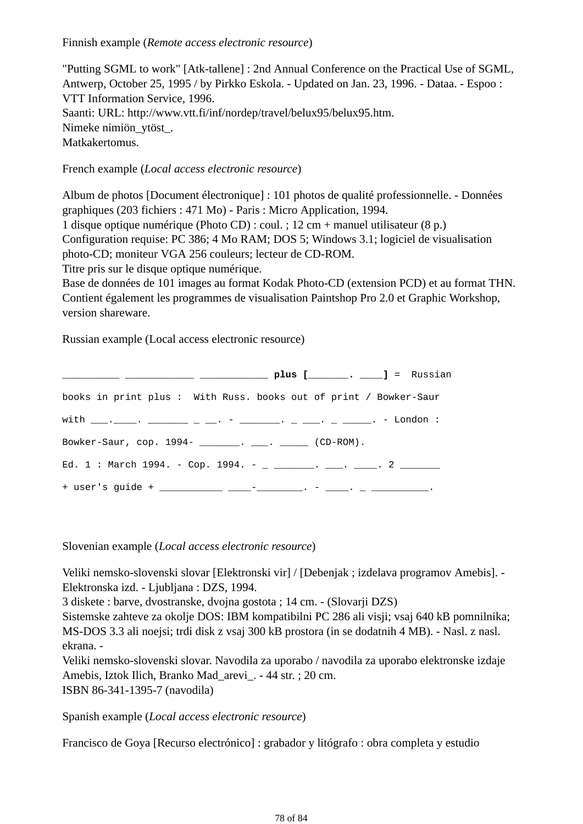Finnish example (*Remote access electronic resource*)

"Putting SGML to work" [Atk-tallene] : 2nd Annual Conference on the Practical Use of SGML, Antwerp, October 25, 1995 / by Pirkko Eskola. - Updated on Jan. 23, 1996. - Dataa. - Espoo : VTT Information Service, 1996. Saanti: URL: http://www.vtt.fi/inf/nordep/travel/belux95/belux95.htm. Nimeke nimiön\_ytöst\_. Matkakertomus.

French example (*Local access electronic resource*)

Album de photos [Document électronique] : 101 photos de qualité professionnelle. - Données graphiques (203 fichiers : 471 Mo) - Paris : Micro Application, 1994. 1 disque optique numérique (Photo CD) : coul. ; 12 cm + manuel utilisateur (8 p.) Configuration requise: PC 386; 4 Mo RAM; DOS 5; Windows 3.1; logiciel de visualisation photo-CD; moniteur VGA 256 couleurs; lecteur de CD-ROM. Titre pris sur le disque optique numérique.

Base de données de 101 images au format Kodak Photo-CD (extension PCD) et au format THN. Contient également les programmes de visualisation Paintshop Pro 2.0 et Graphic Workshop, version shareware.

Russian example (Local access electronic resource)

|                                                                   | <b>Examples Examples Examples E</b> and the set of the set of the set of the set of the set of the set of the set of th |
|-------------------------------------------------------------------|-------------------------------------------------------------------------------------------------------------------------|
| books in print plus: With Russ. books out of print / Bowker-Saur  |                                                                                                                         |
| with ____. ____. _____ _ __. - _____. _ _ __. _ ___. - London :   |                                                                                                                         |
| Bowker-Saur, cop. 1994- _______. ___. ____. (CD-ROM).             |                                                                                                                         |
| Ed. 1 : March 1994. - Cop. 1994. - _ _______. ___. ___. 2 _______ |                                                                                                                         |
| + user's guide + ___________ ____________. - ____. _ _____.       |                                                                                                                         |

Slovenian example (*Local access electronic resource*)

Veliki nemsko-slovenski slovar [Elektronski vir] / [Debenjak ; izdelava programov Amebis]. - Elektronska izd. - Ljubljana : DZS, 1994.

3 diskete : barve, dvostranske, dvojna gostota ; 14 cm. - (Slovarji DZS)

Sistemske zahteve za okolje DOS: IBM kompatibilni PC 286 ali visji; vsaj 640 kB pomnilnika; MS-DOS 3.3 ali noejsi; trdi disk z vsaj 300 kB prostora (in se dodatnih 4 MB). - Nasl. z nasl. ekrana. -

Veliki nemsko-slovenski slovar. Navodila za uporabo / navodila za uporabo elektronske izdaje Amebis, Iztok Ilich, Branko Mad\_arevi\_. - 44 str. ; 20 cm. ISBN 86-341-1395-7 (navodila)

Spanish example (*Local access electronic resource*)

Francisco de Goya [Recurso electrónico] : grabador y litógrafo : obra completa y estudio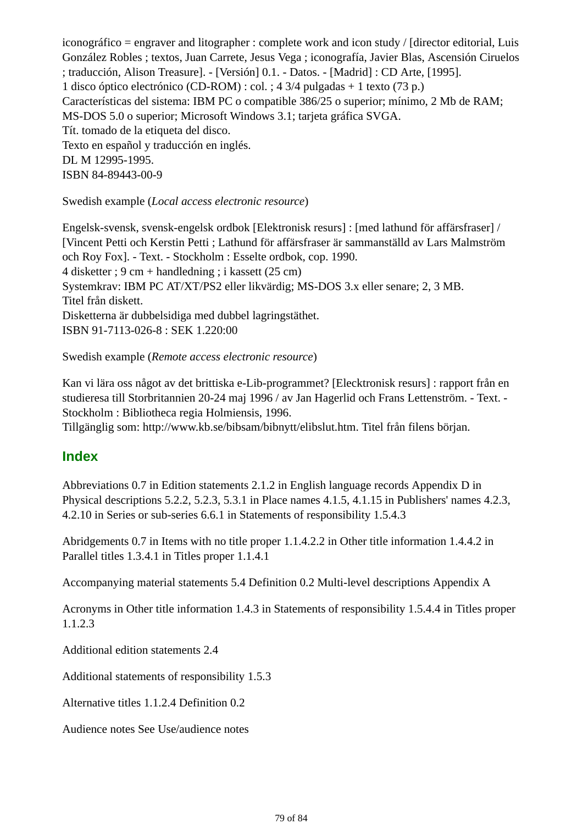iconográfico = engraver and litographer : complete work and icon study / [director editorial, Luis González Robles ; textos, Juan Carrete, Jesus Vega ; iconografía, Javier Blas, Ascensión Ciruelos ; traducción, Alison Treasure]. - [Versión] 0.1. - Datos. - [Madrid] : CD Arte, [1995]. 1 disco óptico electrónico (CD-ROM) : col. ; 4 3/4 pulgadas + 1 texto (73 p.) Características del sistema: IBM PC o compatible 386/25 o superior; mínimo, 2 Mb de RAM; MS-DOS 5.0 o superior; Microsoft Windows 3.1; tarjeta gráfica SVGA. Tít. tomado de la etiqueta del disco. Texto en español y traducción en inglés. DL M 12995-1995. ISBN 84-89443-00-9

Swedish example (*Local access electronic resource*)

Engelsk-svensk, svensk-engelsk ordbok [Elektronisk resurs] : [med lathund för affärsfraser] / [Vincent Petti och Kerstin Petti ; Lathund för affärsfraser är sammanställd av Lars Malmström och Roy Fox]. - Text. - Stockholm : Esselte ordbok, cop. 1990. 4 disketter ; 9 cm + handledning ; i kassett (25 cm) Systemkrav: IBM PC AT/XT/PS2 eller likvärdig; MS-DOS 3.x eller senare; 2, 3 MB. Titel från diskett. Disketterna är dubbelsidiga med dubbel lagringstäthet. ISBN 91-7113-026-8 : SEK 1.220:00

Swedish example (*Remote access electronic resource*)

Kan vi lära oss något av det brittiska e-Lib-programmet? [Elecktronisk resurs] : rapport från en studieresa till Storbritannien 20-24 maj 1996 / av Jan Hagerlid och Frans Lettenström. - Text. - Stockholm : Bibliotheca regia Holmiensis, 1996.

Tillgänglig som: http://www.kb.se/bibsam/bibnytt/elibslut.htm. Titel från filens början.

## **Index**

Abbreviations 0.7 in Edition statements 2.1.2 in English language records Appendix D in Physical descriptions 5.2.2, 5.2.3, 5.3.1 in Place names 4.1.5, 4.1.15 in Publishers' names 4.2.3, 4.2.10 in Series or sub-series 6.6.1 in Statements of responsibility 1.5.4.3

Abridgements 0.7 in Items with no title proper 1.1.4.2.2 in Other title information 1.4.4.2 in Parallel titles 1.3.4.1 in Titles proper 1.1.4.1

Accompanying material statements 5.4 Definition 0.2 Multi-level descriptions Appendix A

Acronyms in Other title information 1.4.3 in Statements of responsibility 1.5.4.4 in Titles proper 1.1.2.3

Additional edition statements 2.4

Additional statements of responsibility 1.5.3

Alternative titles 1.1.2.4 Definition 0.2

Audience notes See Use/audience notes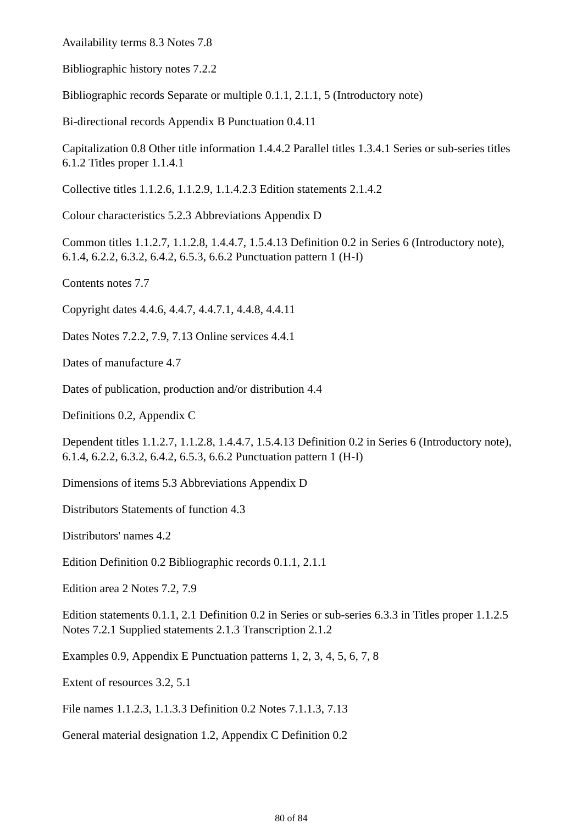Availability terms 8.3 Notes 7.8

Bibliographic history notes 7.2.2

Bibliographic records Separate or multiple 0.1.1, 2.1.1, 5 (Introductory note)

Bi-directional records Appendix B Punctuation 0.4.11

Capitalization 0.8 Other title information 1.4.4.2 Parallel titles 1.3.4.1 Series or sub-series titles 6.1.2 Titles proper 1.1.4.1

Collective titles 1.1.2.6, 1.1.2.9, 1.1.4.2.3 Edition statements 2.1.4.2

Colour characteristics 5.2.3 Abbreviations Appendix D

Common titles 1.1.2.7, 1.1.2.8, 1.4.4.7, 1.5.4.13 Definition 0.2 in Series 6 (Introductory note), 6.1.4, 6.2.2, 6.3.2, 6.4.2, 6.5.3, 6.6.2 Punctuation pattern 1 (H-I)

Contents notes 7.7

Copyright dates 4.4.6, 4.4.7, 4.4.7.1, 4.4.8, 4.4.11

Dates Notes 7.2.2, 7.9, 7.13 Online services 4.4.1

Dates of manufacture 4.7

Dates of publication, production and/or distribution 4.4

Definitions 0.2, Appendix C

Dependent titles 1.1.2.7, 1.1.2.8, 1.4.4.7, 1.5.4.13 Definition 0.2 in Series 6 (Introductory note), 6.1.4, 6.2.2, 6.3.2, 6.4.2, 6.5.3, 6.6.2 Punctuation pattern 1 (H-I)

Dimensions of items 5.3 Abbreviations Appendix D

Distributors Statements of function 4.3

Distributors' names 4.2

Edition Definition 0.2 Bibliographic records 0.1.1, 2.1.1

Edition area 2 Notes 7.2, 7.9

Edition statements 0.1.1, 2.1 Definition 0.2 in Series or sub-series 6.3.3 in Titles proper 1.1.2.5 Notes 7.2.1 Supplied statements 2.1.3 Transcription 2.1.2

Examples 0.9, Appendix E Punctuation patterns 1, 2, 3, 4, 5, 6, 7, 8

Extent of resources 3.2, 5.1

File names 1.1.2.3, 1.1.3.3 Definition 0.2 Notes 7.1.1.3, 7.13

General material designation 1.2, Appendix C Definition 0.2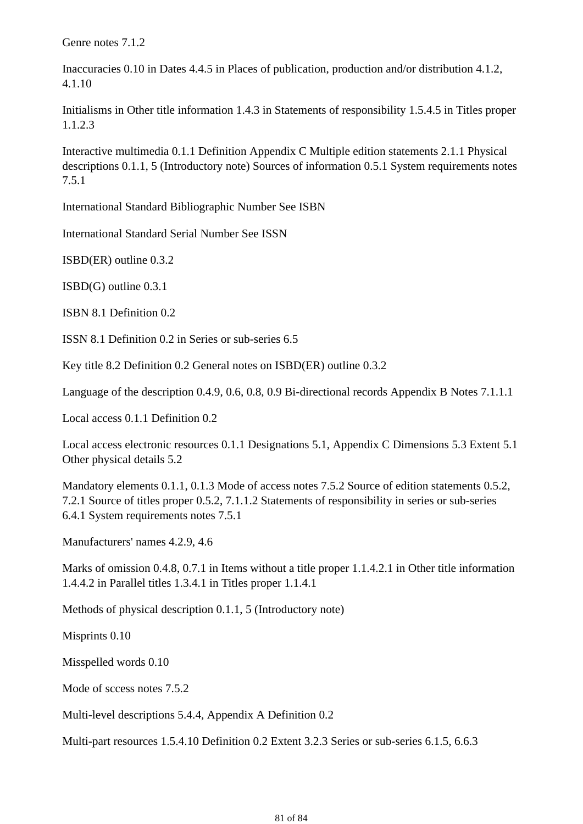Genre notes 7.1.2

Inaccuracies 0.10 in Dates 4.4.5 in Places of publication, production and/or distribution 4.1.2, 4.1.10

Initialisms in Other title information 1.4.3 in Statements of responsibility 1.5.4.5 in Titles proper 1.1.2.3

Interactive multimedia 0.1.1 Definition Appendix C Multiple edition statements 2.1.1 Physical descriptions 0.1.1, 5 (Introductory note) Sources of information 0.5.1 System requirements notes 7.5.1

International Standard Bibliographic Number See ISBN

International Standard Serial Number See ISSN

ISBD(ER) outline 0.3.2

ISBD(G) outline 0.3.1

ISBN 8.1 Definition 0.2

ISSN 8.1 Definition 0.2 in Series or sub-series 6.5

Key title 8.2 Definition 0.2 General notes on ISBD(ER) outline 0.3.2

Language of the description 0.4.9, 0.6, 0.8, 0.9 Bi-directional records Appendix B Notes 7.1.1.1

Local access 0.1.1 Definition 0.2

Local access electronic resources 0.1.1 Designations 5.1, Appendix C Dimensions 5.3 Extent 5.1 Other physical details 5.2

Mandatory elements 0.1.1, 0.1.3 Mode of access notes 7.5.2 Source of edition statements 0.5.2, 7.2.1 Source of titles proper 0.5.2, 7.1.1.2 Statements of responsibility in series or sub-series 6.4.1 System requirements notes 7.5.1

Manufacturers' names 4.2.9, 4.6

Marks of omission 0.4.8, 0.7.1 in Items without a title proper 1.1.4.2.1 in Other title information 1.4.4.2 in Parallel titles 1.3.4.1 in Titles proper 1.1.4.1

Methods of physical description 0.1.1, 5 (Introductory note)

Misprints 0.10

Misspelled words 0.10

Mode of sccess notes 7.5.2

Multi-level descriptions 5.4.4, Appendix A Definition 0.2

Multi-part resources 1.5.4.10 Definition 0.2 Extent 3.2.3 Series or sub-series 6.1.5, 6.6.3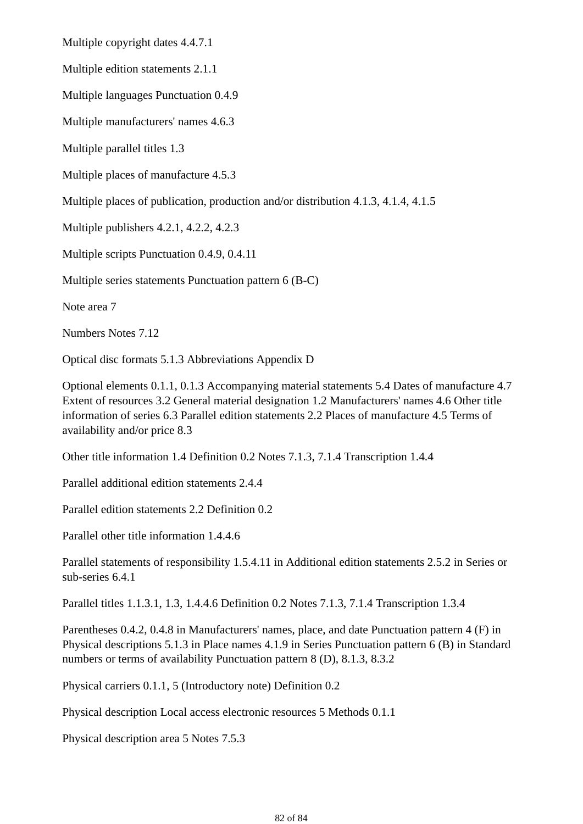Multiple copyright dates 4.4.7.1

Multiple edition statements 2.1.1

Multiple languages Punctuation 0.4.9

Multiple manufacturers' names 4.6.3

Multiple parallel titles 1.3

Multiple places of manufacture 4.5.3

Multiple places of publication, production and/or distribution 4.1.3, 4.1.4, 4.1.5

Multiple publishers 4.2.1, 4.2.2, 4.2.3

Multiple scripts Punctuation 0.4.9, 0.4.11

Multiple series statements Punctuation pattern 6 (B-C)

Note area 7

Numbers Notes 7.12

Optical disc formats 5.1.3 Abbreviations Appendix D

Optional elements 0.1.1, 0.1.3 Accompanying material statements 5.4 Dates of manufacture 4.7 Extent of resources 3.2 General material designation 1.2 Manufacturers' names 4.6 Other title information of series 6.3 Parallel edition statements 2.2 Places of manufacture 4.5 Terms of availability and/or price 8.3

Other title information 1.4 Definition 0.2 Notes 7.1.3, 7.1.4 Transcription 1.4.4

Parallel additional edition statements 2.4.4

Parallel edition statements 2.2 Definition 0.2

Parallel other title information 1.4.4.6

Parallel statements of responsibility 1.5.4.11 in Additional edition statements 2.5.2 in Series or sub-series 6.4.1

Parallel titles 1.1.3.1, 1.3, 1.4.4.6 Definition 0.2 Notes 7.1.3, 7.1.4 Transcription 1.3.4

Parentheses 0.4.2, 0.4.8 in Manufacturers' names, place, and date Punctuation pattern 4 (F) in Physical descriptions 5.1.3 in Place names 4.1.9 in Series Punctuation pattern 6 (B) in Standard numbers or terms of availability Punctuation pattern 8 (D), 8.1.3, 8.3.2

Physical carriers 0.1.1, 5 (Introductory note) Definition 0.2

Physical description Local access electronic resources 5 Methods 0.1.1

Physical description area 5 Notes 7.5.3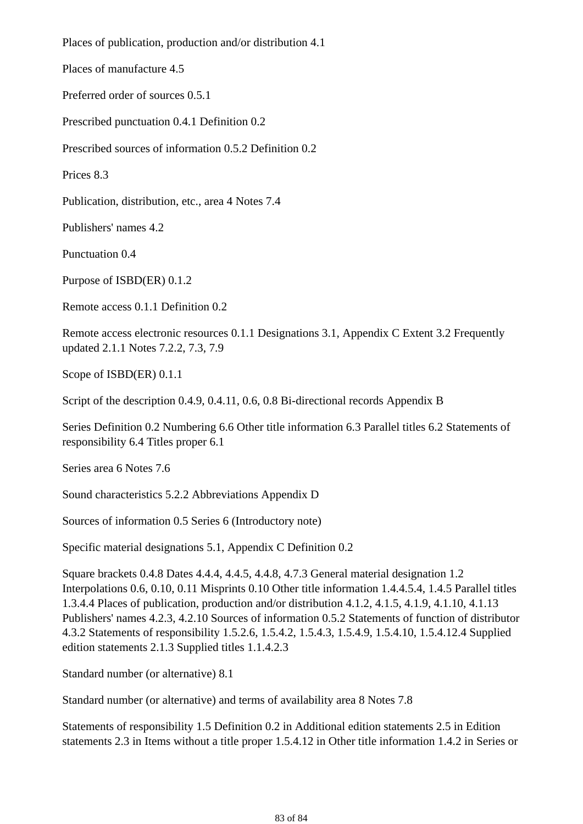Places of publication, production and/or distribution 4.1

Places of manufacture 4.5

Preferred order of sources 0.5.1

Prescribed punctuation 0.4.1 Definition 0.2

Prescribed sources of information 0.5.2 Definition 0.2

Prices 8.3

Publication, distribution, etc., area 4 Notes 7.4

Publishers' names 4.2

Punctuation 0.4

Purpose of ISBD(ER) 0.1.2

Remote access 0.1.1 Definition 0.2

Remote access electronic resources 0.1.1 Designations 3.1, Appendix C Extent 3.2 Frequently updated 2.1.1 Notes 7.2.2, 7.3, 7.9

Scope of ISBD(ER) 0.1.1

Script of the description 0.4.9, 0.4.11, 0.6, 0.8 Bi-directional records Appendix B

Series Definition 0.2 Numbering 6.6 Other title information 6.3 Parallel titles 6.2 Statements of responsibility 6.4 Titles proper 6.1

Series area 6 Notes 7.6

Sound characteristics 5.2.2 Abbreviations Appendix D

Sources of information 0.5 Series 6 (Introductory note)

Specific material designations 5.1, Appendix C Definition 0.2

Square brackets 0.4.8 Dates 4.4.4, 4.4.5, 4.4.8, 4.7.3 General material designation 1.2 Interpolations 0.6, 0.10, 0.11 Misprints 0.10 Other title information 1.4.4.5.4, 1.4.5 Parallel titles 1.3.4.4 Places of publication, production and/or distribution 4.1.2, 4.1.5, 4.1.9, 4.1.10, 4.1.13 Publishers' names 4.2.3, 4.2.10 Sources of information 0.5.2 Statements of function of distributor 4.3.2 Statements of responsibility 1.5.2.6, 1.5.4.2, 1.5.4.3, 1.5.4.9, 1.5.4.10, 1.5.4.12.4 Supplied edition statements 2.1.3 Supplied titles 1.1.4.2.3

Standard number (or alternative) 8.1

Standard number (or alternative) and terms of availability area 8 Notes 7.8

Statements of responsibility 1.5 Definition 0.2 in Additional edition statements 2.5 in Edition statements 2.3 in Items without a title proper 1.5.4.12 in Other title information 1.4.2 in Series or